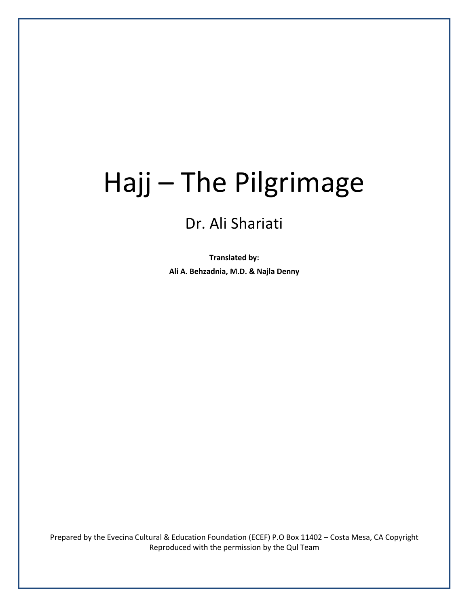# Hajj – The Pilgrimage

# Dr. Ali Shariati

**Translated by: Ali A. Behzadnia, M.D. & Najla Denny**

Prepared by the Evecina Cultural & Education Foundation (ECEF) P.O Box 11402 – Costa Mesa, CA Copyright Reproduced with the permission by the Qul Team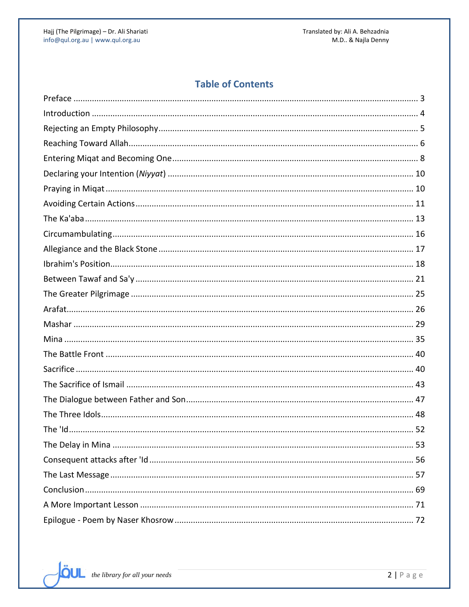### **Table of Contents**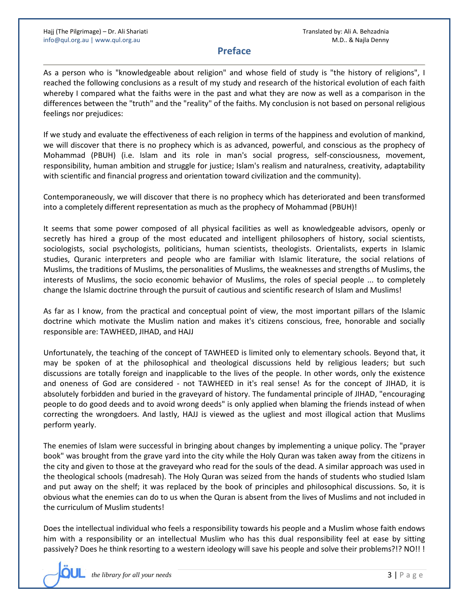### **Preface**

<span id="page-2-0"></span>As a person who is "knowledgeable about religion" and whose field of study is "the history of religions", I reached the following conclusions as a result of my study and research of the historical evolution of each faith whereby I compared what the faiths were in the past and what they are now as well as a comparison in the differences between the "truth" and the "reality" of the faiths. My conclusion is not based on personal religious feelings nor prejudices:

If we study and evaluate the effectiveness of each religion in terms of the happiness and evolution of mankind, we will discover that there is no prophecy which is as advanced, powerful, and conscious as the prophecy of Mohammad (PBUH) (i.e. Islam and its role in man's social progress, self-consciousness, movement, responsibility, human ambition and struggle for justice; Islam's realism and naturalness, creativity, adaptability with scientific and financial progress and orientation toward civilization and the community).

Contemporaneously, we will discover that there is no prophecy which has deteriorated and been transformed into a completely different representation as much as the prophecy of Mohammad (PBUH)!

It seems that some power composed of all physical facilities as well as knowledgeable advisors, openly or secretly has hired a group of the most educated and intelligent philosophers of history, social scientists, sociologists, social psychologists, politicians, human scientists, theologists. Orientalists, experts in Islamic studies, Quranic interpreters and people who are familiar with Islamic literature, the social relations of Muslims, the traditions of Muslims, the personalities of Muslims, the weaknesses and strengths of Muslims, the interests of Muslims, the socio economic behavior of Muslims, the roles of special people ... to completely change the Islamic doctrine through the pursuit of cautious and scientific research of Islam and Muslims!

As far as I know, from the practical and conceptual point of view, the most important pillars of the Islamic doctrine which motivate the Muslim nation and makes it's citizens conscious, free, honorable and socially responsible are: TAWHEED, JIHAD, and HAJJ

Unfortunately, the teaching of the concept of TAWHEED is limited only to elementary schools. Beyond that, it may be spoken of at the philosophical and theological discussions held by religious leaders; but such discussions are totally foreign and inapplicable to the lives of the people. In other words, only the existence and oneness of God are considered - not TAWHEED in it's real sense! As for the concept of JIHAD, it is absolutely forbidden and buried in the graveyard of history. The fundamental principle of JIHAD, "encouraging people to do good deeds and to avoid wrong deeds" is only applied when blaming the friends instead of when correcting the wrongdoers. And lastly, HAJJ is viewed as the ugliest and most illogical action that Muslims perform yearly.

The enemies of Islam were successful in bringing about changes by implementing a unique policy. The "prayer book" was brought from the grave yard into the city while the Holy Quran was taken away from the citizens in the city and given to those at the graveyard who read for the souls of the dead. A similar approach was used in the theological schools (madresah). The Holy Quran was seized from the hands of students who studied Islam and put away on the shelf; it was replaced by the book of principles and philosophical discussions. So, it is obvious what the enemies can do to us when the Quran is absent from the lives of Muslims and not included in the curriculum of Muslim students!

Does the intellectual individual who feels a responsibility towards his people and a Muslim whose faith endows him with a responsibility or an intellectual Muslim who has this dual responsibility feel at ease by sitting passively? Does he think resorting to a western ideology will save his people and solve their problems?!? NO!! !

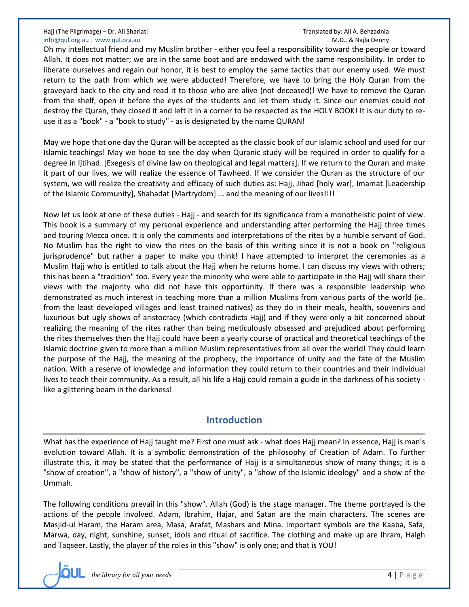Oh my intellectual friend and my Muslim brother - either you feel a responsibility toward the people or toward Allah. It does not matter; we are in the same boat and are endowed with the same responsibility. In order to liberate ourselves and regain our honor, it is best to employ the same tactics that our enemy used. We must return to the path from which we were abducted! Therefore, we have to bring the Holy Quran from the graveyard back to the city and read it to those who are alive (not deceased)! We have to remove the Quran from the shelf, open it before the eyes of the students and let them study it. Since our enemies could not destroy the Quran, they closed it and left it in a corner to be respected as the HOLY BOOK! It is our duty to reuse it as a "book" - a "book to study" - as is designated by the name QURAN!

May we hope that one day the Quran will be accepted as the classic book of our Islamic school and used for our Islamic teachings! May we hope to see the day when Quranic study will be required in order to qualify for a degree in Ijtihad. [Exegesis of divine law on theological and legal matters]. If we return to the Quran and make it part of our lives, we will realize the essence of Tawheed. If we consider the Quran as the structure of our system, we will realize the creativity and efficacy of such duties as: Hajj, Jihad [holy war], Imamat [Leadership of the Islamic Community], Shahadat [Martrydom] ... and the meaning of our lives!!!!

Now let us look at one of these duties - Hajj - and search for its significance from a monotheistic point of view. This book is a summary of my personal experience and understanding after performing the Hajj three times and touring Mecca once. It is only the comments and interpretations of the rites by a humble servant of God. No Muslim has the right to view the rites on the basis of this writing since it is not a book on "religious jurisprudence" but rather a paper to make you think! I have attempted to interpret the ceremonies as a Muslim Hajj who is entitled to talk about the Hajj when he returns home. I can discuss my views with others; this has been a "tradition" too. Every year the minority who were able to participate in the Hajj will share their views with the majority who did not have this opportunity. If there was a responsible leadership who demonstrated as much interest in teaching more than a million Muslims from various parts of the world (ie. from the least developed villages and least trained natives) as they do in their meals, health, souvenirs and luxurious but ugly shows of aristocracy (which contradicts Hajj) and if they were only a bit concerned about realizing the meaning of the rites rather than being meticulously obsessed and prejudiced about performing the rites themselves then the Hajj could have been a yearly course of practical and theoretical teachings of the Islamic doctrine given to more than a million Muslim representatives from all over the world! They could learn the purpose of the Hajj, the meaning of the prophecy, the importance of unity and the fate of the Muslim nation. With a reserve of knowledge and information they could return to their countries and their individual lives to teach their community. As a result, all his life a Hajj could remain a guide in the darkness of his society like a glittering beam in the darkness!

### **Introduction**

<span id="page-3-0"></span>What has the experience of Hajj taught me? First one must ask - what does Hajj mean? In essence, Hajj is man's evolution toward Allah. It is a symbolic demonstration of the philosophy of Creation of Adam. To further illustrate this, it may be stated that the performance of Hajj is a simultaneous show of many things; it is a "show of creation", a "show of history", a "show of unity", a "show of the Islamic ideology" and a show of the Ummah.

The following conditions prevail in this "show". Allah (God) is the stage manager. The theme portrayed is the actions of the people involved. Adam, Ibrahim, Hajar, and Satan are the main characters. The scenes are Masjid-ul Haram, the Haram area, Masa, Arafat, Mashars and Mina. Important symbols are the Kaaba, Safa, Marwa, day, night, sunshine, sunset, idols and ritual of sacrifice. The clothing and make up are Ihram, Halgh and Taqseer. Lastly, the player of the roles in this "show" is only one; and that is YOU!

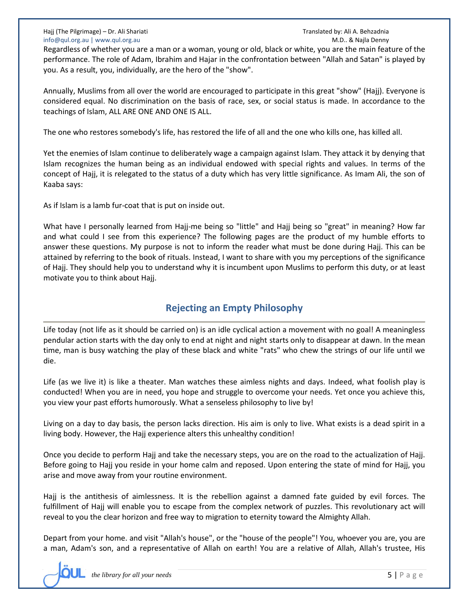Regardless of whether you are a man or a woman, young or old, black or white, you are the main feature of the performance. The role of Adam, Ibrahim and Hajar in the confrontation between "Allah and Satan" is played by you. As a result, you, individually, are the hero of the "show".

Annually, Muslims from all over the world are encouraged to participate in this great "show" (Hajj). Everyone is considered equal. No discrimination on the basis of race, sex, or social status is made. In accordance to the teachings of Islam, ALL ARE ONE AND ONE IS ALL.

The one who restores somebody's life, has restored the life of all and the one who kills one, has killed all.

Yet the enemies of Islam continue to deliberately wage a campaign against Islam. They attack it by denying that Islam recognizes the human being as an individual endowed with special rights and values. In terms of the concept of Hajj, it is relegated to the status of a duty which has very little significance. As Imam Ali, the son of Kaaba says:

As if Islam is a lamb fur-coat that is put on inside out.

What have I personally learned from Hajj-me being so "little" and Hajj being so "great" in meaning? How far and what could I see from this experience? The following pages are the product of my humble efforts to answer these questions. My purpose is not to inform the reader what must be done during Hajj. This can be attained by referring to the book of rituals. Instead, I want to share with you my perceptions of the significance of Hajj. They should help you to understand why it is incumbent upon Muslims to perform this duty, or at least motivate you to think about Hajj.

### **Rejecting an Empty Philosophy**

<span id="page-4-0"></span>Life today (not life as it should be carried on) is an idle cyclical action a movement with no goal! A meaningless pendular action starts with the day only to end at night and night starts only to disappear at dawn. In the mean time, man is busy watching the play of these black and white "rats" who chew the strings of our life until we die.

Life (as we live it) is like a theater. Man watches these aimless nights and days. Indeed, what foolish play is conducted! When you are in need, you hope and struggle to overcome your needs. Yet once you achieve this, you view your past efforts humorously. What a senseless philosophy to live by!

Living on a day to day basis, the person lacks direction. His aim is only to live. What exists is a dead spirit in a living body. However, the Hajj experience alters this unhealthy condition!

Once you decide to perform Hajj and take the necessary steps, you are on the road to the actualization of Hajj. Before going to Hajj you reside in your home calm and reposed. Upon entering the state of mind for Hajj, you arise and move away from your routine environment.

Hajj is the antithesis of aimlessness. It is the rebellion against a damned fate guided by evil forces. The fulfillment of Hajj will enable you to escape from the complex network of puzzles. This revolutionary act will reveal to you the clear horizon and free way to migration to eternity toward the Almighty Allah.

Depart from your home. and visit "Allah's house", or the "house of the people"! You, whoever you are, you are a man, Adam's son, and a representative of Allah on earth! You are a relative of Allah, Allah's trustee, His

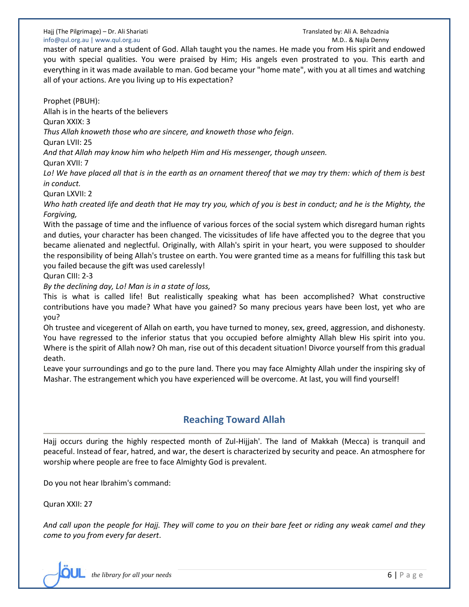master of nature and a student of God. Allah taught you the names. He made you from His spirit and endowed you with special qualities. You were praised by Him; His angels even prostrated to you. This earth and everything in it was made available to man. God became your "home mate", with you at all times and watching all of your actions. Are you living up to His expectation?

Prophet (PBUH):

Allah is in the hearts of the believers

Quran XXIX: 3

*Thus Allah knoweth those who are sincere, and knoweth those who feign*.

Quran LVII: 25

*And that Allah may know him who helpeth Him and His messenger, though unseen.*

Quran XVII: 7

*Lo! We have placed all that is in the earth as an ornament thereof that we may try them: which of them is best in conduct.*

Quran LXVII: 2

*Who hath created life and death that He may try you, which of you is best in conduct; and he is the Mighty, the Forgiving,*

With the passage of time and the influence of various forces of the social system which disregard human rights and duties, your character has been changed. The vicissitudes of life have affected you to the degree that you became alienated and neglectful. Originally, with Allah's spirit in your heart, you were supposed to shoulder the responsibility of being Allah's trustee on earth. You were granted time as a means for fulfilling this task but you failed because the gift was used carelessly!

Quran CIII: 2-3

*By the declining day, Lo! Man is in a state of loss,*

This is what is called life! But realistically speaking what has been accomplished? What constructive contributions have you made? What have you gained? So many precious years have been lost, yet who are you?

Oh trustee and vicegerent of Allah on earth, you have turned to money, sex, greed, aggression, and dishonesty. You have regressed to the inferior status that you occupied before almighty Allah blew His spirit into you. Where is the spirit of Allah now? Oh man, rise out of this decadent situation! Divorce yourself from this gradual death.

<span id="page-5-0"></span>Leave your surroundings and go to the pure land. There you may face Almighty Allah under the inspiring sky of Mashar. The estrangement which you have experienced will be overcome. At last, you will find yourself!

### **Reaching Toward Allah**

Hajj occurs during the highly respected month of Zul-Hijjah'. The land of Makkah (Mecca) is tranquil and peaceful. Instead of fear, hatred, and war, the desert is characterized by security and peace. An atmosphere for worship where people are free to face Almighty God is prevalent.

Do you not hear Ibrahim's command:

Quran XXII: 27

*And call upon the people for Hajj. They will come to you on their bare feet or riding any weak camel and they come to you from every far desert*.

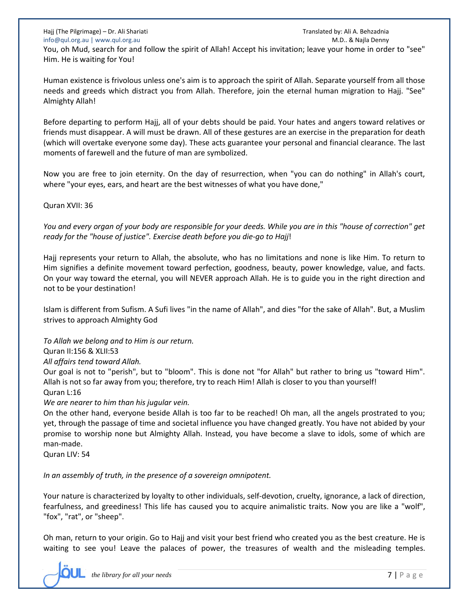You, oh Mud, search for and follow the spirit of Allah! Accept his invitation; leave your home in order to "see" Him. He is waiting for You!

Human existence is frivolous unless one's aim is to approach the spirit of Allah. Separate yourself from all those needs and greeds which distract you from Allah. Therefore, join the eternal human migration to Hajj. "See" Almighty Allah!

Before departing to perform Hajj, all of your debts should be paid. Your hates and angers toward relatives or friends must disappear. A will must be drawn. All of these gestures are an exercise in the preparation for death (which will overtake everyone some day). These acts guarantee your personal and financial clearance. The last moments of farewell and the future of man are symbolized.

Now you are free to join eternity. On the day of resurrection, when "you can do nothing" in Allah's court, where "your eyes, ears, and heart are the best witnesses of what you have done,"

Quran XVII: 36

*You and every organ of your body are responsible for your deeds. While you are in this "house of correction" get ready for the "house of justice". Exercise death before you die-go to Hajj*!

Hajj represents your return to Allah, the absolute, who has no limitations and none is like Him. To return to Him signifies a definite movement toward perfection, goodness, beauty, power knowledge, value, and facts. On your way toward the eternal, you will NEVER approach Allah. He is to guide you in the right direction and not to be your destination!

Islam is different from Sufism. A Sufi lives "in the name of Allah", and dies "for the sake of Allah". But, a Muslim strives to approach Almighty God

*To Allah we belong and to Him is our return.*

Quran II:156 & XLII:53

*All affairs tend toward Allah.*

Our goal is not to "perish", but to "bloom". This is done not "for Allah" but rather to bring us "toward Him". Allah is not so far away from you; therefore, try to reach Him! Allah is closer to you than yourself! Quran L:16

*We are nearer to him than his jugular vein.*

On the other hand, everyone beside Allah is too far to be reached! Oh man, all the angels prostrated to you; yet, through the passage of time and societal influence you have changed greatly. You have not abided by your promise to worship none but Almighty Allah. Instead, you have become a slave to idols, some of which are man-made.

Quran LIV: 54

*In an assembly of truth, in the presence of a sovereign omnipotent.*

Your nature is characterized by loyalty to other individuals, self-devotion, cruelty, ignorance, a lack of direction, fearfulness, and greediness! This life has caused you to acquire animalistic traits. Now you are like a "wolf", "fox", "rat", or "sheep".

Oh man, return to your origin. Go to Hajj and visit your best friend who created you as the best creature. He is waiting to see you! Leave the palaces of power, the treasures of wealth and the misleading temples.

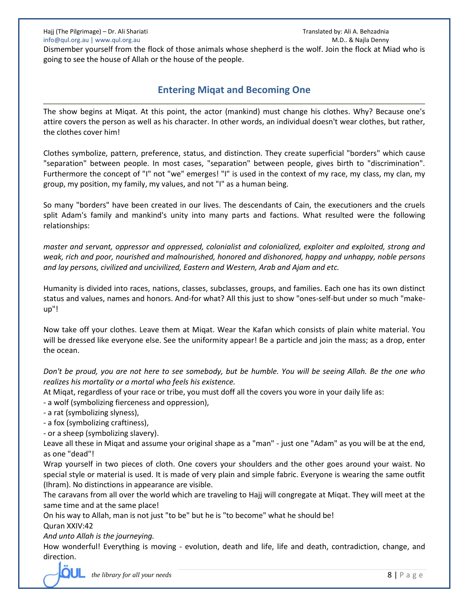Dismember yourself from the flock of those animals whose shepherd is the wolf. Join the flock at Miad who is going to see the house of Allah or the house of the people.

### **Entering Miqat and Becoming One**

<span id="page-7-0"></span>The show begins at Miqat. At this point, the actor (mankind) must change his clothes. Why? Because one's attire covers the person as well as his character. In other words, an individual doesn't wear clothes, but rather, the clothes cover him!

Clothes symbolize, pattern, preference, status, and distinction. They create superficial "borders" which cause "separation" between people. In most cases, "separation" between people, gives birth to "discrimination". Furthermore the concept of "I" not "we" emerges! "I" is used in the context of my race, my class, my clan, my group, my position, my family, my values, and not "I" as a human being.

So many "borders" have been created in our lives. The descendants of Cain, the executioners and the cruels split Adam's family and mankind's unity into many parts and factions. What resulted were the following relationships:

*master and servant, oppressor and oppressed, colonialist and colonialized, exploiter and exploited, strong and weak, rich and poor, nourished and malnourished, honored and dishonored, happy and unhappy, noble persons and lay persons, civilized and uncivilized, Eastern and Western, Arab and Ajam and etc.*

Humanity is divided into races, nations, classes, subclasses, groups, and families. Each one has its own distinct status and values, names and honors. And-for what? All this just to show "ones-self-but under so much "makeup"!

Now take off your clothes. Leave them at Miqat. Wear the Kafan which consists of plain white material. You will be dressed like everyone else. See the uniformity appear! Be a particle and join the mass; as a drop, enter the ocean.

*Don't be proud, you are not here to see somebody, but be humble. You will be seeing Allah. Be the one who realizes his mortality or a mortal who feels his existence.*

At Miqat, regardless of your race or tribe, you must doff all the covers you wore in your daily life as:

- a wolf (symbolizing fierceness and oppression),

- a rat (symbolizing slyness),

- a fox (symbolizing craftiness),

- or a sheep (symbolizing slavery).

Leave all these in Miqat and assume your original shape as a "man" - just one "Adam" as you will be at the end, as one "dead"!

Wrap yourself in two pieces of cloth. One covers your shoulders and the other goes around your waist. No special style or material is used. It is made of very plain and simple fabric. Everyone is wearing the same outfit (Ihram). No distinctions in appearance are visible.

The caravans from all over the world which are traveling to Hajj will congregate at Miqat. They will meet at the same time and at the same place!

On his way to Allah, man is not just "to be" but he is "to become" what he should be!

Quran XXIV:42

*And unto Allah is the journeying.*

How wonderful! Everything is moving - evolution, death and life, life and death, contradiction, change, and direction.

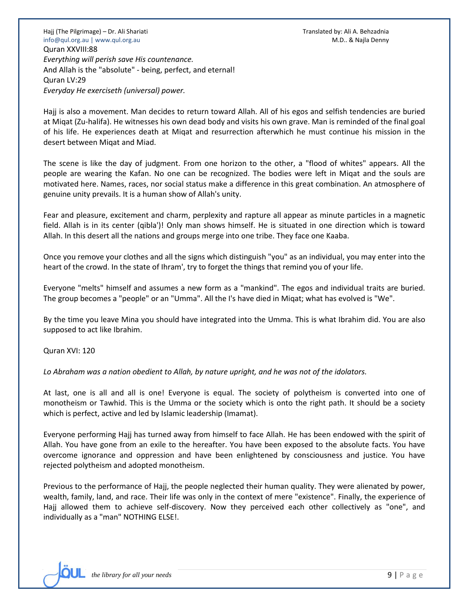Hajj (The Pilgrimage) – Dr. Ali Shariati Translated by: Ali A. Behzadnia info@qul.org.au | www.qul.org.au M.D.. & Najla Denny Quran XXVIII:88 *Everything will perish save His countenance.* And Allah is the "absolute" - being, perfect, and eternal! Quran LV:29 *Everyday He exerciseth (universal) power.*

Hajj is also a movement. Man decides to return toward Allah. All of his egos and selfish tendencies are buried at Miqat (Zu-halifa). He witnesses his own dead body and visits his own grave. Man is reminded of the final goal of his life. He experiences death at Miqat and resurrection afterwhich he must continue his mission in the desert between Miqat and Miad.

The scene is like the day of judgment. From one horizon to the other, a "flood of whites" appears. All the people are wearing the Kafan. No one can be recognized. The bodies were left in Miqat and the souls are motivated here. Names, races, nor social status make a difference in this great combination. An atmosphere of genuine unity prevails. It is a human show of Allah's unity.

Fear and pleasure, excitement and charm, perplexity and rapture all appear as minute particles in a magnetic field. Allah is in its center (qibla')! Only man shows himself. He is situated in one direction which is toward Allah. In this desert all the nations and groups merge into one tribe. They face one Kaaba.

Once you remove your clothes and all the signs which distinguish "you" as an individual, you may enter into the heart of the crowd. In the state of Ihram', try to forget the things that remind you of your life.

Everyone "melts" himself and assumes a new form as a "mankind". The egos and individual traits are buried. The group becomes a "people" or an "Umma". All the I's have died in Miqat; what has evolved is "We".

By the time you leave Mina you should have integrated into the Umma. This is what Ibrahim did. You are also supposed to act like Ibrahim.

Quran XVI: 120

*Lo Abraham was a nation obedient to Allah, by nature upright, and he was not of the idolators.*

At last, one is all and all is one! Everyone is equal. The society of polytheism is converted into one of monotheism or Tawhid. This is the Umma or the society which is onto the right path. It should be a society which is perfect, active and led by Islamic leadership (Imamat).

Everyone performing Hajj has turned away from himself to face Allah. He has been endowed with the spirit of Allah. You have gone from an exile to the hereafter. You have been exposed to the absolute facts. You have overcome ignorance and oppression and have been enlightened by consciousness and justice. You have rejected polytheism and adopted monotheism.

Previous to the performance of Hajj, the people neglected their human quality. They were alienated by power, wealth, family, land, and race. Their life was only in the context of mere "existence". Finally, the experience of Hajj allowed them to achieve self-discovery. Now they perceived each other collectively as "one", and individually as a "man" NOTHING ELSE!.

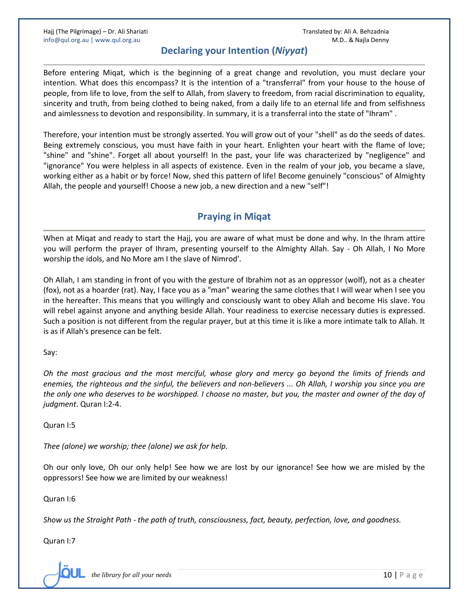### **Declaring your Intention (***Niyyat***)**

<span id="page-9-0"></span>Before entering Miqat, which is the beginning of a great change and revolution, you must declare your intention. What does this encompass? It is the intention of a "transferral" from your house to the house of people, from life to love, from the self to Allah, from slavery to freedom, from racial discrimination to equality, sincerity and truth, from being clothed to being naked, from a daily life to an eternal life and from selfishness and aimlessness to devotion and responsibility. In summary, it is a transferral into the state of "Ihram" .

Therefore, your intention must be strongly asserted. You will grow out of your "shell" as do the seeds of dates. Being extremely conscious, you must have faith in your heart. Enlighten your heart with the flame of love; "shine" and "shine". Forget all about yourself! In the past, your life was characterized by "negligence" and "ignorance" You were helpless in all aspects of existence. Even in the realm of your job, you became a slave, working either as a habit or by force! Now, shed this pattern of life! Become genuinely "conscious" of Almighty Allah, the people and yourself! Choose a new job, a new direction and a new "self"!

### **Praying in Miqat**

<span id="page-9-1"></span>When at Miqat and ready to start the Hajj, you are aware of what must be done and why. In the Ihram attire you will perform the prayer of Ihram, presenting yourself to the Almighty Allah. Say - Oh Allah, I No More worship the idols, and No More am I the slave of Nimrod'.

Oh Allah, I am standing in front of you with the gesture of Ibrahim not as an oppressor (wolf), not as a cheater (fox), not as a hoarder (rat). Nay, I face you as a "man" wearing the same clothes that I will wear when I see you in the hereafter. This means that you willingly and consciously want to obey Allah and become His slave. You will rebel against anyone and anything beside Allah. Your readiness to exercise necessary duties is expressed. Such a position is not different from the regular prayer, but at this time it is like a more intimate talk to Allah. It is as if Allah's presence can be felt.

Say:

*Oh the most gracious and the most merciful, whose glory and mercy go beyond the limits of friends and enemies, the righteous and the sinful, the believers and non-believers ... Oh Allah, I worship you since you are the only one who deserves to be worshipped. I choose no master, but you, the master and owner of the day of judgment*. Quran I:2-4.

Quran I:5

*Thee (alone) we worship; thee (alone) we ask for help.*

Oh our only love, Oh our only help! See how we are lost by our ignorance! See how we are misled by the oppressors! See how we are limited by our weakness!

Quran I:6

*Show us the Straight Path - the path of truth, consciousness, fact, beauty, perfection, love, and goodness.*

Quran I:7

*the library for all your needs* 10 | P a g e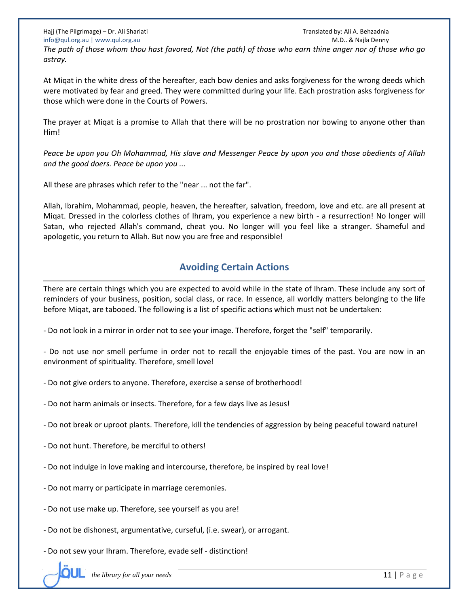Hajj (The Pilgrimage) – Dr. Ali Shariati Translated by: Ali A. Behzadnia info@qul.org.au | www.qul.org.au M.D.. & Najla Denny *The path of those whom thou hast favored, Not (the path) of those who earn thine anger nor of those who go astray.*

At Miqat in the white dress of the hereafter, each bow denies and asks forgiveness for the wrong deeds which were motivated by fear and greed. They were committed during your life. Each prostration asks forgiveness for those which were done in the Courts of Powers.

The prayer at Miqat is a promise to Allah that there will be no prostration nor bowing to anyone other than Him!

*Peace be upon you Oh Mohammad, His slave and Messenger Peace by upon you and those obedients of Allah and the good doers. Peace be upon you ...*

All these are phrases which refer to the "near ... not the far".

Allah, Ibrahim, Mohammad, people, heaven, the hereafter, salvation, freedom, love and etc. are all present at Miqat. Dressed in the colorless clothes of Ihram, you experience a new birth - a resurrection! No longer will Satan, who rejected Allah's command, cheat you. No longer will you feel like a stranger. Shameful and apologetic, you return to Allah. But now you are free and responsible!

### **Avoiding Certain Actions**

<span id="page-10-0"></span>There are certain things which you are expected to avoid while in the state of Ihram. These include any sort of reminders of your business, position, social class, or race. In essence, all worldly matters belonging to the life before Miqat, are tabooed. The following is a list of specific actions which must not be undertaken:

- Do not look in a mirror in order not to see your image. Therefore, forget the "self" temporarily.

- Do not use nor smell perfume in order not to recall the enjoyable times of the past. You are now in an environment of spirituality. Therefore, smell love!

- Do not give orders to anyone. Therefore, exercise a sense of brotherhood!

- Do not harm animals or insects. Therefore, for a few days live as Jesus!

- Do not break or uproot plants. Therefore, kill the tendencies of aggression by being peaceful toward nature!

- Do not hunt. Therefore, be merciful to others!
- Do not indulge in love making and intercourse, therefore, be inspired by real love!
- Do not marry or participate in marriage ceremonies.
- Do not use make up. Therefore, see yourself as you are!
- Do not be dishonest, argumentative, curseful, (i.e. swear), or arrogant.
- Do not sew your Ihram. Therefore, evade self distinction!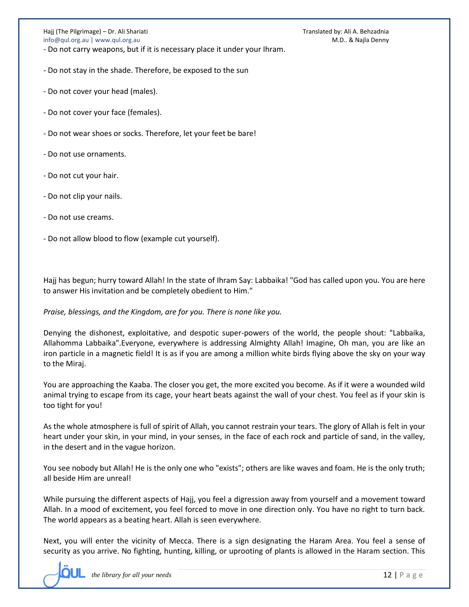- Do not carry weapons, but if it is necessary place it under your Ihram.

- Do not stay in the shade. Therefore, be exposed to the sun
- Do not cover your head (males).
- Do not cover your face (females).
- Do not wear shoes or socks. Therefore, let your feet be bare!
- Do not use ornaments.
- Do not cut your hair.
- Do not clip your nails.
- Do not use creams.
- Do not allow blood to flow (example cut yourself).

Hajj has begun; hurry toward Allah! In the state of Ihram Say: Labbaika! "God has called upon you. You are here to answer His invitation and be completely obedient to Him."

#### *Praise, blessings, and the Kingdom, are for you. There is none like you.*

Denying the dishonest, exploitative, and despotic super-powers of the world, the people shout: "Labbaika, Allahomma Labbaika".Everyone, everywhere is addressing Almighty Allah! Imagine, Oh man, you are like an iron particle in a magnetic field! It is as if you are among a million white birds flying above the sky on your way to the Miraj.

You are approaching the Kaaba. The closer you get, the more excited you become. As if it were a wounded wild animal trying to escape from its cage, your heart beats against the wall of your chest. You feel as if your skin is too tight for you!

As the whole atmosphere is full of spirit of Allah, you cannot restrain your tears. The glory of Allah is felt in your heart under your skin, in your mind, in your senses, in the face of each rock and particle of sand, in the valley, in the desert and in the vague horizon.

You see nobody but Allah! He is the only one who "exists"; others are like waves and foam. He is the only truth; all beside Him are unreal!

While pursuing the different aspects of Hajj, you feel a digression away from yourself and a movement toward Allah. In a mood of excitement, you feel forced to move in one direction only. You have no right to turn back. The world appears as a beating heart. Allah is seen everywhere.

Next, you will enter the vicinity of Mecca. There is a sign designating the Haram Area. You feel a sense of security as you arrive. No fighting, hunting, killing, or uprooting of plants is allowed in the Haram section. This

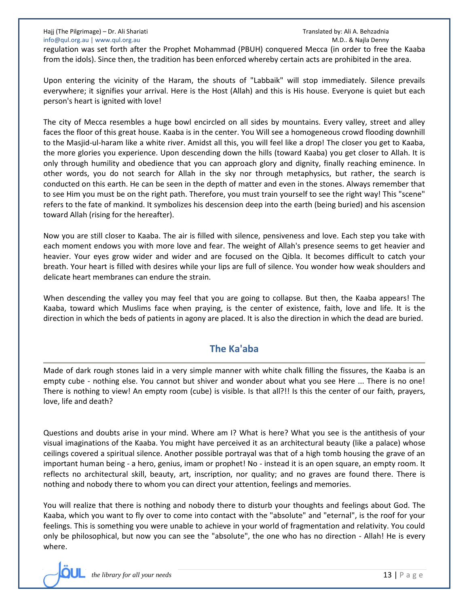### Hajj (The Pilgrimage) – Dr. Ali Shariati Translated by: Ali A. Behzadnia

# info@qul.org.au | www.qul.org.au  $\blacksquare$

regulation was set forth after the Prophet Mohammad (PBUH) conquered Mecca (in order to free the Kaaba from the idols). Since then, the tradition has been enforced whereby certain acts are prohibited in the area.

Upon entering the vicinity of the Haram, the shouts of "Labbaik" will stop immediately. Silence prevails everywhere; it signifies your arrival. Here is the Host (Allah) and this is His house. Everyone is quiet but each person's heart is ignited with love!

The city of Mecca resembles a huge bowl encircled on all sides by mountains. Every valley, street and alley faces the floor of this great house. Kaaba is in the center. You Will see a homogeneous crowd flooding downhill to the Masjid-ul-haram like a white river. Amidst all this, you will feel like a drop! The closer you get to Kaaba, the more glories you experience. Upon descending down the hills (toward Kaaba) you get closer to Allah. It is only through humility and obedience that you can approach glory and dignity, finally reaching eminence. In other words, you do not search for Allah in the sky nor through metaphysics, but rather, the search is conducted on this earth. He can be seen in the depth of matter and even in the stones. Always remember that to see Him you must be on the right path. Therefore, you must train yourself to see the right way! This "scene" refers to the fate of mankind. It symbolizes his descension deep into the earth (being buried) and his ascension toward Allah (rising for the hereafter).

Now you are still closer to Kaaba. The air is filled with silence, pensiveness and love. Each step you take with each moment endows you with more love and fear. The weight of Allah's presence seems to get heavier and heavier. Your eyes grow wider and wider and are focused on the Qibla. It becomes difficult to catch your breath. Your heart is filled with desires while your lips are full of silence. You wonder how weak shoulders and delicate heart membranes can endure the strain.

When descending the valley you may feel that you are going to collapse. But then, the Kaaba appears! The Kaaba, toward which Muslims face when praying, is the center of existence, faith, love and life. It is the direction in which the beds of patients in agony are placed. It is also the direction in which the dead are buried.

### **The Ka'aba**

<span id="page-12-0"></span>Made of dark rough stones laid in a very simple manner with white chalk filling the fissures, the Kaaba is an empty cube - nothing else. You cannot but shiver and wonder about what you see Here ... There is no one! There is nothing to view! An empty room (cube) is visible. Is that all?!! Is this the center of our faith, prayers, love, life and death?

Questions and doubts arise in your mind. Where am I? What is here? What you see is the antithesis of your visual imaginations of the Kaaba. You might have perceived it as an architectural beauty (like a palace) whose ceilings covered a spiritual silence. Another possible portrayal was that of a high tomb housing the grave of an important human being - a hero, genius, imam or prophet! No - instead it is an open square, an empty room. It reflects no architectural skill, beauty, art, inscription, nor quality; and no graves are found there. There is nothing and nobody there to whom you can direct your attention, feelings and memories.

You will realize that there is nothing and nobody there to disturb your thoughts and feelings about God. The Kaaba, which you want to fly over to come into contact with the "absolute" and "eternal", is the roof for your feelings. This is something you were unable to achieve in your world of fragmentation and relativity. You could only be philosophical, but now you can see the "absolute", the one who has no direction - Allah! He is every where.

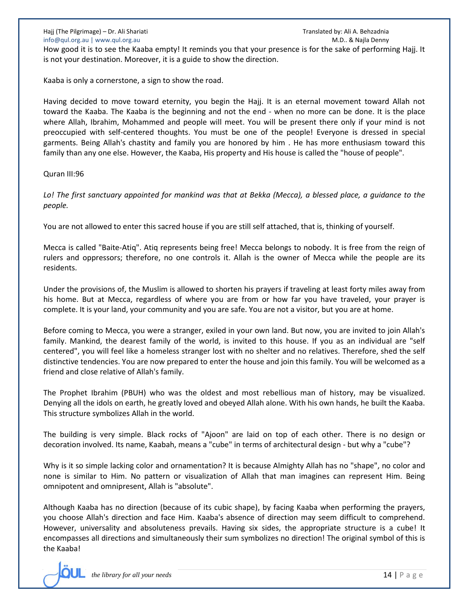Hajj (The Pilgrimage) – Dr. Ali Shariati Translated by: Ali A. Behzadnia

## info@qul.org.au | www.qul.org.au M.D.. & Najla Denny

How good it is to see the Kaaba empty! It reminds you that your presence is for the sake of performing Hajj. It is not your destination. Moreover, it is a guide to show the direction.

Kaaba is only a cornerstone, a sign to show the road.

Having decided to move toward eternity, you begin the Hajj. It is an eternal movement toward Allah not toward the Kaaba. The Kaaba is the beginning and not the end - when no more can be done. It is the place where Allah, Ibrahim, Mohammed and people will meet. You will be present there only if your mind is not preoccupied with self-centered thoughts. You must be one of the people! Everyone is dressed in special garments. Being Allah's chastity and family you are honored by him . He has more enthusiasm toward this family than any one else. However, the Kaaba, His property and His house is called the "house of people".

#### Quran III:96

*Lo! The first sanctuary appointed for mankind was that at Bekka (Mecca), a blessed place, a guidance to the people.*

You are not allowed to enter this sacred house if you are still self attached, that is, thinking of yourself.

Mecca is called "Baite-Atiq". Atiq represents being free! Mecca belongs to nobody. It is free from the reign of rulers and oppressors; therefore, no one controls it. Allah is the owner of Mecca while the people are its residents.

Under the provisions of, the Muslim is allowed to shorten his prayers if traveling at least forty miles away from his home. But at Mecca, regardless of where you are from or how far you have traveled, your prayer is complete. It is your land, your community and you are safe. You are not a visitor, but you are at home.

Before coming to Mecca, you were a stranger, exiled in your own land. But now, you are invited to join Allah's family. Mankind, the dearest family of the world, is invited to this house. If you as an individual are "self centered", you will feel like a homeless stranger lost with no shelter and no relatives. Therefore, shed the self distinctive tendencies. You are now prepared to enter the house and join this family. You will be welcomed as a friend and close relative of Allah's family.

The Prophet Ibrahim (PBUH) who was the oldest and most rebellious man of history, may be visualized. Denying all the idols on earth, he greatly loved and obeyed Allah alone. With his own hands, he built the Kaaba. This structure symbolizes Allah in the world.

The building is very simple. Black rocks of "Ajoon" are laid on top of each other. There is no design or decoration involved. Its name, Kaabah, means a "cube" in terms of architectural design - but why a "cube"?

Why is it so simple lacking color and ornamentation? It is because Almighty Allah has no "shape", no color and none is similar to Him. No pattern or visualization of Allah that man imagines can represent Him. Being omnipotent and omnipresent, Allah is "absolute".

Although Kaaba has no direction (because of its cubic shape), by facing Kaaba when performing the prayers, you choose Allah's direction and face Him. Kaaba's absence of direction may seem difficult to comprehend. However, universality and absoluteness prevails. Having six sides, the appropriate structure is a cube! It encompasses all directions and simultaneously their sum symbolizes no direction! The original symbol of this is the Kaaba!

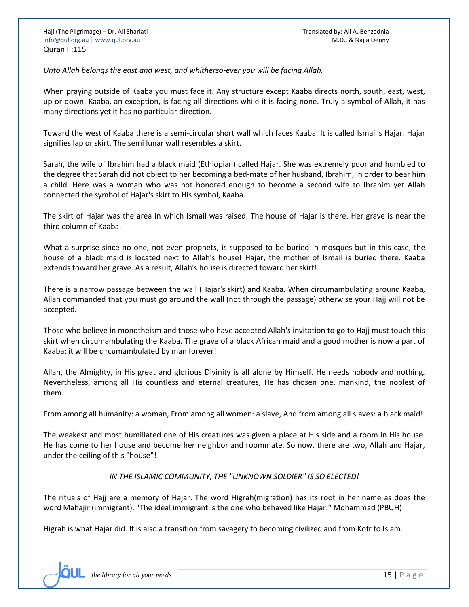*Unto Allah belongs the east and west, and whitherso-ever you will be facing Allah.*

When praying outside of Kaaba you must face it. Any structure except Kaaba directs north, south, east, west, up or down. Kaaba, an exception, is facing all directions while it is facing none. Truly a symbol of Allah, it has many directions yet it has no particular direction.

Toward the west of Kaaba there is a semi-circular short wall which faces Kaaba. It is called Ismail's Hajar. Hajar signifies lap or skirt. The semi lunar wall resembles a skirt.

Sarah, the wife of Ibrahim had a black maid (Ethiopian) called Hajar. She was extremely poor and humbled to the degree that Sarah did not object to her becoming a bed-mate of her husband, Ibrahim, in order to bear him a child. Here was a woman who was not honored enough to become a second wife to Ibrahim yet Allah connected the symbol of Hajar's skirt to His symbol, Kaaba.

The skirt of Hajar was the area in which Ismail was raised. The house of Hajar is there. Her grave is near the third column of Kaaba.

What a surprise since no one, not even prophets, is supposed to be buried in mosques but in this case, the house of a black maid is located next to Allah's house! Hajar, the mother of Ismail is buried there. Kaaba extends toward her grave. As a result, Allah's house is directed toward her skirt!

There is a narrow passage between the wall (Hajar's skirt) and Kaaba. When circumambulating around Kaaba, Allah commanded that you must go around the wall (not through the passage) otherwise your Hajj will not be accepted.

Those who believe in monotheism and those who have accepted Allah's invitation to go to Hajj must touch this skirt when circumambulating the Kaaba. The grave of a black African maid and a good mother is now a part of Kaaba; it will be circumambulated by man forever!

Allah, the Almighty, in His great and glorious Divinity is all alone by Himself. He needs nobody and nothing. Nevertheless, among all His countless and eternal creatures, He has chosen one, mankind, the noblest of them.

From among all humanity: a woman, From among all women: a slave, And from among all slaves: a black maid!

The weakest and most humiliated one of His creatures was given a place at His side and a room in His house. He has come to her house and become her neighbor and roommate. So now, there are two, Allah and Hajar, under the ceiling of this "house"!

#### *IN THE ISLAMIC COMMUNITY, THE "UNKNOWN SOLDIER" IS SO ELECTED!*

The rituals of Hajj are a memory of Hajar. The word Higrah(migration) has its root in her name as does the word Mahajir (immigrant). "The ideal immigrant is the one who behaved like Hajar." Mohammad (PBUH)

Higrah is what Hajar did. It is also a transition from savagery to becoming civilized and from Kofr to Islam.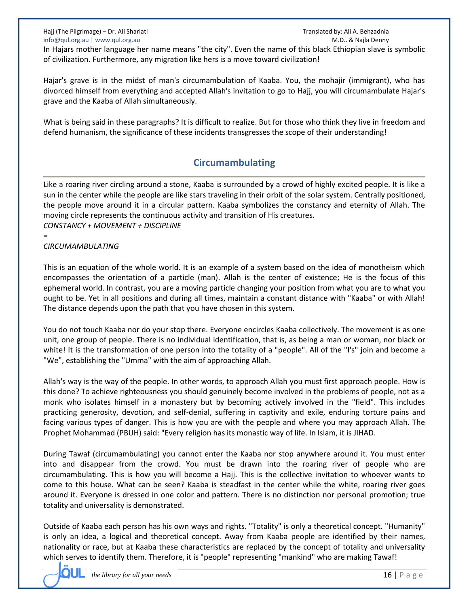In Hajars mother language her name means "the city". Even the name of this black Ethiopian slave is symbolic of civilization. Furthermore, any migration like hers is a move toward civilization!

Hajar's grave is in the midst of man's circumambulation of Kaaba. You, the mohajir (immigrant), who has divorced himself from everything and accepted Allah's invitation to go to Hajj, you will circumambulate Hajar's grave and the Kaaba of Allah simultaneously.

<span id="page-15-0"></span>What is being said in these paragraphs? It is difficult to realize. But for those who think they live in freedom and defend humanism, the significance of these incidents transgresses the scope of their understanding!

### **Circumambulating**

Like a roaring river circling around a stone, Kaaba is surrounded by a crowd of highly excited people. It is like a sun in the center while the people are like stars traveling in their orbit of the solar system. Centrally positioned, the people move around it in a circular pattern. Kaaba symbolizes the constancy and eternity of Allah. The moving circle represents the continuous activity and transition of His creatures. *CONSTANCY + MOVEMENT + DISCIPLINE*

#### *= CIRCUMAMBULATING*

This is an equation of the whole world. It is an example of a system based on the idea of monotheism which encompasses the orientation of a particle (man). Allah is the center of existence; He is the focus of this ephemeral world. In contrast, you are a moving particle changing your position from what you are to what you ought to be. Yet in all positions and during all times, maintain a constant distance with "Kaaba" or with Allah! The distance depends upon the path that you have chosen in this system.

You do not touch Kaaba nor do your stop there. Everyone encircles Kaaba collectively. The movement is as one unit, one group of people. There is no individual identification, that is, as being a man or woman, nor black or white! It is the transformation of one person into the totality of a "people". All of the "I's" join and become a "We", establishing the "Umma" with the aim of approaching Allah.

Allah's way is the way of the people. In other words, to approach Allah you must first approach people. How is this done? To achieve righteousness you should genuinely become involved in the problems of people, not as a monk who isolates himself in a monastery but by becoming actively involved in the "field". This includes practicing generosity, devotion, and self-denial, suffering in captivity and exile, enduring torture pains and facing various types of danger. This is how you are with the people and where you may approach Allah. The Prophet Mohammad (PBUH) said: "Every religion has its monastic way of life. In Islam, it is JIHAD.

During Tawaf (circumambulating) you cannot enter the Kaaba nor stop anywhere around it. You must enter into and disappear from the crowd. You must be drawn into the roaring river of people who are circumambulating. This is how you will become a Hajj. This is the collective invitation to whoever wants to come to this house. What can be seen? Kaaba is steadfast in the center while the white, roaring river goes around it. Everyone is dressed in one color and pattern. There is no distinction nor personal promotion; true totality and universality is demonstrated.

Outside of Kaaba each person has his own ways and rights. "Totality" is only a theoretical concept. "Humanity" is only an idea, a logical and theoretical concept. Away from Kaaba people are identified by their names, nationality or race, but at Kaaba these characteristics are replaced by the concept of totality and universality which serves to identify them. Therefore, it is "people" representing "mankind" who are making Tawaf!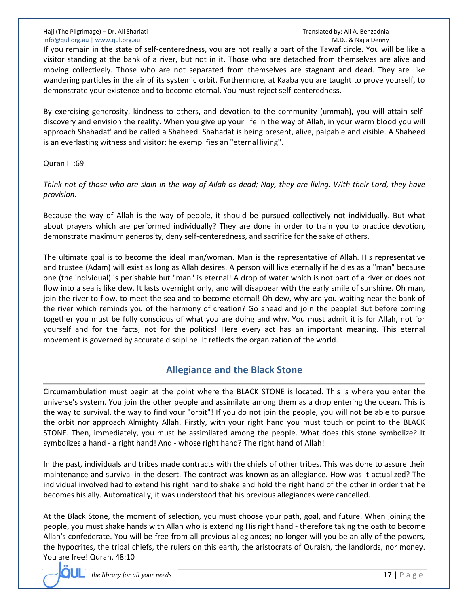If you remain in the state of self-centeredness, you are not really a part of the Tawaf circle. You will be like a visitor standing at the bank of a river, but not in it. Those who are detached from themselves are alive and moving collectively. Those who are not separated from themselves are stagnant and dead. They are like wandering particles in the air of its systemic orbit. Furthermore, at Kaaba you are taught to prove yourself, to demonstrate your existence and to become eternal. You must reject self-centeredness.

By exercising generosity, kindness to others, and devotion to the community (ummah), you will attain selfdiscovery and envision the reality. When you give up your life in the way of Allah, in your warm blood you will approach Shahadat' and be called a Shaheed. Shahadat is being present, alive, palpable and visible. A Shaheed is an everlasting witness and visitor; he exemplifies an "eternal living".

#### Quran III:69

*Think not of those who are slain in the way of Allah as dead; Nay, they are living. With their Lord, they have provision.*

Because the way of Allah is the way of people, it should be pursued collectively not individually. But what about prayers which are performed individually? They are done in order to train you to practice devotion, demonstrate maximum generosity, deny self-centeredness, and sacrifice for the sake of others.

The ultimate goal is to become the ideal man/woman. Man is the representative of Allah. His representative and trustee (Adam) will exist as long as Allah desires. A person will live eternally if he dies as a "man" because one (the individual) is perishable but "man" is eternal! A drop of water which is not part of a river or does not flow into a sea is like dew. It lasts overnight only, and will disappear with the early smile of sunshine. Oh man, join the river to flow, to meet the sea and to become eternal! Oh dew, why are you waiting near the bank of the river which reminds you of the harmony of creation? Go ahead and join the people! But before coming together you must be fully conscious of what you are doing and why. You must admit it is for Allah, not for yourself and for the facts, not for the politics! Here every act has an important meaning. This eternal movement is governed by accurate discipline. It reflects the organization of the world.

### **Allegiance and the Black Stone**

<span id="page-16-0"></span>Circumambulation must begin at the point where the BLACK STONE is located. This is where you enter the universe's system. You join the other people and assimilate among them as a drop entering the ocean. This is the way to survival, the way to find your "orbit"! If you do not join the people, you will not be able to pursue the orbit nor approach Almighty Allah. Firstly, with your right hand you must touch or point to the BLACK STONE. Then, immediately, you must be assimilated among the people. What does this stone symbolize? It symbolizes a hand - a right hand! And - whose right hand? The right hand of Allah!

In the past, individuals and tribes made contracts with the chiefs of other tribes. This was done to assure their maintenance and survival in the desert. The contract was known as an allegiance. How was it actualized? The individual involved had to extend his right hand to shake and hold the right hand of the other in order that he becomes his ally. Automatically, it was understood that his previous allegiances were cancelled.

At the Black Stone, the moment of selection, you must choose your path, goal, and future. When joining the people, you must shake hands with Allah who is extending His right hand - therefore taking the oath to become Allah's confederate. You will be free from all previous allegiances; no longer will you be an ally of the powers, the hypocrites, the tribal chiefs, the rulers on this earth, the aristocrats of Quraish, the landlords, nor money. You are free! Quran, 48:10

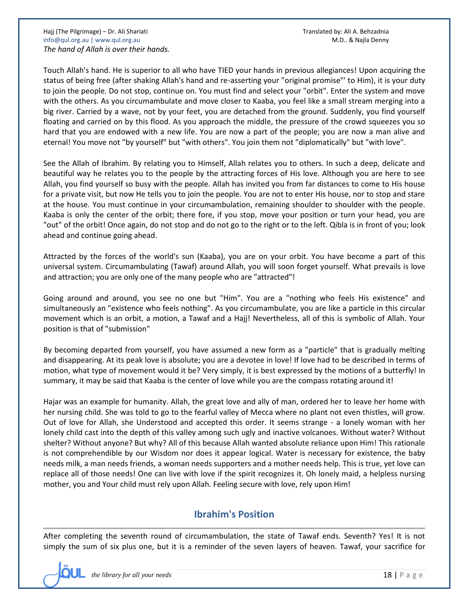Touch Allah's hand. He is superior to all who have TIED your hands in previous allegiances! Upon acquiring the status of being free (after shaking Allah's hand and re-asserting your "original promise"' to Him), it is your duty to join the people. Do not stop, continue on. You must find and select your "orbit". Enter the system and move with the others. As you circumambulate and move closer to Kaaba, you feel like a small stream merging into a big river. Carried by a wave, not by your feet, you are detached from the ground. Suddenly, you find yourself floating and carried on by this flood. As you approach the middle, the pressure of the crowd squeezes you so hard that you are endowed with a new life. You are now a part of the people; you are now a man alive and eternal! You move not "by yourself" but "with others". You join them not "diplomatically" but "with love".

See the Allah of Ibrahim. By relating you to Himself, Allah relates you to others. In such a deep, delicate and beautiful way he relates you to the people by the attracting forces of His love. Although you are here to see Allah, you find yourself so busy with the people. Allah has invited you from far distances to come to His house for a private visit, but now He tells you to join the people. You are not to enter His house, nor to stop and stare at the house. You must continue in your circumambulation, remaining shoulder to shoulder with the people. Kaaba is only the center of the orbit; there fore, if you stop, move your position or turn your head, you are "out" of the orbit! Once again, do not stop and do not go to the right or to the left. Qibla is in front of you; look ahead and continue going ahead.

Attracted by the forces of the world's sun (Kaaba), you are on your orbit. You have become a part of this universal system. Circumambulating (Tawaf) around Allah, you will soon forget yourself. What prevails is love and attraction; you are only one of the many people who are "attracted"!

Going around and around, you see no one but "Him". You are a "nothing who feels His existence" and simultaneously an "existence who feels nothing". As you circumambulate, you are like a particle in this circular movement which is an orbit, a motion, a Tawaf and a Hajj! Nevertheless, all of this is symbolic of Allah. Your position is that of "submission"

By becoming departed from yourself, you have assumed a new form as a "particle" that is gradually melting and disappearing. At its peak love is absolute; you are a devotee in love! If love had to be described in terms of motion, what type of movement would it be? Very simply, it is best expressed by the motions of a butterfly! In summary, it may be said that Kaaba is the center of love while you are the compass rotating around it!

Hajar was an example for humanity. Allah, the great love and ally of man, ordered her to leave her home with her nursing child. She was told to go to the fearful valley of Mecca where no plant not even thistles, will grow. Out of love for Allah, she Understood and accepted this order. It seems strange - a lonely woman with her lonely child cast into the depth of this valley among such ugly and inactive volcanoes. Without water? Without shelter? Without anyone? But why? All of this because Allah wanted absolute reliance upon Him! This rationale is not comprehendible by our Wisdom nor does it appear logical. Water is necessary for existence, the baby needs milk, a man needs friends, a woman needs supporters and a mother needs help. This is true, yet love can replace all of those needs! One can live with love if the spirit recognizes it. Oh lonely maid, a helpless nursing mother, you and Your child must rely upon Allah. Feeling secure with love, rely upon Him!

### **Ibrahim's Position**

<span id="page-17-0"></span>After completing the seventh round of circumambulation, the state of Tawaf ends. Seventh? Yes! It is not simply the sum of six plus one, but it is a reminder of the seven layers of heaven. Tawaf, your sacrifice for

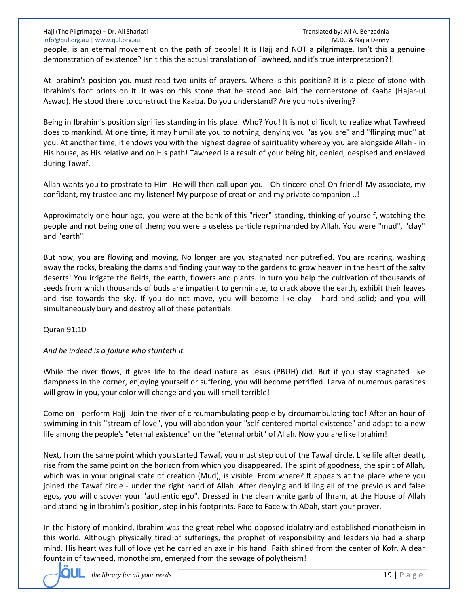### Hajj (The Pilgrimage) – Dr. Ali Shariati Translated by: Ali A. Behzadnia

# info@qul.org.au | www.qul.org.au M.D.. & Najla Denny

people, is an eternal movement on the path of people! It is Hajj and NOT a pilgrimage. Isn't this a genuine demonstration of existence? Isn't this the actual translation of Tawheed, and it's true interpretation?!!

At Ibrahim's position you must read two units of prayers. Where is this position? It is a piece of stone with Ibrahim's foot prints on it. It was on this stone that he stood and laid the cornerstone of Kaaba (Hajar-ul Aswad). He stood there to construct the Kaaba. Do you understand? Are you not shivering?

Being in Ibrahim's position signifies standing in his place! Who? You! It is not difficult to realize what Tawheed does to mankind. At one time, it may humiliate you to nothing, denying you "as you are" and "flinging mud" at you. At another time, it endows you with the highest degree of spirituality whereby you are alongside Allah - in His house, as His relative and on His path! Tawheed is a result of your being hit, denied, despised and enslaved during Tawaf.

Allah wants you to prostrate to Him. He will then call upon you - Oh sincere one! Oh friend! My associate, my confidant, my trustee and my listener! My purpose of creation and my private companion ..!

Approximately one hour ago, you were at the bank of this "river" standing, thinking of yourself, watching the people and not being one of them; you were a useless particle reprimanded by Allah. You were "mud", "clay" and "earth"

But now, you are flowing and moving. No longer are you stagnated nor putrefied. You are roaring, washing away the rocks, breaking the dams and finding your way to the gardens to grow heaven in the heart of the salty deserts! You irrigate the fields, the earth, flowers and plants. In turn you help the cultivation of thousands of seeds from which thousands of buds are impatient to germinate, to crack above the earth, exhibit their leaves and rise towards the sky. If you do not move, you will become like clay - hard and solid; and you will simultaneously bury and destroy all of these potentials.

Quran 91:10

#### *And he indeed is a failure who stunteth it.*

While the river flows, it gives life to the dead nature as Jesus (PBUH) did. But if you stay stagnated like dampness in the corner, enjoying yourself or suffering, you will become petrified. Larva of numerous parasites will grow in you, your color will change and you will smell terrible!

Come on - perform Hajj! Join the river of circumambulating people by circumambulating too! After an hour of swimming in this "stream of love", you will abandon your "self-centered mortal existence" and adapt to a new life among the people's "eternal existence" on the "eternal orbit" of Allah. Now you are like Ibrahim!

Next, from the same point which you started Tawaf, you must step out of the Tawaf circle. Like life after death, rise from the same point on the horizon from which you disappeared. The spirit of goodness, the spirit of Allah, which was in your original state of creation (Mud), is visible. From where? It appears at the place where you joined the Tawaf circle - under the right hand of Allah. After denying and killing all of the previous and false egos, you will discover your "authentic ego". Dressed in the clean white garb of Ihram, at the House of Allah and standing in Ibrahim's position, step in his footprints. Face to Face with ADah, start your prayer.

In the history of mankind, Ibrahim was the great rebel who opposed idolatry and established monotheism in this world. Although physically tired of sufferings, the prophet of responsibility and leadership had a sharp mind. His heart was full of love yet he carried an axe in his hand! Faith shined from the center of Kofr. A clear fountain of tawheed, monotheism, emerged from the sewage of polytheism!

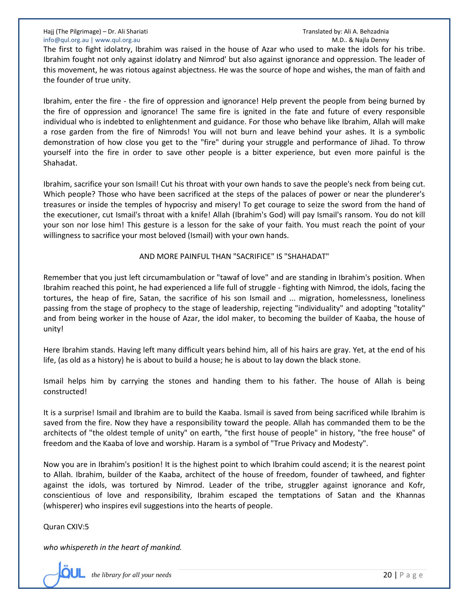The first to fight idolatry, Ibrahim was raised in the house of Azar who used to make the idols for his tribe. Ibrahim fought not only against idolatry and Nimrod' but also against ignorance and oppression. The leader of this movement, he was riotous against abjectness. He was the source of hope and wishes, the man of faith and the founder of true unity.

Ibrahim, enter the fire - the fire of oppression and ignorance! Help prevent the people from being burned by the fire of oppression and ignorance! The same fire is ignited in the fate and future of every responsible individual who is indebted to enlightenment and guidance. For those who behave like Ibrahim, Allah will make a rose garden from the fire of Nimrods! You will not burn and leave behind your ashes. It is a symbolic demonstration of how close you get to the "fire" during your struggle and performance of Jihad. To throw yourself into the fire in order to save other people is a bitter experience, but even more painful is the Shahadat.

Ibrahim, sacrifice your son Ismail! Cut his throat with your own hands to save the people's neck from being cut. Which people? Those who have been sacrificed at the steps of the palaces of power or near the plunderer's treasures or inside the temples of hypocrisy and misery! To get courage to seize the sword from the hand of the executioner, cut Ismail's throat with a knife! Allah (Ibrahim's God) will pay Ismail's ransom. You do not kill your son nor lose him! This gesture is a lesson for the sake of your faith. You must reach the point of your willingness to sacrifice your most beloved (Ismail) with your own hands.

#### AND MORE PAINFUL THAN "SACRIFICE" IS "SHAHADAT"

Remember that you just left circumambulation or "tawaf of love" and are standing in Ibrahim's position. When Ibrahim reached this point, he had experienced a life full of struggle - fighting with Nimrod, the idols, facing the tortures, the heap of fire, Satan, the sacrifice of his son Ismail and ... migration, homelessness, loneliness passing from the stage of prophecy to the stage of leadership, rejecting "individuality" and adopting "totality" and from being worker in the house of Azar, the idol maker, to becoming the builder of Kaaba, the house of unity!

Here Ibrahim stands. Having left many difficult years behind him, all of his hairs are gray. Yet, at the end of his life, (as old as a history) he is about to build a house; he is about to lay down the black stone.

Ismail helps him by carrying the stones and handing them to his father. The house of Allah is being constructed!

It is a surprise! Ismail and Ibrahim are to build the Kaaba. Ismail is saved from being sacrificed while Ibrahim is saved from the fire. Now they have a responsibility toward the people. Allah has commanded them to be the architects of "the oldest temple of unity" on earth, "the first house of people" in history, "the free house" of freedom and the Kaaba of love and worship. Haram is a symbol of "True Privacy and Modesty".

Now you are in Ibrahim's position! It is the highest point to which Ibrahim could ascend; it is the nearest point to Allah. Ibrahim, builder of the Kaaba, architect of the house of freedom, founder of tawheed, and fighter against the idols, was tortured by Nimrod. Leader of the tribe, struggler against ignorance and Kofr, conscientious of love and responsibility, Ibrahim escaped the temptations of Satan and the Khannas (whisperer) who inspires evil suggestions into the hearts of people.

#### Quran CXIV:5

*who whispereth in the heart of mankind.*

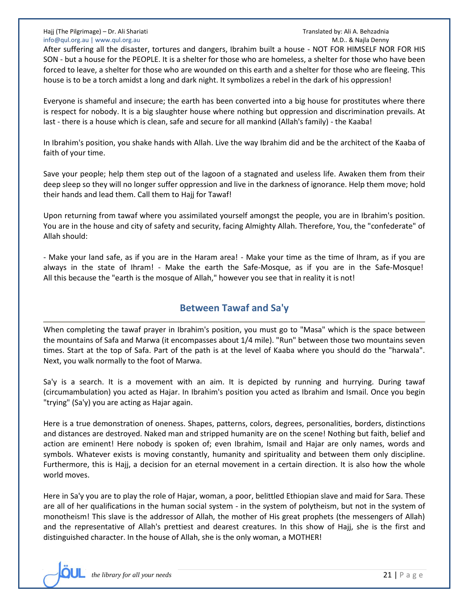After suffering all the disaster, tortures and dangers, Ibrahim built a house - NOT FOR HIMSELF NOR FOR HIS SON - but a house for the PEOPLE. It is a shelter for those who are homeless, a shelter for those who have been forced to leave, a shelter for those who are wounded on this earth and a shelter for those who are fleeing. This house is to be a torch amidst a long and dark night. It symbolizes a rebel in the dark of his oppression!

Everyone is shameful and insecure; the earth has been converted into a big house for prostitutes where there is respect for nobody. It is a big slaughter house where nothing but oppression and discrimination prevails. At last - there is a house which is clean, safe and secure for all mankind (Allah's family) - the Kaaba!

In Ibrahim's position, you shake hands with Allah. Live the way Ibrahim did and be the architect of the Kaaba of faith of your time.

Save your people; help them step out of the lagoon of a stagnated and useless life. Awaken them from their deep sleep so they will no longer suffer oppression and live in the darkness of ignorance. Help them move; hold their hands and lead them. Call them to Hajj for Tawaf!

Upon returning from tawaf where you assimilated yourself amongst the people, you are in Ibrahim's position. You are in the house and city of safety and security, facing Almighty Allah. Therefore, You, the "confederate" of Allah should:

- Make your land safe, as if you are in the Haram area! - Make your time as the time of Ihram, as if you are always in the state of Ihram! - Make the earth the Safe-Mosque, as if you are in the Safe-Mosque! All this because the "earth is the mosque of Allah," however you see that in reality it is not!

### **Between Tawaf and Sa'y**

<span id="page-20-0"></span>When completing the tawaf prayer in Ibrahim's position, you must go to "Masa" which is the space between the mountains of Safa and Marwa (it encompasses about 1/4 mile). "Run" between those two mountains seven times. Start at the top of Safa. Part of the path is at the level of Kaaba where you should do the "harwala". Next, you walk normally to the foot of Marwa.

Sa'y is a search. It is a movement with an aim. It is depicted by running and hurrying. During tawaf (circumambulation) you acted as Hajar. In Ibrahim's position you acted as Ibrahim and Ismail. Once you begin "trying" (Sa'y) you are acting as Hajar again.

Here is a true demonstration of oneness. Shapes, patterns, colors, degrees, personalities, borders, distinctions and distances are destroyed. Naked man and stripped humanity are on the scene! Nothing but faith, belief and action are eminent! Here nobody is spoken of; even Ibrahim, Ismail and Hajar are only names, words and symbols. Whatever exists is moving constantly, humanity and spirituality and between them only discipline. Furthermore, this is Hajj, a decision for an eternal movement in a certain direction. It is also how the whole world moves.

Here in Sa'y you are to play the role of Hajar, woman, a poor, belittled Ethiopian slave and maid for Sara. These are all of her qualifications in the human social system - in the system of polytheism, but not in the system of monotheism! This slave is the addressor of Allah, the mother of His great prophets (the messengers of Allah) and the representative of Allah's prettiest and dearest creatures. In this show of Hajj, she is the first and distinguished character. In the house of Allah, she is the only woman, a MOTHER!

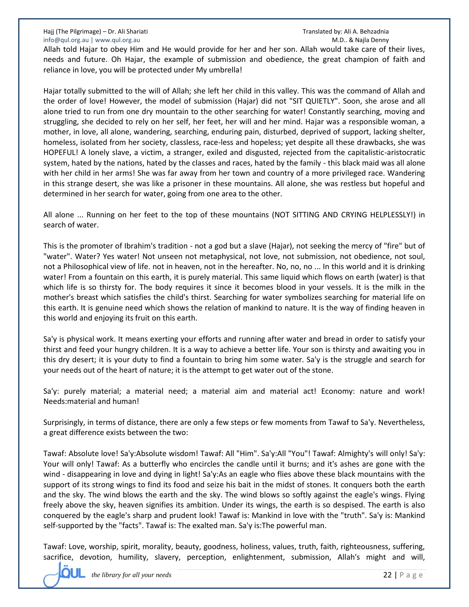Allah told Hajar to obey Him and He would provide for her and her son. Allah would take care of their lives, needs and future. Oh Hajar, the example of submission and obedience, the great champion of faith and reliance in love, you will be protected under My umbrella!

Hajar totally submitted to the will of Allah; she left her child in this valley. This was the command of Allah and the order of love! However, the model of submission (Hajar) did not "SIT QUIETLY". Soon, she arose and all alone tried to run from one dry mountain to the other searching for water! Constantly searching, moving and struggling, she decided to rely on her self, her feet, her will and her mind. Hajar was a responsible woman, a mother, in love, all alone, wandering, searching, enduring pain, disturbed, deprived of support, lacking shelter, homeless, isolated from her society, classless, race-less and hopeless; yet despite all these drawbacks, she was HOPEFUL! A lonely slave, a victim, a stranger, exiled and disgusted, rejected from the capitalistic-aristocratic system, hated by the nations, hated by the classes and races, hated by the family - this black maid was all alone with her child in her arms! She was far away from her town and country of a more privileged race. Wandering in this strange desert, she was like a prisoner in these mountains. All alone, she was restless but hopeful and determined in her search for water, going from one area to the other.

All alone ... Running on her feet to the top of these mountains (NOT SITTING AND CRYING HELPLESSLY!) in search of water.

This is the promoter of Ibrahim's tradition - not a god but a slave (Hajar), not seeking the mercy of "fire" but of "water". Water? Yes water! Not unseen not metaphysical, not love, not submission, not obedience, not soul, not a Philosophical view of life. not in heaven, not in the hereafter. No, no, no ... In this world and it is drinking water! From a fountain on this earth, it is purely material. This same liquid which flows on earth (water) is that which life is so thirsty for. The body requires it since it becomes blood in your vessels. It is the milk in the mother's breast which satisfies the child's thirst. Searching for water symbolizes searching for material life on this earth. It is genuine need which shows the relation of mankind to nature. It is the way of finding heaven in this world and enjoying its fruit on this earth.

Sa'y is physical work. It means exerting your efforts and running after water and bread in order to satisfy your thirst and feed your hungry children. It is a way to achieve a better life. Your son is thirsty and awaiting you in this dry desert; it is your duty to find a fountain to bring him some water. Sa'y is the struggle and search for your needs out of the heart of nature; it is the attempt to get water out of the stone.

Sa'y: purely material; a material need; a material aim and material act! Economy: nature and work! Needs:material and human!

Surprisingly, in terms of distance, there are only a few steps or few moments from Tawaf to Sa'y. Nevertheless, a great difference exists between the two:

Tawaf: Absolute love! Sa'y:Absolute wisdom! Tawaf: All "Him". Sa'y:All "You"! Tawaf: Almighty's will only! Sa'y: Your will only! Tawaf: As a butterfly who encircles the candle until it burns; and it's ashes are gone with the wind - disappearing in love and dying in light! Sa'y:As an eagle who flies above these black mountains with the support of its strong wings to find its food and seize his bait in the midst of stones. It conquers both the earth and the sky. The wind blows the earth and the sky. The wind blows so softly against the eagle's wings. Flying freely above the sky, heaven signifies its ambition. Under its wings, the earth is so despised. The earth is also conquered by the eagle's sharp and prudent look! Tawaf is: Mankind in love with the "truth". Sa'y is: Mankind self-supported by the "facts". Tawaf is: The exalted man. Sa'y is:The powerful man.

Tawaf: Love, worship, spirit, morality, beauty, goodness, holiness, values, truth, faith, righteousness, suffering, sacrifice, devotion, humility, slavery, perception, enlightenment, submission, Allah's might and will,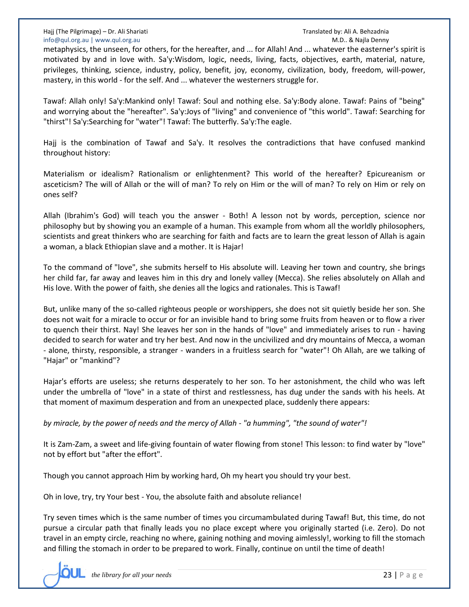metaphysics, the unseen, for others, for the hereafter, and ... for Allah! And ... whatever the easterner's spirit is motivated by and in love with. Sa'y:Wisdom, logic, needs, living, facts, objectives, earth, material, nature, privileges, thinking, science, industry, policy, benefit, joy, economy, civilization, body, freedom, will-power, mastery, in this world - for the self. And ... whatever the westerners struggle for.

Tawaf: Allah only! Sa'y:Mankind only! Tawaf: Soul and nothing else. Sa'y:Body alone. Tawaf: Pains of "being" and worrying about the "hereafter". Sa'y:Joys of "living" and convenience of "this world". Tawaf: Searching for "thirst"! Sa'y:Searching for "water"! Tawaf: The butterfly. Sa'y:The eagle.

Hajj is the combination of Tawaf and Sa'y. It resolves the contradictions that have confused mankind throughout history:

Materialism or idealism? Rationalism or enlightenment? This world of the hereafter? Epicureanism or asceticism? The will of Allah or the will of man? To rely on Him or the will of man? To rely on Him or rely on ones self?

Allah (Ibrahim's God) will teach you the answer - Both! A lesson not by words, perception, science nor philosophy but by showing you an example of a human. This example from whom all the worldly philosophers, scientists and great thinkers who are searching for faith and facts are to learn the great lesson of Allah is again a woman, a black Ethiopian slave and a mother. It is Hajar!

To the command of "love", she submits herself to His absolute will. Leaving her town and country, she brings her child far, far away and leaves him in this dry and lonely valley (Mecca). She relies absolutely on Allah and His love. With the power of faith, she denies all the logics and rationales. This is Tawaf!

But, unlike many of the so-called righteous people or worshippers, she does not sit quietly beside her son. She does not wait for a miracle to occur or for an invisible hand to bring some fruits from heaven or to flow a river to quench their thirst. Nay! She leaves her son in the hands of "love" and immediately arises to run - having decided to search for water and try her best. And now in the uncivilized and dry mountains of Mecca, a woman - alone, thirsty, responsible, a stranger - wanders in a fruitless search for "water"! Oh Allah, are we talking of "Hajar" or "mankind"?

Hajar's efforts are useless; she returns desperately to her son. To her astonishment, the child who was left under the umbrella of "love" in a state of thirst and restlessness, has dug under the sands with his heels. At that moment of maximum desperation and from an unexpected place, suddenly there appears:

*by miracle, by the power of needs and the mercy of Allah - "a humming", "the sound of water"!*

It is Zam-Zam, a sweet and life-giving fountain of water flowing from stone! This lesson: to find water by "love" not by effort but "after the effort".

Though you cannot approach Him by working hard, Oh my heart you should try your best.

Oh in love, try, try Your best - You, the absolute faith and absolute reliance!

Try seven times which is the same number of times you circumambulated during Tawaf! But, this time, do not pursue a circular path that finally leads you no place except where you originally started (i.e. Zero). Do not travel in an empty circle, reaching no where, gaining nothing and moving aimlessly!, working to fill the stomach and filling the stomach in order to be prepared to work. Finally, continue on until the time of death!

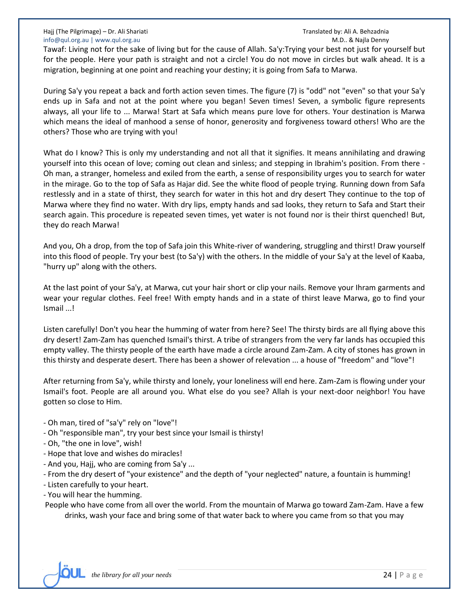Tawaf: Living not for the sake of living but for the cause of Allah. Sa'y:Trying your best not just for yourself but for the people. Here your path is straight and not a circle! You do not move in circles but walk ahead. It is a migration, beginning at one point and reaching your destiny; it is going from Safa to Marwa.

During Sa'y you repeat a back and forth action seven times. The figure (7) is "odd" not "even" so that your Sa'y ends up in Safa and not at the point where you began! Seven times! Seven, a symbolic figure represents always, all your life to ... Marwa! Start at Safa which means pure love for others. Your destination is Marwa which means the ideal of manhood a sense of honor, generosity and forgiveness toward others! Who are the others? Those who are trying with you!

What do I know? This is only my understanding and not all that it signifies. It means annihilating and drawing yourself into this ocean of love; coming out clean and sinless; and stepping in Ibrahim's position. From there - Oh man, a stranger, homeless and exiled from the earth, a sense of responsibility urges you to search for water in the mirage. Go to the top of Safa as Hajar did. See the white flood of people trying. Running down from Safa restlessly and in a state of thirst, they search for water in this hot and dry desert They continue to the top of Marwa where they find no water. With dry lips, empty hands and sad looks, they return to Safa and Start their search again. This procedure is repeated seven times, yet water is not found nor is their thirst quenched! But, they do reach Marwa!

And you, Oh a drop, from the top of Safa join this White-river of wandering, struggling and thirst! Draw yourself into this flood of people. Try your best (to Sa'y) with the others. In the middle of your Sa'y at the level of Kaaba, "hurry up" along with the others.

At the last point of your Sa'y, at Marwa, cut your hair short or clip your nails. Remove your Ihram garments and wear your regular clothes. Feel free! With empty hands and in a state of thirst leave Marwa, go to find your Ismail ...!

Listen carefully! Don't you hear the humming of water from here? See! The thirsty birds are all flying above this dry desert! Zam-Zam has quenched Ismail's thirst. A tribe of strangers from the very far lands has occupied this empty valley. The thirsty people of the earth have made a circle around Zam-Zam. A city of stones has grown in this thirsty and desperate desert. There has been a shower of relevation ... a house of "freedom" and "love"!

After returning from Sa'y, while thirsty and lonely, your loneliness will end here. Zam-Zam is flowing under your Ismail's foot. People are all around you. What else do you see? Allah is your next-door neighbor! You have gotten so close to Him.

- Oh man, tired of "sa'y" rely on "love"!
- Oh "responsible man", try your best since your Ismail is thirsty!
- Oh, "the one in love", wish!
- Hope that love and wishes do miracles!
- And you, Hajj, who are coming from Sa'y ...
- From the dry desert of "your existence" and the depth of "your neglected" nature, a fountain is humming!
- Listen carefully to your heart.
- You will hear the humming.

People who have come from all over the world. From the mountain of Marwa go toward Zam-Zam. Have a few drinks, wash your face and bring some of that water back to where you came from so that you may

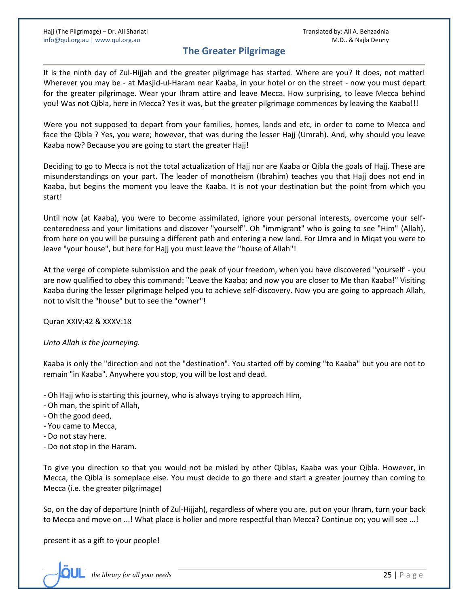#### **The Greater Pilgrimage**

<span id="page-24-0"></span>It is the ninth day of Zul-Hijjah and the greater pilgrimage has started. Where are you? It does, not matter! Wherever you may be - at Masjid-ul-Haram near Kaaba, in your hotel or on the street - now you must depart for the greater pilgrimage. Wear your Ihram attire and leave Mecca. How surprising, to leave Mecca behind you! Was not Qibla, here in Mecca? Yes it was, but the greater pilgrimage commences by leaving the Kaaba!!!

Were you not supposed to depart from your families, homes, lands and etc, in order to come to Mecca and face the Qibla ? Yes, you were; however, that was during the lesser Hajj (Umrah). And, why should you leave Kaaba now? Because you are going to start the greater Hajj!

Deciding to go to Mecca is not the total actualization of Hajj nor are Kaaba or Qibla the goals of Hajj. These are misunderstandings on your part. The leader of monotheism (Ibrahim) teaches you that Hajj does not end in Kaaba, but begins the moment you leave the Kaaba. It is not your destination but the point from which you start!

Until now (at Kaaba), you were to become assimilated, ignore your personal interests, overcome your selfcenteredness and your limitations and discover "yourself". Oh "immigrant" who is going to see "Him" (Allah), from here on you will be pursuing a different path and entering a new land. For Umra and in Miqat you were to leave "your house", but here for Hajj you must leave the "house of Allah"!

At the verge of complete submission and the peak of your freedom, when you have discovered "yourself' - you are now qualified to obey this command: "Leave the Kaaba; and now you are closer to Me than Kaaba!" Visiting Kaaba during the lesser pilgrimage helped you to achieve self-discovery. Now you are going to approach Allah, not to visit the "house" but to see the "owner"!

Quran XXIV:42 & XXXV:18

*Unto Allah is the journeying.*

Kaaba is only the "direction and not the "destination". You started off by coming "to Kaaba" but you are not to remain "in Kaaba". Anywhere you stop, you will be lost and dead.

- Oh Hajj who is starting this journey, who is always trying to approach Him,
- Oh man, the spirit of Allah,
- Oh the good deed,
- You came to Mecca,
- Do not stay here.
- Do not stop in the Haram.

To give you direction so that you would not be misled by other Qiblas, Kaaba was your Qibla. However, in Mecca, the Qibla is someplace else. You must decide to go there and start a greater journey than coming to Mecca (i.e. the greater pilgrimage)

So, on the day of departure (ninth of Zul-Hijjah), regardless of where you are, put on your Ihram, turn your back to Mecca and move on ...! What place is holier and more respectful than Mecca? Continue on; you will see ...!

present it as a gift to your people!

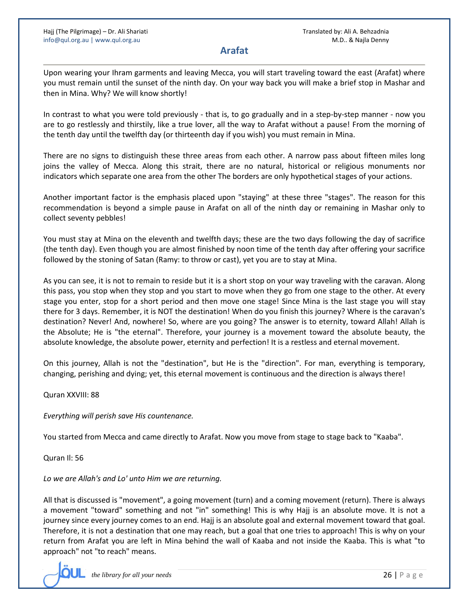#### **Arafat**

<span id="page-25-0"></span>Upon wearing your Ihram garments and leaving Mecca, you will start traveling toward the east (Arafat) where you must remain until the sunset of the ninth day. On your way back you will make a brief stop in Mashar and then in Mina. Why? We will know shortly!

In contrast to what you were told previously - that is, to go gradually and in a step-by-step manner - now you are to go restlessly and thirstily, like a true lover, all the way to Arafat without a pause! From the morning of the tenth day until the twelfth day (or thirteenth day if you wish) you must remain in Mina.

There are no signs to distinguish these three areas from each other. A narrow pass about fifteen miles long joins the valley of Mecca. Along this strait, there are no natural, historical or religious monuments nor indicators which separate one area from the other The borders are only hypothetical stages of your actions.

Another important factor is the emphasis placed upon "staying" at these three "stages". The reason for this recommendation is beyond a simple pause in Arafat on all of the ninth day or remaining in Mashar only to collect seventy pebbles!

You must stay at Mina on the eleventh and twelfth days; these are the two days following the day of sacrifice (the tenth day). Even though you are almost finished by noon time of the tenth day after offering your sacrifice followed by the stoning of Satan (Ramy: to throw or cast), yet you are to stay at Mina.

As you can see, it is not to remain to reside but it is a short stop on your way traveling with the caravan. Along this pass, you stop when they stop and you start to move when they go from one stage to the other. At every stage you enter, stop for a short period and then move one stage! Since Mina is the last stage you will stay there for 3 days. Remember, it is NOT the destination! When do you finish this journey? Where is the caravan's destination? Never! And, nowhere! So, where are you going? The answer is to eternity, toward Allah! Allah is the Absolute; He is "the eternal". Therefore, your journey is a movement toward the absolute beauty, the absolute knowledge, the absolute power, eternity and perfection! It is a restless and eternal movement.

On this journey, Allah is not the "destination", but He is the "direction". For man, everything is temporary, changing, perishing and dying; yet, this eternal movement is continuous and the direction is always there!

Quran XXVIII: 88

*Everything will perish save His countenance.*

You started from Mecca and came directly to Arafat. Now you move from stage to stage back to "Kaaba".

Quran Il: 56

*Lo we are Allah's and Lo' unto Him we are returning.*

All that is discussed is "movement", a going movement (turn) and a coming movement (return). There is always a movement "toward" something and not "in" something! This is why Hajj is an absolute move. It is not a journey since every journey comes to an end. Hajj is an absolute goal and external movement toward that goal. Therefore, it is not a destination that one may reach, but a goal that one tries to approach! This is why on your return from Arafat you are left in Mina behind the wall of Kaaba and not inside the Kaaba. This is what "to approach" not "to reach" means.

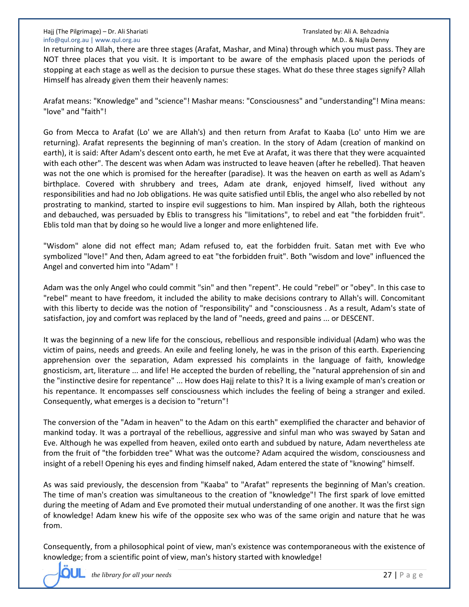In returning to Allah, there are three stages (Arafat, Mashar, and Mina) through which you must pass. They are NOT three places that you visit. It is important to be aware of the emphasis placed upon the periods of stopping at each stage as well as the decision to pursue these stages. What do these three stages signify? Allah Himself has already given them their heavenly names:

Arafat means: "Knowledge" and "science"! Mashar means: "Consciousness" and "understanding"! Mina means: "love" and "faith"!

Go from Mecca to Arafat (Lo' we are Allah's) and then return from Arafat to Kaaba (Lo' unto Him we are returning). Arafat represents the beginning of man's creation. In the story of Adam (creation of mankind on earth), it is said: After Adam's descent onto earth, he met Eve at Arafat, it was there that they were acquainted with each other". The descent was when Adam was instructed to leave heaven (after he rebelled). That heaven was not the one which is promised for the hereafter (paradise). It was the heaven on earth as well as Adam's birthplace. Covered with shrubbery and trees, Adam ate drank, enjoyed himself, lived without any responsibilities and had no Job obligations. He was quite satisfied until Eblis, the angel who also rebelled by not prostrating to mankind, started to inspire evil suggestions to him. Man inspired by Allah, both the righteous and debauched, was persuaded by Eblis to transgress his "limitations", to rebel and eat "the forbidden fruit". Eblis told man that by doing so he would live a longer and more enlightened life.

"Wisdom" alone did not effect man; Adam refused to, eat the forbidden fruit. Satan met with Eve who symbolized "love!" And then, Adam agreed to eat "the forbidden fruit". Both "wisdom and love" influenced the Angel and converted him into "Adam" !

Adam was the only Angel who could commit "sin" and then "repent". He could "rebel" or "obey". In this case to "rebel" meant to have freedom, it included the ability to make decisions contrary to Allah's will. Concomitant with this liberty to decide was the notion of "responsibility" and "consciousness . As a result, Adam's state of satisfaction, joy and comfort was replaced by the land of "needs, greed and pains ... or DESCENT.

It was the beginning of a new life for the conscious, rebellious and responsible individual (Adam) who was the victim of pains, needs and greeds. An exile and feeling lonely, he was in the prison of this earth. Experiencing apprehension over the separation, Adam expressed his complaints in the language of faith, knowledge gnosticism, art, literature ... and life! He accepted the burden of rebelling, the "natural apprehension of sin and the "instinctive desire for repentance" ... How does Hajj relate to this? It is a living example of man's creation or his repentance. It encompasses self consciousness which includes the feeling of being a stranger and exiled. Consequently, what emerges is a decision to "return"!

The conversion of the "Adam in heaven" to the Adam on this earth" exemplified the character and behavior of mankind today. It was a portrayal of the rebellious, aggressive and sinful man who was swayed by Satan and Eve. Although he was expelled from heaven, exiled onto earth and subdued by nature, Adam nevertheless ate from the fruit of "the forbidden tree" What was the outcome? Adam acquired the wisdom, consciousness and insight of a rebel! Opening his eyes and finding himself naked, Adam entered the state of "knowing" himself.

As was said previously, the descension from "Kaaba" to "Arafat" represents the beginning of Man's creation. The time of man's creation was simultaneous to the creation of "knowledge"! The first spark of love emitted during the meeting of Adam and Eve promoted their mutual understanding of one another. It was the first sign of knowledge! Adam knew his wife of the opposite sex who was of the same origin and nature that he was from.

Consequently, from a philosophical point of view, man's existence was contemporaneous with the existence of knowledge; from a scientific point of view, man's history started with knowledge!

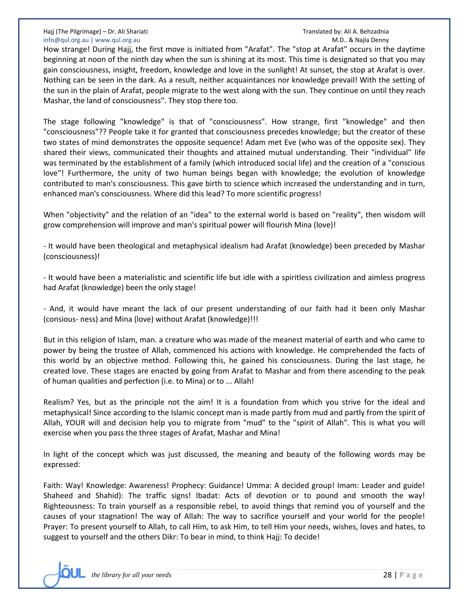How strange! During Hajj, the first move is initiated from "Arafat". The "stop at Arafat" occurs in the daytime beginning at noon of the ninth day when the sun is shining at its most. This time is designated so that you may gain consciousness, insight, freedom, knowledge and love in the sunlight! At sunset, the stop at Arafat is over. Nothing can be seen in the dark. As a result, neither acquaintances nor knowledge prevail! With the setting of the sun in the plain of Arafat, people migrate to the west along with the sun. They continue on until they reach Mashar, the land of consciousness". They stop there too.

The stage following "knowledge" is that of "consciousness". How strange, first "knowledge" and then "consciousness"?? People take it for granted that consciousness precedes knowledge; but the creator of these two states of mind demonstrates the opposite sequence! Adam met Eve (who was of the opposite sex). They shared their views, communicated their thoughts and attained mutual understanding. Their "individual" life was terminated by the establishment of a family (which introduced social life) and the creation of a "conscious love"! Furthermore, the unity of two human beings began with knowledge; the evolution of knowledge contributed to man's consciousness. This gave birth to science which increased the understanding and in turn, enhanced man's consciousness. Where did this lead? To more scientific progress!

When "objectivity" and the relation of an "idea" to the external world is based on "reality", then wisdom will grow comprehension will improve and man's spiritual power will flourish Mina (love)!

- It would have been theological and metaphysical idealism had Arafat (knowledge) been preceded by Mashar (consciousness)!

- It would have been a materialistic and scientific life but idle with a spiritless civilization and aimless progress had Arafat (knowledge) been the only stage!

- And, it would have meant the lack of our present understanding of our faith had it been only Mashar (consious- ness) and Mina (love) without Arafat (knowledge)!!!

But in this religion of Islam, man. a creature who was made of the meanest material of earth and who came to power by being the trustee of Allah, commenced his actions with knowledge. He comprehended the facts of this world by an objective method. Following this, he gained his consciousness. During the last stage, he created love. These stages are enacted by going from Arafat to Mashar and from there ascending to the peak of human qualities and perfection (i.e. to Mina) or to ... Allah!

Realism? Yes, but as the principle not the aim! It is a foundation from which you strive for the ideal and metaphysical! Since according to the Islamic concept man is made partly from mud and partly from the spirit of Allah, YOUR will and decision help you to migrate from "mud" to the "spirit of Allah". This is what you will exercise when you pass the three stages of Arafat, Mashar and Mina!

In light of the concept which was just discussed, the meaning and beauty of the following words may be expressed:

Faith: Way! Knowledge: Awareness! Prophecy: Guidance! Umma: A decided group! Imam: Leader and guide! Shaheed and Shahid): The traffic signs! Ibadat: Acts of devotion or to pound and smooth the way! Righteousness: To train yourself as a responsible rebel, to avoid things that remind you of yourself and the causes of your stagnation! The way of Allah: The way to sacrifice yourself and your world for the people! Prayer: To present yourself to Allah, to call Him, to ask Him, to tell Him your needs, wishes, loves and hates, to suggest to yourself and the others Dikr: To bear in mind, to think Hajj: To decide!

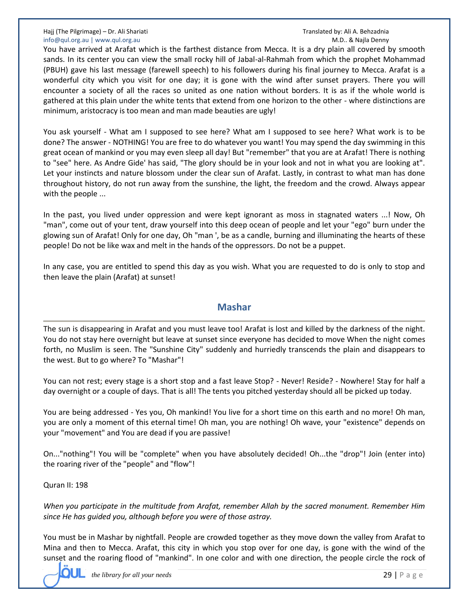You have arrived at Arafat which is the farthest distance from Mecca. It is a dry plain all covered by smooth sands. In its center you can view the small rocky hill of Jabal-al-Rahmah from which the prophet Mohammad (PBUH) gave his last message (farewell speech) to his followers during his final journey to Mecca. Arafat is a wonderful city which you visit for one day; it is gone with the wind after sunset prayers. There you will encounter a society of all the races so united as one nation without borders. It is as if the whole world is gathered at this plain under the white tents that extend from one horizon to the other - where distinctions are minimum, aristocracy is too mean and man made beauties are ugly!

You ask yourself - What am I supposed to see here? What am I supposed to see here? What work is to be done? The answer - NOTHING! You are free to do whatever you want! You may spend the day swimming in this great ocean of mankind or you may even sleep all day! But "remember" that you are at Arafat! There is nothing to "see" here. As Andre Gide' has said, "The glory should be in your look and not in what you are looking at". Let your instincts and nature blossom under the clear sun of Arafat. Lastly, in contrast to what man has done throughout history, do not run away from the sunshine, the light, the freedom and the crowd. Always appear with the people ...

In the past, you lived under oppression and were kept ignorant as moss in stagnated waters ...! Now, Oh "man", come out of your tent, draw yourself into this deep ocean of people and let your "ego" burn under the glowing sun of Arafat! Only for one day, Oh "man ', be as a candle, burning and illuminating the hearts of these people! Do not be like wax and melt in the hands of the oppressors. Do not be a puppet.

<span id="page-28-0"></span>In any case, you are entitled to spend this day as you wish. What you are requested to do is only to stop and then leave the plain (Arafat) at sunset!

### **Mashar**

The sun is disappearing in Arafat and you must leave too! Arafat is lost and killed by the darkness of the night. You do not stay here overnight but leave at sunset since everyone has decided to move When the night comes forth, no Muslim is seen. The "Sunshine City" suddenly and hurriedly transcends the plain and disappears to the west. But to go where? To "Mashar"!

You can not rest; every stage is a short stop and a fast leave Stop? - Never! Reside? - Nowhere! Stay for half a day overnight or a couple of days. That is all! The tents you pitched yesterday should all be picked up today.

You are being addressed - Yes you, Oh mankind! You live for a short time on this earth and no more! Oh man, you are only a moment of this eternal time! Oh man, you are nothing! Oh wave, your "existence" depends on your "movement" and You are dead if you are passive!

On..."nothing"! You will be "complete" when you have absolutely decided! Oh...the "drop"! Join (enter into) the roaring river of the "people" and "flow"!

Quran II: 198

*When you participate in the multitude from Arafat, remember Allah by the sacred monument. Remember Him since He has guided you, although before you were of those astray.*

You must be in Mashar by nightfall. People are crowded together as they move down the valley from Arafat to Mina and then to Mecca. Arafat, this city in which you stop over for one day, is gone with the wind of the sunset and the roaring flood of "mankind". In one color and with one direction, the people circle the rock of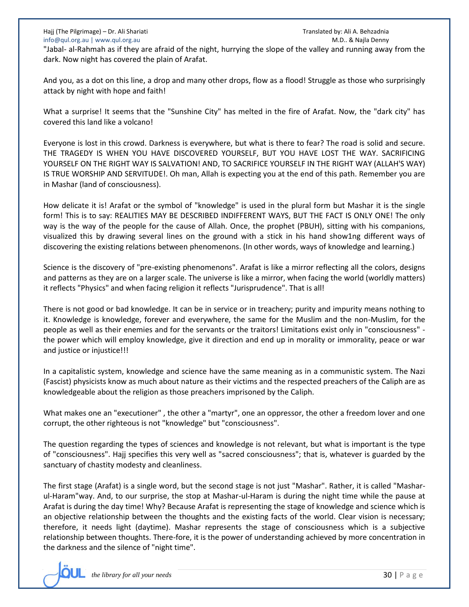"Jabal- al-Rahmah as if they are afraid of the night, hurrying the slope of the valley and running away from the dark. Now night has covered the plain of Arafat.

And you, as a dot on this line, a drop and many other drops, flow as a flood! Struggle as those who surprisingly attack by night with hope and faith!

What a surprise! It seems that the "Sunshine City" has melted in the fire of Arafat. Now, the "dark city" has covered this land like a volcano!

Everyone is lost in this crowd. Darkness is everywhere, but what is there to fear? The road is solid and secure. THE TRAGEDY IS WHEN YOU HAVE DISCOVERED YOURSELF, BUT YOU HAVE LOST THE WAY. SACRIFICING YOURSELF ON THE RIGHT WAY IS SALVATION! AND, TO SACRIFICE YOURSELF IN THE RIGHT WAY (ALLAH'S WAY) IS TRUE WORSHIP AND SERVITUDE!. Oh man, Allah is expecting you at the end of this path. Remember you are in Mashar (land of consciousness).

How delicate it is! Arafat or the symbol of "knowledge" is used in the plural form but Mashar it is the single form! This is to say: REALITIES MAY BE DESCRIBED INDIFFERENT WAYS, BUT THE FACT IS ONLY ONE! The only way is the way of the people for the cause of Allah. Once, the prophet (PBUH), sitting with his companions, visualized this by drawing several lines on the ground with a stick in his hand show1ng different ways of discovering the existing relations between phenomenons. (In other words, ways of knowledge and learning.)

Science is the discovery of "pre-existing phenomenons". Arafat is like a mirror reflecting all the colors, designs and patterns as they are on a larger scale. The universe is like a mirror, when facing the world (worldly matters) it reflects "Physics" and when facing religion it reflects "Jurisprudence". That is all!

There is not good or bad knowledge. It can be in service or in treachery; purity and impurity means nothing to it. Knowledge is knowledge, forever and everywhere, the same for the Muslim and the non-Muslim, for the people as well as their enemies and for the servants or the traitors! Limitations exist only in "consciousness" the power which will employ knowledge, give it direction and end up in morality or immorality, peace or war and justice or injustice!!!

In a capitalistic system, knowledge and science have the same meaning as in a communistic system. The Nazi (Fascist) physicists know as much about nature as their victims and the respected preachers of the Caliph are as knowledgeable about the religion as those preachers imprisoned by the Caliph.

What makes one an "executioner" , the other a "martyr", one an oppressor, the other a freedom lover and one corrupt, the other righteous is not "knowledge" but "consciousness".

The question regarding the types of sciences and knowledge is not relevant, but what is important is the type of "consciousness". Hajj specifies this very well as "sacred consciousness"; that is, whatever is guarded by the sanctuary of chastity modesty and cleanliness.

The first stage (Arafat) is a single word, but the second stage is not just "Mashar". Rather, it is called "Masharul-Haram"way. And, to our surprise, the stop at Mashar-ul-Haram is during the night time while the pause at Arafat is during the day time! Why? Because Arafat is representing the stage of knowledge and science which is an objective relationship between the thoughts and the existing facts of the world. Clear vision is necessary; therefore, it needs light (daytime). Mashar represents the stage of consciousness which is a subjective relationship between thoughts. There-fore, it is the power of understanding achieved by more concentration in the darkness and the silence of "night time".

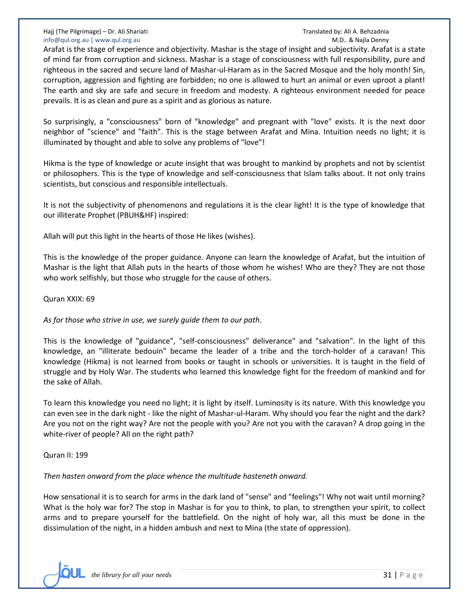Arafat is the stage of experience and objectivity. Mashar is the stage of insight and subjectivity. Arafat is a state of mind far from corruption and sickness. Mashar is a stage of consciousness with full responsibility, pure and righteous in the sacred and secure land of Mashar-ul-Haram as in the Sacred Mosque and the holy month! Sin, corruption, aggression and fighting are forbidden; no one is allowed to hurt an animal or even uproot a plant! The earth and sky are safe and secure in freedom and modesty. A righteous environment needed for peace prevails. It is as clean and pure as a spirit and as glorious as nature.

So surprisingly, a "consciousness" born of "knowledge" and pregnant with "love" exists. It is the next door neighbor of "science" and "faith". This is the stage between Arafat and Mina. Intuition needs no light; it is illuminated by thought and able to solve any problems of "love"!

Hikma is the type of knowledge or acute insight that was brought to mankind by prophets and not by scientist or philosophers. This is the type of knowledge and self-consciousness that Islam talks about. It not only trains scientists, but conscious and responsible intellectuals.

It is not the subjectivity of phenomenons and regulations it is the clear light! It is the type of knowledge that our illiterate Prophet (PBUH&HF) inspired:

Allah will put this light in the hearts of those He likes (wishes).

This is the knowledge of the proper guidance. Anyone can learn the knowledge of Arafat, but the intuition of Mashar is the light that Allah puts in the hearts of those whom he wishes! Who are they? They are not those who work selfishly, but those who struggle for the cause of others.

Quran XXIX: 69

*As for those who strive in use, we surely guide them to our path*.

This is the knowledge of "guidance", "self-consciousness" deliverance" and "salvation". In the light of this knowledge, an "illiterate bedouin" became the leader of a tribe and the torch-holder of a caravan! This knowledge (Hikma) is not learned from books or taught in schools or universities. It is taught in the field of struggle and by Holy War. The students who learned this knowledge fight for the freedom of mankind and for the sake of Allah.

To learn this knowledge you need no light; it is light by itself. Luminosity is its nature. With this knowledge you can even see in the dark night - like the night of Mashar-ul-Haram. Why should you fear the night and the dark? Are you not on the right way? Are not the people with you? Are not you with the caravan? A drop going in the white-river of people? All on the right path?

Quran II: 199

*Then hasten onward from the place whence the multitude hasteneth onward.*

How sensational it is to search for arms in the dark land of "sense" and "feelings"! Why not wait until morning? What is the holy war for? The stop in Mashar is for you to think, to plan, to strengthen your spirit, to collect arms and to prepare yourself for the battlefield. On the night of holy war, all this must be done in the dissimulation of the night, in a hidden ambush and next to Mina (the state of oppression).

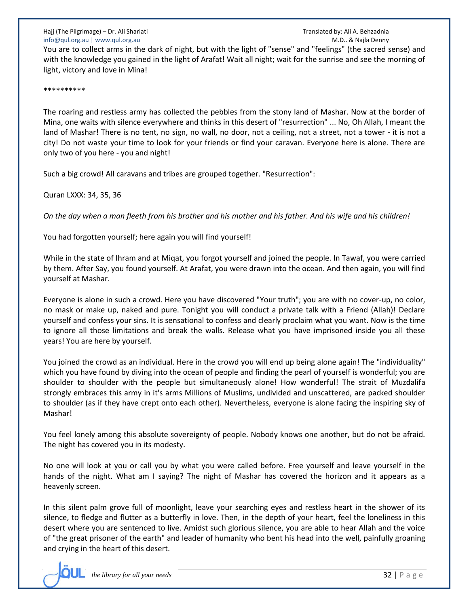You are to collect arms in the dark of night, but with the light of "sense" and "feelings" (the sacred sense) and with the knowledge you gained in the light of Arafat! Wait all night; wait for the sunrise and see the morning of light, victory and love in Mina!

\*\*\*\*\*\*\*\*\*\*

The roaring and restless army has collected the pebbles from the stony land of Mashar. Now at the border of Mina, one waits with silence everywhere and thinks in this desert of "resurrection" ... No, Oh Allah, I meant the land of Mashar! There is no tent, no sign, no wall, no door, not a ceiling, not a street, not a tower - it is not a city! Do not waste your time to look for your friends or find your caravan. Everyone here is alone. There are only two of you here - you and night!

Such a big crowd! All caravans and tribes are grouped together. "Resurrection":

Quran LXXX: 34, 35, 36

*On the day when a man fleeth from his brother and his mother and his father. And his wife and his children!*

You had forgotten yourself; here again you will find yourself!

While in the state of Ihram and at Miqat, you forgot yourself and joined the people. In Tawaf, you were carried by them. After Say, you found yourself. At Arafat, you were drawn into the ocean. And then again, you will find yourself at Mashar.

Everyone is alone in such a crowd. Here you have discovered "Your truth"; you are with no cover-up, no color, no mask or make up, naked and pure. Tonight you will conduct a private talk with a Friend (Allah)! Declare yourself and confess your sins. It is sensational to confess and clearly proclaim what you want. Now is the time to ignore all those limitations and break the walls. Release what you have imprisoned inside you all these years! You are here by yourself.

You joined the crowd as an individual. Here in the crowd you will end up being alone again! The "individuality" which you have found by diving into the ocean of people and finding the pearl of yourself is wonderful; you are shoulder to shoulder with the people but simultaneously alone! How wonderful! The strait of Muzdalifa strongly embraces this army in it's arms Millions of Muslims, undivided and unscattered, are packed shoulder to shoulder (as if they have crept onto each other). Nevertheless, everyone is alone facing the inspiring sky of Mashar!

You feel lonely among this absolute sovereignty of people. Nobody knows one another, but do not be afraid. The night has covered you in its modesty.

No one will look at you or call you by what you were called before. Free yourself and leave yourself in the hands of the night. What am I saying? The night of Mashar has covered the horizon and it appears as a heavenly screen.

In this silent palm grove full of moonlight, leave your searching eyes and restless heart in the shower of its silence, to fledge and flutter as a butterfly in love. Then, in the depth of your heart, feel the loneliness in this desert where you are sentenced to live. Amidst such glorious silence, you are able to hear Allah and the voice of "the great prisoner of the earth" and leader of humanity who bent his head into the well, painfully groaning and crying in the heart of this desert.

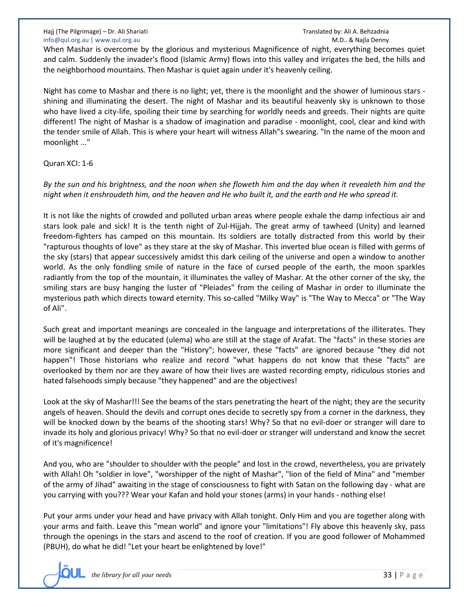When Mashar is overcome by the glorious and mysterious Magnificence of night, everything becomes quiet and calm. Suddenly the invader's flood (Islamic Army) flows into this valley and irrigates the bed, the hills and the neighborhood mountains. Then Mashar is quiet again under it's heavenly ceiling.

Night has come to Mashar and there is no light; yet, there is the moonlight and the shower of luminous stars shining and illuminating the desert. The night of Mashar and its beautiful heavenly sky is unknown to those who have lived a city-life, spoiling their time by searching for worldly needs and greeds. Their nights are quite different! The night of Mashar is a shadow of imagination and paradise - moonlight, cool, clear and kind with the tender smile of Allah. This is where your heart will witness Allah"s swearing. "In the name of the moon and moonlight ..."

#### Quran XCI: 1-6

*By the sun and his brightness, and the noon when she floweth him and the day when it revealeth him and the night when it enshroudeth him, and the heaven and He who built it, and the earth and He who spread it.*

It is not like the nights of crowded and polluted urban areas where people exhale the damp infectious air and stars look pale and sick! It is the tenth night of Zul-Hijjah. The great army of tawheed (Unity) and learned freedom-fighters has camped on this mountain. Its soldiers are totally distracted from this world by their "rapturous thoughts of love" as they stare at the sky of Mashar. This inverted blue ocean is filled with germs of the sky (stars) that appear successively amidst this dark ceiling of the universe and open a window to another world. As the only fondling smile of nature in the face of cursed people of the earth, the moon sparkles radiantly from the top of the mountain, it illuminates the valley of Mashar. At the other corner of the sky, the smiling stars are busy hanging the luster of "Pleiades" from the ceiling of Mashar in order to illuminate the mysterious path which directs toward eternity. This so-called "Milky Way" is "The Way to Mecca" or "The Way of Ali".

Such great and important meanings are concealed in the language and interpretations of the illiterates. They will be laughed at by the educated (ulema) who are still at the stage of Arafat. The "facts" in these stories are more significant and deeper than the "History"; however, these "facts" are ignored because "they did not happen"! Those historians who realize and record "what happens do not know that these "facts" are overlooked by them nor are they aware of how their lives are wasted recording empty, ridiculous stories and hated falsehoods simply because "they happened" and are the objectives!

Look at the sky of Mashar!!! See the beams of the stars penetrating the heart of the night; they are the security angels of heaven. Should the devils and corrupt ones decide to secretly spy from a corner in the darkness, they will be knocked down by the beams of the shooting stars! Why? So that no evil-doer or stranger will dare to invade its holy and glorious privacy! Why? So that no evil-doer or stranger will understand and know the secret of it's magnificence!

And you, who are "shoulder to shoulder with the people" and lost in the crowd, nevertheless, you are privately with Allah! Oh "soldier in love", "worshipper of the night of Mashar", "lion of the field of Mina" and "member of the army of Jihad" awaiting in the stage of consciousness to fight with Satan on the following day - what are you carrying with you??? Wear your Kafan and hold your stones (arms) in your hands - nothing else!

Put your arms under your head and have privacy with Allah tonight. Only Him and you are together along with your arms and faith. Leave this "mean world" and ignore your "limitations"! Fly above this heavenly sky, pass through the openings in the stars and ascend to the roof of creation. If you are good follower of Mohammed (PBUH), do what he did! "Let your heart be enlightened by love!"

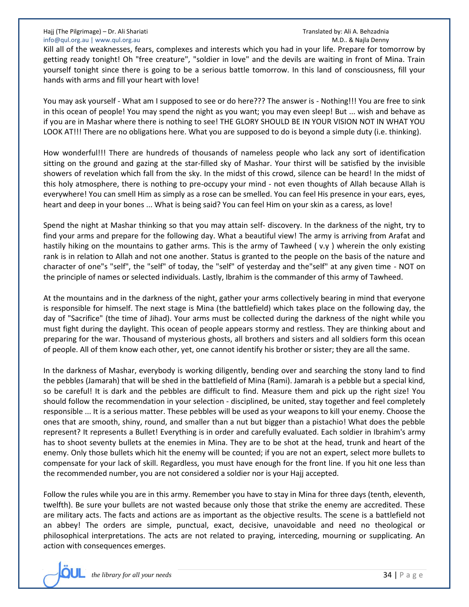Kill all of the weaknesses, fears, complexes and interests which you had in your life. Prepare for tomorrow by getting ready tonight! Oh "free creature", "soldier in love" and the devils are waiting in front of Mina. Train yourself tonight since there is going to be a serious battle tomorrow. In this land of consciousness, fill your hands with arms and fill your heart with love!

You may ask yourself - What am I supposed to see or do here??? The answer is - Nothing!!! You are free to sink in this ocean of people! You may spend the night as you want; you may even sleep! But ... wish and behave as if you are in Mashar where there is nothing to see! THE GLORY SHOULD BE IN YOUR VISION NOT IN WHAT YOU LOOK AT!!! There are no obligations here. What you are supposed to do is beyond a simple duty (i.e. thinking).

How wonderful!!! There are hundreds of thousands of nameless people who lack any sort of identification sitting on the ground and gazing at the star-filled sky of Mashar. Your thirst will be satisfied by the invisible showers of revelation which fall from the sky. In the midst of this crowd, silence can be heard! In the midst of this holy atmosphere, there is nothing to pre-occupy your mind - not even thoughts of Allah because Allah is everywhere! You can smell Him as simply as a rose can be smelled. You can feel His presence in your ears, eyes, heart and deep in your bones ... What is being said? You can feel Him on your skin as a caress, as love!

Spend the night at Mashar thinking so that you may attain self- discovery. In the darkness of the night, try to find your arms and prepare for the following day. What a beautiful view! The army is arriving from Arafat and hastily hiking on the mountains to gather arms. This is the army of Tawheed ( v.y ) wherein the only existing rank is in relation to Allah and not one another. Status is granted to the people on the basis of the nature and character of one"s "self", the "self" of today, the "self" of yesterday and the"self" at any given time - NOT on the principle of names or selected individuals. Lastly, Ibrahim is the commander of this army of Tawheed.

At the mountains and in the darkness of the night, gather your arms collectively bearing in mind that everyone is responsible for himself. The next stage is Mina (the battlefield) which takes place on the following day, the day of "Sacrifice" (the time of Jihad). Your arms must be collected during the darkness of the night while you must fight during the daylight. This ocean of people appears stormy and restless. They are thinking about and preparing for the war. Thousand of mysterious ghosts, all brothers and sisters and all soldiers form this ocean of people. All of them know each other, yet, one cannot identify his brother or sister; they are all the same.

In the darkness of Mashar, everybody is working diligently, bending over and searching the stony land to find the pebbles (Jamarah) that will be shed in the battlefield of Mina (Rami). Jamarah is a pebble but a special kind, so be careful! It is dark and the pebbles are difficult to find. Measure them and pick up the right size! You should follow the recommendation in your selection - disciplined, be united, stay together and feel completely responsible ... It is a serious matter. These pebbles will be used as your weapons to kill your enemy. Choose the ones that are smooth, shiny, round, and smaller than a nut but bigger than a pistachio! What does the pebble represent? It represents a Bullet! Everything is in order and carefully evaluated. Each soldier in Ibrahim's army has to shoot seventy bullets at the enemies in Mina. They are to be shot at the head, trunk and heart of the enemy. Only those bullets which hit the enemy will be counted; if you are not an expert, select more bullets to compensate for your lack of skill. Regardless, you must have enough for the front line. If you hit one less than the recommended number, you are not considered a soldier nor is your Hajj accepted.

Follow the rules while you are in this army. Remember you have to stay in Mina for three days (tenth, eleventh, twelfth). Be sure your bullets are not wasted because only those that strike the enemy are accredited. These are military acts. The facts and actions are as important as the objective results. The scene is a battlefield not an abbey! The orders are simple, punctual, exact, decisive, unavoidable and need no theological or philosophical interpretations. The acts are not related to praying, interceding, mourning or supplicating. An action with consequences emerges.

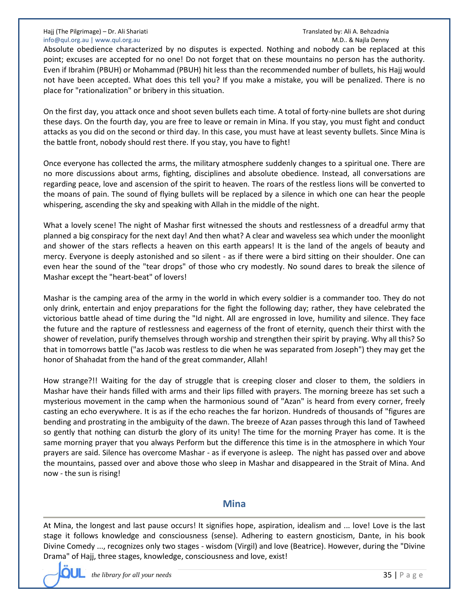Absolute obedience characterized by no disputes is expected. Nothing and nobody can be replaced at this point; excuses are accepted for no one! Do not forget that on these mountains no person has the authority. Even if Ibrahim (PBUH) or Mohammad (PBUH) hit less than the recommended number of bullets, his Hajj would not have been accepted. What does this tell you? If you make a mistake, you will be penalized. There is no place for "rationalization" or bribery in this situation.

On the first day, you attack once and shoot seven bullets each time. A total of forty-nine bullets are shot during these days. On the fourth day, you are free to leave or remain in Mina. If you stay, you must fight and conduct attacks as you did on the second or third day. In this case, you must have at least seventy bullets. Since Mina is the battle front, nobody should rest there. If you stay, you have to fight!

Once everyone has collected the arms, the military atmosphere suddenly changes to a spiritual one. There are no more discussions about arms, fighting, disciplines and absolute obedience. Instead, all conversations are regarding peace, love and ascension of the spirit to heaven. The roars of the restless lions will be converted to the moans of pain. The sound of flying bullets will be replaced by a silence in which one can hear the people whispering, ascending the sky and speaking with Allah in the middle of the night.

What a lovely scene! The night of Mashar first witnessed the shouts and restlessness of a dreadful army that planned a big conspiracy for the next day! And then what? A clear and waveless sea which under the moonlight and shower of the stars reflects a heaven on this earth appears! It is the land of the angels of beauty and mercy. Everyone is deeply astonished and so silent - as if there were a bird sitting on their shoulder. One can even hear the sound of the "tear drops" of those who cry modestly. No sound dares to break the silence of Mashar except the "heart-beat" of lovers!

Mashar is the camping area of the army in the world in which every soldier is a commander too. They do not only drink, entertain and enjoy preparations for the fight the following day; rather, they have celebrated the victorious battle ahead of time during the "Id night. All are engrossed in love, humility and silence. They face the future and the rapture of restlessness and eagerness of the front of eternity, quench their thirst with the shower of revelation, purify themselves through worship and strengthen their spirit by praying. Why all this? So that in tomorrows battle ("as Jacob was restless to die when he was separated from Joseph") they may get the honor of Shahadat from the hand of the great commander, Allah!

How strange?!! Waiting for the day of struggle that is creeping closer and closer to them, the soldiers in Mashar have their hands filled with arms and their lips filled with prayers. The morning breeze has set such a mysterious movement in the camp when the harmonious sound of "Azan" is heard from every corner, freely casting an echo everywhere. It is as if the echo reaches the far horizon. Hundreds of thousands of "figures are bending and prostrating in the ambiguity of the dawn. The breeze of Azan passes through this land of Tawheed so gently that nothing can disturb the glory of its unity! The time for the morning Prayer has come. It is the same morning prayer that you always Perform but the difference this time is in the atmosphere in which Your prayers are said. Silence has overcome Mashar - as if everyone is asleep. The night has passed over and above the mountains, passed over and above those who sleep in Mashar and disappeared in the Strait of Mina. And now - the sun is rising!

#### **Mina**

<span id="page-34-0"></span>At Mina, the longest and last pause occurs! It signifies hope, aspiration, idealism and ... love! Love is the last stage it follows knowledge and consciousness (sense). Adhering to eastern gnosticism, Dante, in his book Divine Comedy ..., recognizes only two stages - wisdom (Virgil) and love (Beatrice). However, during the "Divine Drama" of Hajj, three stages, knowledge, consciousness and love, exist!

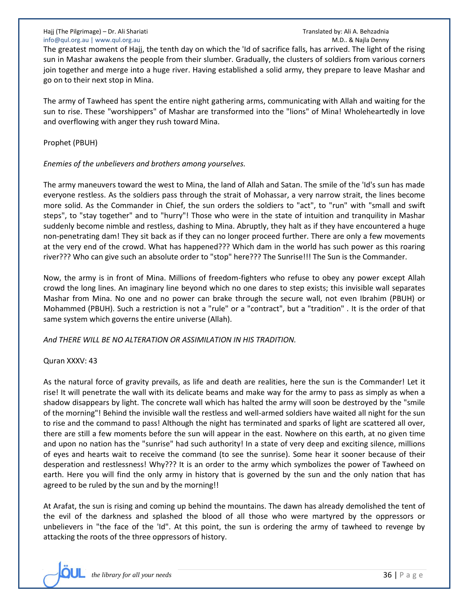The greatest moment of Hajj, the tenth day on which the 'Id of sacrifice falls, has arrived. The light of the rising sun in Mashar awakens the people from their slumber. Gradually, the clusters of soldiers from various corners join together and merge into a huge river. Having established a solid army, they prepare to leave Mashar and go on to their next stop in Mina.

The army of Tawheed has spent the entire night gathering arms, communicating with Allah and waiting for the sun to rise. These "worshippers" of Mashar are transformed into the "lions" of Mina! Wholeheartedly in love and overflowing with anger they rush toward Mina.

#### Prophet (PBUH)

#### *Enemies of the unbelievers and brothers among yourselves.*

The army maneuvers toward the west to Mina, the land of Allah and Satan. The smile of the 'Id's sun has made everyone restless. As the soldiers pass through the strait of Mohassar, a very narrow strait, the lines become more solid. As the Commander in Chief, the sun orders the soldiers to "act", to "run" with "small and swift steps", to "stay together" and to "hurry"! Those who were in the state of intuition and tranquility in Mashar suddenly become nimble and restless, dashing to Mina. Abruptly, they halt as if they have encountered a huge non-penetrating dam! They sit back as if they can no longer proceed further. There are only a few movements at the very end of the crowd. What has happened??? Which dam in the world has such power as this roaring river??? Who can give such an absolute order to "stop" here??? The Sunrise!!! The Sun is the Commander.

Now, the army is in front of Mina. Millions of freedom-fighters who refuse to obey any power except Allah crowd the long lines. An imaginary line beyond which no one dares to step exists; this invisible wall separates Mashar from Mina. No one and no power can brake through the secure wall, not even Ibrahim (PBUH) or Mohammed (PBUH). Such a restriction is not a "rule" or a "contract", but a "tradition" . It is the order of that same system which governs the entire universe (Allah).

#### *And THERE WILL BE NO ALTERATION OR ASSIMILATION IN HIS TRADITION.*

#### Quran XXXV: 43

As the natural force of gravity prevails, as life and death are realities, here the sun is the Commander! Let it rise! It will penetrate the wall with its delicate beams and make way for the army to pass as simply as when a shadow disappears by light. The concrete wall which has halted the army will soon be destroyed by the "smile of the morning"! Behind the invisible wall the restless and well-armed soldiers have waited all night for the sun to rise and the command to pass! Although the night has terminated and sparks of light are scattered all over, there are still a few moments before the sun will appear in the east. Nowhere on this earth, at no given time and upon no nation has the "sunrise" had such authority! In a state of very deep and exciting silence, millions of eyes and hearts wait to receive the command (to see the sunrise). Some hear it sooner because of their desperation and restlessness! Why??? It is an order to the army which symbolizes the power of Tawheed on earth. Here you will find the only army in history that is governed by the sun and the only nation that has agreed to be ruled by the sun and by the morning!!

At Arafat, the sun is rising and coming up behind the mountains. The dawn has already demolished the tent of the evil of the darkness and splashed the blood of all those who were martyred by the oppressors or unbelievers in "the face of the 'Id". At this point, the sun is ordering the army of tawheed to revenge by attacking the roots of the three oppressors of history.

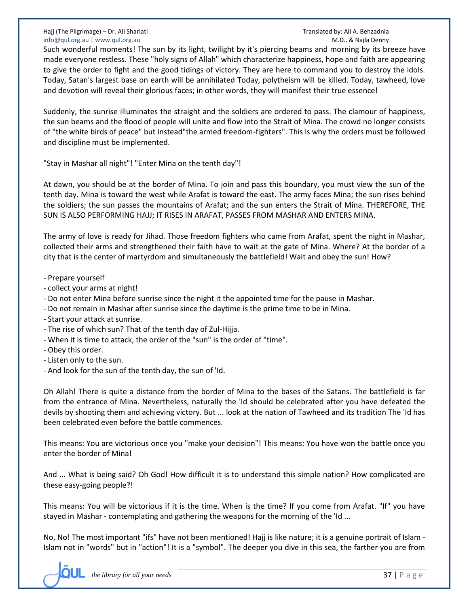Such wonderful moments! The sun by its light, twilight by it's piercing beams and morning by its breeze have made everyone restless. These "holy signs of Allah" which characterize happiness, hope and faith are appearing to give the order to fight and the good tidings of victory. They are here to command you to destroy the idols. Today, Satan's largest base on earth will be annihilated Today, polytheism will be killed. Today, tawheed, love and devotion will reveal their glorious faces; in other words, they will manifest their true essence!

Suddenly, the sunrise illuminates the straight and the soldiers are ordered to pass. The clamour of happiness, the sun beams and the flood of people will unite and flow into the Strait of Mina. The crowd no longer consists of "the white birds of peace" but instead"the armed freedom-fighters". This is why the orders must be followed and discipline must be implemented.

"Stay in Mashar all night"! "Enter Mina on the tenth day"!

At dawn, you should be at the border of Mina. To join and pass this boundary, you must view the sun of the tenth day. Mina is toward the west while Arafat is toward the east. The army faces Mina; the sun rises behind the soldiers; the sun passes the mountains of Arafat; and the sun enters the Strait of Mina. THEREFORE, THE SUN IS ALSO PERFORMING HAJJ; IT RISES IN ARAFAT, PASSES FROM MASHAR AND ENTERS MINA.

The army of love is ready for Jihad. Those freedom fighters who came from Arafat, spent the night in Mashar, collected their arms and strengthened their faith have to wait at the gate of Mina. Where? At the border of a city that is the center of martyrdom and simultaneously the battlefield! Wait and obey the sun! How?

- Prepare yourself
- collect your arms at night!
- Do not enter Mina before sunrise since the night it the appointed time for the pause in Mashar.
- Do not remain in Mashar after sunrise since the daytime is the prime time to be in Mina.
- Start your attack at sunrise.
- The rise of which sun? That of the tenth day of Zul-Hijja.
- When it is time to attack, the order of the "sun" is the order of "time".
- Obey this order.
- Listen only to the sun.
- And look for the sun of the tenth day, the sun of 'Id.

Oh Allah! There is quite a distance from the border of Mina to the bases of the Satans. The battlefield is far from the entrance of Mina. Nevertheless, naturally the 'Id should be celebrated after you have defeated the devils by shooting them and achieving victory. But ... look at the nation of Tawheed and its tradition The 'Id has been celebrated even before the battle commences.

This means: You are victorious once you "make your decision"! This means: You have won the battle once you enter the border of Mina!

And ... What is being said? Oh God! How difficult it is to understand this simple nation? How complicated are these easy-going people?!

This means: You will be victorious if it is the time. When is the time? If you come from Arafat. "If" you have stayed in Mashar - contemplating and gathering the weapons for the morning of the 'Id ...

No, No! The most important "ifs" have not been mentioned! Hajj is like nature; it is a genuine portrait of Islam - Islam not in "words" but in "action"! It is a "symbol". The deeper you dive in this sea, the farther you are from

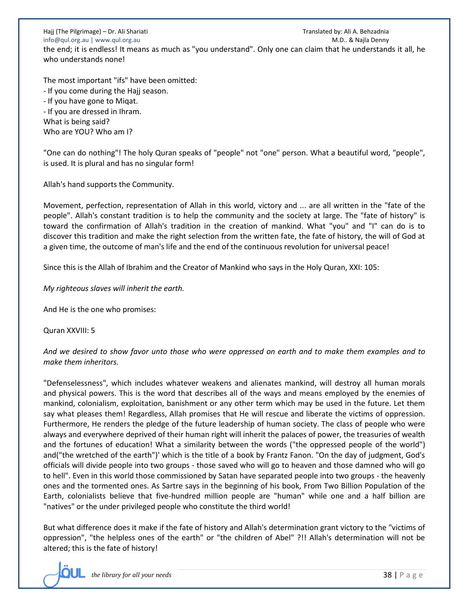Hajj (The Pilgrimage) – Dr. Ali Shariati Translated by: Ali A. Behzadnia info@qul.org.au | www.qul.org.au M.D.. & Najla Denny the end; it is endless! It means as much as "you understand". Only one can claim that he understands it all, he who understands none!

The most important "ifs" have been omitted: - If you come during the Hajj season. - If you have gone to Miqat.

- If you are dressed in Ihram. What is being said? Who are YOU? Who am I?

"One can do nothing"! The holy Quran speaks of "people" not "one" person. What a beautiful word, "people", is used. It is plural and has no singular form!

Allah's hand supports the Community.

Movement, perfection, representation of Allah in this world, victory and ... are all written in the "fate of the people". Allah's constant tradition is to help the community and the society at large. The "fate of history" is toward the confirmation of Allah's tradition in the creation of mankind. What "you" and "I" can do is to discover this tradition and make the right selection from the written fate, the fate of history, the will of God at a given time, the outcome of man's life and the end of the continuous revolution for universal peace!

Since this is the Allah of Ibrahim and the Creator of Mankind who says in the Holy Quran, XXI: 105:

*My righteous slaves will inherit the earth.*

And He is the one who promises:

Quran XXVIII: 5

# *And we desired to show favor unto those who were oppressed on earth and to make them examples and to make them inheritors.*

"Defenselessness", which includes whatever weakens and alienates mankind, will destroy all human morals and physical powers. This is the word that describes all of the ways and means employed by the enemies of mankind, colonialism, exploitation, banishment or any other term which may be used in the future. Let them say what pleases them! Regardless, Allah promises that He will rescue and liberate the victims of oppression. Furthermore, He renders the pledge of the future leadership of human society. The class of people who were always and everywhere deprived of their human right will inherit the palaces of power, the treasuries of wealth and the fortunes of education! What a similarity between the words ("the oppressed people of the world") and("the wretched of the earth")' which is the title of a book by Frantz Fanon. "On the day of judgment, God's officials will divide people into two groups - those saved who will go to heaven and those damned who will go to hell". Even in this world those commissioned by Satan have separated people into two groups - the heavenly ones and the tormented ones. As Sartre says in the beginning of his book, From Two Billion Population of the Earth, colonialists believe that five-hundred million people are "human" while one and a half billion are "natives" or the under privileged people who constitute the third world!

But what difference does it make if the fate of history and Allah's determination grant victory to the "victims of oppression", "the helpless ones of the earth" or "the children of Abel" ?!! Allah's determination will not be altered; this is the fate of history!

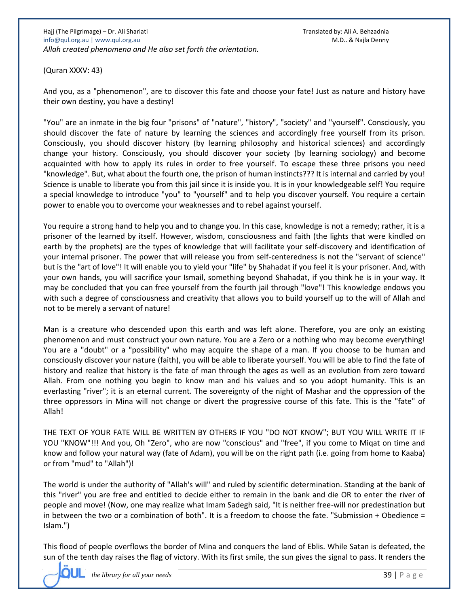Hajj (The Pilgrimage) – Dr. Ali Shariati Translated by: Ali A. Behzadnia info@qul.org.au | www.qul.org.au  $\blacksquare$ *Allah created phenomena and He also set forth the orientation.*

(Quran XXXV: 43)

And you, as a "phenomenon", are to discover this fate and choose your fate! Just as nature and history have their own destiny, you have a destiny!

"You" are an inmate in the big four "prisons" of "nature", "history", "society" and "yourself". Consciously, you should discover the fate of nature by learning the sciences and accordingly free yourself from its prison. Consciously, you should discover history (by learning philosophy and historical sciences) and accordingly change your history. Consciously, you should discover your society (by learning sociology) and become acquainted with how to apply its rules in order to free yourself. To escape these three prisons you need "knowledge". But, what about the fourth one, the prison of human instincts??? It is internal and carried by you! Science is unable to liberate you from this jail since it is inside you. It is in your knowledgeable self! You require a special knowledge to introduce "you" to "yourself" and to help you discover yourself. You require a certain power to enable you to overcome your weaknesses and to rebel against yourself.

You require a strong hand to help you and to change you. In this case, knowledge is not a remedy; rather, it is a prisoner of the learned by itself. However, wisdom, consciousness and faith (the lights that were kindled on earth by the prophets) are the types of knowledge that will facilitate your self-discovery and identification of your internal prisoner. The power that will release you from self-centeredness is not the "servant of science" but is the "art of love"! It will enable you to yield your "life" by Shahadat if you feel it is your prisoner. And, with your own hands, you will sacrifice your Ismail, something beyond Shahadat, if you think he is in your way. It may be concluded that you can free yourself from the fourth jail through "love"! This knowledge endows you with such a degree of consciousness and creativity that allows you to build yourself up to the will of Allah and not to be merely a servant of nature!

Man is a creature who descended upon this earth and was left alone. Therefore, you are only an existing phenomenon and must construct your own nature. You are a Zero or a nothing who may become everything! You are a "doubt" or a "possibility" who may acquire the shape of a man. If you choose to be human and consciously discover your nature (faith), you will be able to liberate yourself. You will be able to find the fate of history and realize that history is the fate of man through the ages as well as an evolution from zero toward Allah. From one nothing you begin to know man and his values and so you adopt humanity. This is an everlasting "river"; it is an eternal current. The sovereignty of the night of Mashar and the oppression of the three oppressors in Mina will not change or divert the progressive course of this fate. This is the "fate" of Allah!

THE TEXT OF YOUR FATE WILL BE WRITTEN BY OTHERS IF YOU "DO NOT KNOW"; BUT YOU WILL WRITE IT IF YOU "KNOW"!!! And you, Oh "Zero", who are now "conscious" and "free", if you come to Miqat on time and know and follow your natural way (fate of Adam), you will be on the right path (i.e. going from home to Kaaba) or from "mud" to "Allah")!

The world is under the authority of "Allah's will" and ruled by scientific determination. Standing at the bank of this "river" you are free and entitled to decide either to remain in the bank and die OR to enter the river of people and move! (Now, one may realize what Imam Sadegh said, "It is neither free-will nor predestination but in between the two or a combination of both". It is a freedom to choose the fate. "Submission + Obedience = Islam.")

This flood of people overflows the border of Mina and conquers the land of Eblis. While Satan is defeated, the sun of the tenth day raises the flag of victory. With its first smile, the sun gives the signal to pass. It renders the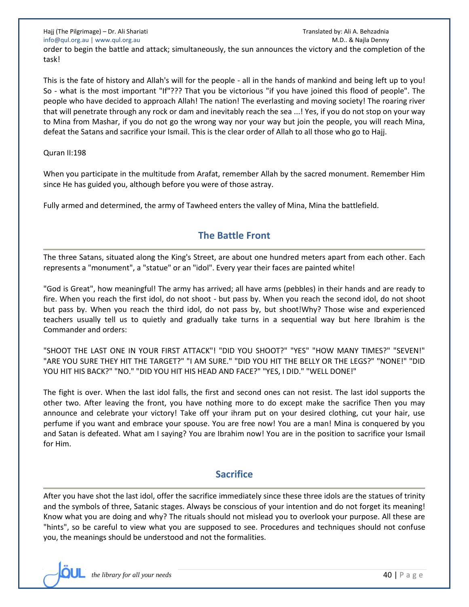Hajj (The Pilgrimage) – Dr. Ali Shariati Translated by: Ali A. Behzadnia info@qul.org.au | www.qul.org.au M.D.. & Najla Denny order to begin the battle and attack; simultaneously, the sun announces the victory and the completion of the task!

This is the fate of history and Allah's will for the people - all in the hands of mankind and being left up to you! So - what is the most important "If"??? That you be victorious "if you have joined this flood of people". The people who have decided to approach Allah! The nation! The everlasting and moving society! The roaring river that will penetrate through any rock or dam and inevitably reach the sea ...! Yes, if you do not stop on your way to Mina from Mashar, if you do not go the wrong way nor your way but join the people, you will reach Mina, defeat the Satans and sacrifice your Ismail. This is the clear order of Allah to all those who go to Hajj.

Quran II:198

When you participate in the multitude from Arafat, remember Allah by the sacred monument. Remember Him since He has guided you, although before you were of those astray.

Fully armed and determined, the army of Tawheed enters the valley of Mina, Mina the battlefield.

# **The Battle Front**

The three Satans, situated along the King's Street, are about one hundred meters apart from each other. Each represents a "monument", a "statue" or an "idol". Every year their faces are painted white!

"God is Great", how meaningful! The army has arrived; all have arms (pebbles) in their hands and are ready to fire. When you reach the first idol, do not shoot - but pass by. When you reach the second idol, do not shoot but pass by. When you reach the third idol, do not pass by, but shoot!Why? Those wise and experienced teachers usually tell us to quietly and gradually take turns in a sequential way but here Ibrahim is the Commander and orders:

"SHOOT THE LAST ONE IN YOUR FIRST ATTACK"! "DID YOU SHOOT?" "YES" "HOW MANY TIMES?" "SEVEN!" "ARE YOU SURE THEY HIT THE TARGET?" "I AM SURE." "DID YOU HIT THE BELLY OR THE LEGS?" "NONE!" "DID YOU HIT HIS BACK?" "NO." "DID YOU HIT HIS HEAD AND FACE?" "YES, I DID." "WELL DONE!"

The fight is over. When the last idol falls, the first and second ones can not resist. The last idol supports the other two. After leaving the front, you have nothing more to do except make the sacrifice Then you may announce and celebrate your victory! Take off your ihram put on your desired clothing, cut your hair, use perfume if you want and embrace your spouse. You are free now! You are a man! Mina is conquered by you and Satan is defeated. What am I saying? You are Ibrahim now! You are in the position to sacrifice your Ismail for Him.

# **Sacrifice**

After you have shot the last idol, offer the sacrifice immediately since these three idols are the statues of trinity and the symbols of three, Satanic stages. Always be conscious of your intention and do not forget its meaning! Know what you are doing and why? The rituals should not mislead you to overlook your purpose. All these are "hints", so be careful to view what you are supposed to see. Procedures and techniques should not confuse you, the meanings should be understood and not the formalities.

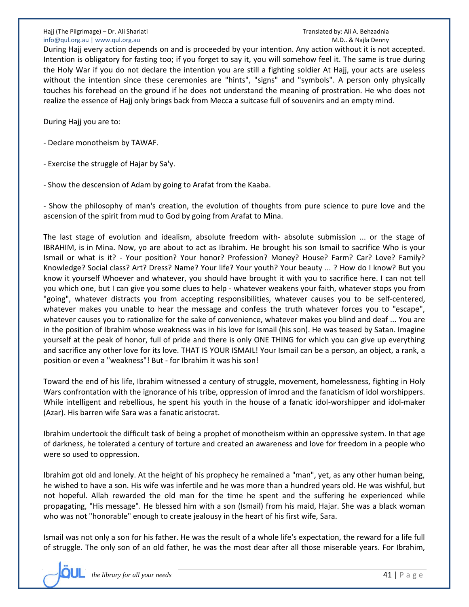### Hajj (The Pilgrimage) – Dr. Ali Shariati Translated by: Ali A. Behzadnia info@qul.org.au | www.qul.org.au  $\blacksquare$

During Hajj every action depends on and is proceeded by your intention. Any action without it is not accepted. Intention is obligatory for fasting too; if you forget to say it, you will somehow feel it. The same is true during the Holy War if you do not declare the intention you are still a fighting soldier At Hajj, your acts are useless without the intention since these ceremonies are "hints", "signs" and "symbols". A person only physically touches his forehead on the ground if he does not understand the meaning of prostration. He who does not realize the essence of Hajj only brings back from Mecca a suitcase full of souvenirs and an empty mind.

During Hajj you are to:

- Declare monotheism by TAWAF.
- Exercise the struggle of Hajar by Sa'y.
- Show the descension of Adam by going to Arafat from the Kaaba.

- Show the philosophy of man's creation, the evolution of thoughts from pure science to pure love and the ascension of the spirit from mud to God by going from Arafat to Mina.

The last stage of evolution and idealism, absolute freedom with- absolute submission ... or the stage of IBRAHIM, is in Mina. Now, yo are about to act as Ibrahim. He brought his son Ismail to sacrifice Who is your Ismail or what is it? - Your position? Your honor? Profession? Money? House? Farm? Car? Love? Family? Knowledge? Social class? Art? Dress? Name? Your life? Your youth? Your beauty ... ? How do I know? But you know it yourself Whoever and whatever, you should have brought it with you to sacrifice here. I can not tell you which one, but I can give you some clues to help - whatever weakens your faith, whatever stops you from "going", whatever distracts you from accepting responsibilities, whatever causes you to be self-centered, whatever makes you unable to hear the message and confess the truth whatever forces you to "escape", whatever causes you to rationalize for the sake of convenience, whatever makes you blind and deaf ... You are in the position of Ibrahim whose weakness was in his love for Ismail (his son). He was teased by Satan. Imagine yourself at the peak of honor, full of pride and there is only ONE THING for which you can give up everything and sacrifice any other love for its love. THAT IS YOUR ISMAIL! Your Ismail can be a person, an object, a rank, a position or even a "weakness"! But - for Ibrahim it was his son!

Toward the end of his life, Ibrahim witnessed a century of struggle, movement, homelessness, fighting in Holy Wars confrontation with the ignorance of his tribe, oppression of imrod and the fanaticism of idol worshippers. While intelligent and rebellious, he spent his youth in the house of a fanatic idol-worshipper and idol-maker (Azar). His barren wife Sara was a fanatic aristocrat.

Ibrahim undertook the difficult task of being a prophet of monotheism within an oppressive system. In that age of darkness, he tolerated a century of torture and created an awareness and love for freedom in a people who were so used to oppression.

Ibrahim got old and lonely. At the height of his prophecy he remained a "man", yet, as any other human being, he wished to have a son. His wife was infertile and he was more than a hundred years old. He was wishful, but not hopeful. Allah rewarded the old man for the time he spent and the suffering he experienced while propagating, "His message". He blessed him with a son (Ismail) from his maid, Hajar. She was a black woman who was not "honorable" enough to create jealousy in the heart of his first wife, Sara.

Ismail was not only a son for his father. He was the result of a whole life's expectation, the reward for a life full of struggle. The only son of an old father, he was the most dear after all those miserable years. For Ibrahim,

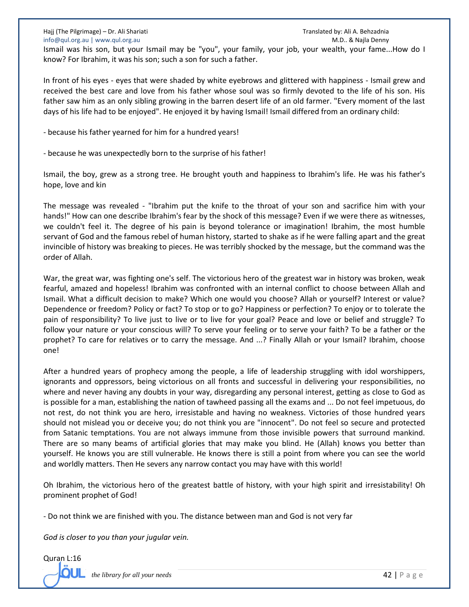# Hajj (The Pilgrimage) – Dr. Ali Shariati Translated by: Ali A. Behzadnia

# info@qul.org.au | www.qul.org.au M.D.. & Najla Denny

Ismail was his son, but your Ismail may be "you", your family, your job, your wealth, your fame...How do I know? For Ibrahim, it was his son; such a son for such a father.

In front of his eyes - eyes that were shaded by white eyebrows and glittered with happiness - Ismail grew and received the best care and love from his father whose soul was so firmly devoted to the life of his son. His father saw him as an only sibling growing in the barren desert life of an old farmer. "Every moment of the last days of his life had to be enjoyed". He enjoyed it by having Ismail! Ismail differed from an ordinary child:

- because his father yearned for him for a hundred years!
- because he was unexpectedly born to the surprise of his father!

Ismail, the boy, grew as a strong tree. He brought youth and happiness to Ibrahim's life. He was his father's hope, love and kin

The message was revealed - "Ibrahim put the knife to the throat of your son and sacrifice him with your hands!" How can one describe Ibrahim's fear by the shock of this message? Even if we were there as witnesses, we couldn't feel it. The degree of his pain is beyond tolerance or imagination! Ibrahim, the most humble servant of God and the famous rebel of human history, started to shake as if he were falling apart and the great invincible of history was breaking to pieces. He was terribly shocked by the message, but the command was the order of Allah.

War, the great war, was fighting one's self. The victorious hero of the greatest war in history was broken, weak fearful, amazed and hopeless! Ibrahim was confronted with an internal conflict to choose between Allah and Ismail. What a difficult decision to make? Which one would you choose? Allah or yourself? Interest or value? Dependence or freedom? Policy or fact? To stop or to go? Happiness or perfection? To enjoy or to tolerate the pain of responsibility? To live just to live or to live for your goal? Peace and love or belief and struggle? To follow your nature or your conscious will? To serve your feeling or to serve your faith? To be a father or the prophet? To care for relatives or to carry the message. And ...? Finally Allah or your Ismail? Ibrahim, choose one!

After a hundred years of prophecy among the people, a life of leadership struggling with idol worshippers, ignorants and oppressors, being victorious on all fronts and successful in delivering your responsibilities, no where and never having any doubts in your way, disregarding any personal interest, getting as close to God as is possible for a man, establishing the nation of tawheed passing all the exams and ... Do not feel impetuous, do not rest, do not think you are hero, irresistable and having no weakness. Victories of those hundred years should not mislead you or deceive you; do not think you are "innocent". Do not feel so secure and protected from Satanic temptations. You are not always immune from those invisible powers that surround mankind. There are so many beams of artificial glories that may make you blind. He (Allah) knows you better than yourself. He knows you are still vulnerable. He knows there is still a point from where you can see the world and worldly matters. Then He severs any narrow contact you may have with this world!

Oh Ibrahim, the victorious hero of the greatest battle of history, with your high spirit and irresistability! Oh prominent prophet of God!

- Do not think we are finished with you. The distance between man and God is not very far

*God is closer to you than your jugular vein.*

Quran L:16

*the library for all your needs* 42 | P a g e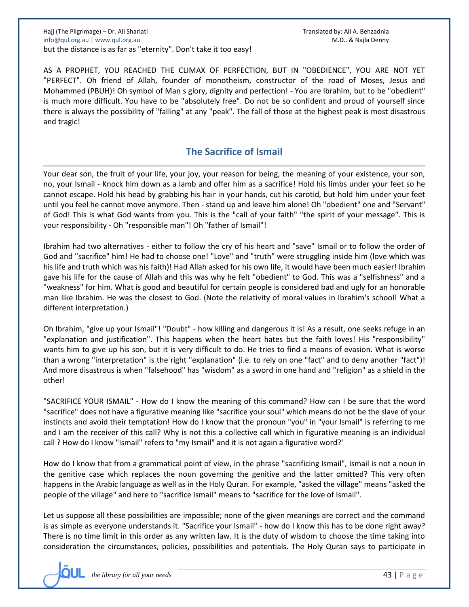Hajj (The Pilgrimage) – Dr. Ali Shariati Translated by: Ali A. Behzadnia info@qul.org.au | www.qul.org.au M.D.. & Najla Denny but the distance is as far as "eternity". Don't take it too easy!

AS A PROPHET, YOU REACHED THE CLIMAX OF PERFECTION, BUT IN "OBEDIENCE", YOU ARE NOT YET "PERFECT". Oh friend of Allah, founder of monotheism, constructor of the road of Moses, Jesus and Mohammed (PBUH)! Oh symbol of Man s glory, dignity and perfection! - You are Ibrahim, but to be "obedient" is much more difficult. You have to be "absolutely free". Do not be so confident and proud of yourself since there is always the possibility of "falling" at any "peak". The fall of those at the highest peak is most disastrous and tragic!

# **The Sacrifice of Ismail**

Your dear son, the fruit of your life, your joy, your reason for being, the meaning of your existence, your son, no, your Ismail - Knock him down as a lamb and offer him as a sacrifice! Hold his limbs under your feet so he cannot escape. Hold his head by grabbing his hair in your hands, cut his carotid, but hold him under your feet until you feel he cannot move anymore. Then - stand up and leave him alone! Oh "obedient" one and "Servant" of God! This is what God wants from you. This is the "call of your faith" "the spirit of your message". This is your responsibility - Oh "responsible man"! Oh "father of Ismail"!

Ibrahim had two alternatives - either to follow the cry of his heart and "save" Ismail or to follow the order of God and "sacrifice" him! He had to choose one! "Love" and "truth" were struggling inside him (love which was his life and truth which was his faith)! Had Allah asked for his own life, it would have been much easier! Ibrahim gave his life for the cause of Allah and this was why he felt "obedient" to God. This was a "selfishness" and a "weakness" for him. What is good and beautiful for certain people is considered bad and ugly for an honorable man like Ibrahim. He was the closest to God. (Note the relativity of moral values in Ibrahim's school! What a different interpretation.)

Oh Ibrahim, "give up your Ismail"! "Doubt" - how killing and dangerous it is! As a result, one seeks refuge in an "explanation and justification". This happens when the heart hates but the faith loves! His "responsibility" wants him to give up his son, but it is very difficult to do. He tries to find a means of evasion. What is worse than a wrong "interpretation" is the right "explanation" (i.e. to rely on one "fact" and to deny another "fact")! And more disastrous is when "falsehood" has "wisdom" as a sword in one hand and "religion" as a shield in the other!

"SACRIFICE YOUR ISMAIL" - How do I know the meaning of this command? How can I be sure that the word "sacrifice" does not have a figurative meaning like "sacrifice your soul" which means do not be the slave of your instincts and avoid their temptation! How do I know that the pronoun "you" in "your Ismail" is referring to me and I am the receiver of this call? Why is not this a collective call which in figurative meaning is an individual call ? How do I know "Ismail" refers to "my Ismail" and it is not again a figurative word?'

How do I know that from a grammatical point of view, in the phrase "sacrificing Ismail", Ismail is not a noun in the genitive case which replaces the noun governing the genitive and the latter omitted? This very often happens in the Arabic language as well as in the Holy Quran. For example, "asked the village" means "asked the people of the village" and here to "sacrifice Ismail" means to "sacrifice for the love of Ismail".

Let us suppose all these possibilities are impossible; none of the given meanings are correct and the command is as simple as everyone understands it. "Sacrifice your Ismail" - how do I know this has to be done right away? There is no time limit in this order as any written law. It is the duty of wisdom to choose the time taking into consideration the circumstances, policies, possibilities and potentials. The Holy Quran says to participate in

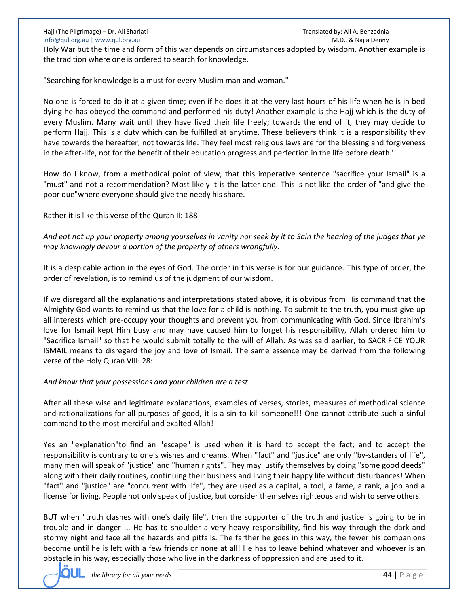Hajj (The Pilgrimage) – Dr. Ali Shariati Translated by: Ali A. Behzadnia

# info@qul.org.au | www.qul.org.au M.D.. & Najla Denny

Holy War but the time and form of this war depends on circumstances adopted by wisdom. Another example is the tradition where one is ordered to search for knowledge.

"Searching for knowledge is a must for every Muslim man and woman."

No one is forced to do it at a given time; even if he does it at the very last hours of his life when he is in bed dying he has obeyed the command and performed his duty! Another example is the Hajj which is the duty of every Muslim. Many wait until they have lived their life freely; towards the end of it, they may decide to perform Hajj. This is a duty which can be fulfilled at anytime. These believers think it is a responsibility they have towards the hereafter, not towards life. They feel most religious laws are for the blessing and forgiveness in the after-life, not for the benefit of their education progress and perfection in the life before death.'

How do I know, from a methodical point of view, that this imperative sentence "sacrifice your Ismail" is a "must" and not a recommendation? Most likely it is the latter one! This is not like the order of "and give the poor due"where everyone should give the needy his share.

Rather it is like this verse of the Quran II: 188

*And eat not up your property among yourselves in vanity nor seek by it to Sain the hearing of the judges that ye may knowingly devour a portion of the property of others wrongfully*.

It is a despicable action in the eyes of God. The order in this verse is for our guidance. This type of order, the order of revelation, is to remind us of the judgment of our wisdom.

If we disregard all the explanations and interpretations stated above, it is obvious from His command that the Almighty God wants to remind us that the love for a child is nothing. To submit to the truth, you must give up all interests which pre-occupy your thoughts and prevent you from communicating with God. Since Ibrahim's love for Ismail kept Him busy and may have caused him to forget his responsibility, Allah ordered him to "Sacrifice Ismail" so that he would submit totally to the will of Allah. As was said earlier, to SACRIFICE YOUR ISMAIL means to disregard the joy and love of Ismail. The same essence may be derived from the following verse of the Holy Quran VIII: 28:

*And know that your possessions and your children are a test*.

After all these wise and legitimate explanations, examples of verses, stories, measures of methodical science and rationalizations for all purposes of good, it is a sin to kill someone!!! One cannot attribute such a sinful command to the most merciful and exalted Allah!

Yes an "explanation"to find an "escape" is used when it is hard to accept the fact; and to accept the responsibility is contrary to one's wishes and dreams. When "fact" and "justice" are only "by-standers of life", many men will speak of "justice" and "human rights". They may justify themselves by doing "some good deeds" along with their daily routines, continuing their business and living their happy life without disturbances! When "fact" and "justice" are "concurrent with life", they are used as a capital, a tool, a fame, a rank, a job and a license for living. People not only speak of justice, but consider themselves righteous and wish to serve others.

BUT when "truth clashes with one's daily life", then the supporter of the truth and justice is going to be in trouble and in danger ... He has to shoulder a very heavy responsibility, find his way through the dark and stormy night and face all the hazards and pitfalls. The farther he goes in this way, the fewer his companions become until he is left with a few friends or none at all! He has to leave behind whatever and whoever is an obstacle in his way, especially those who live in the darkness of oppression and are used to it.

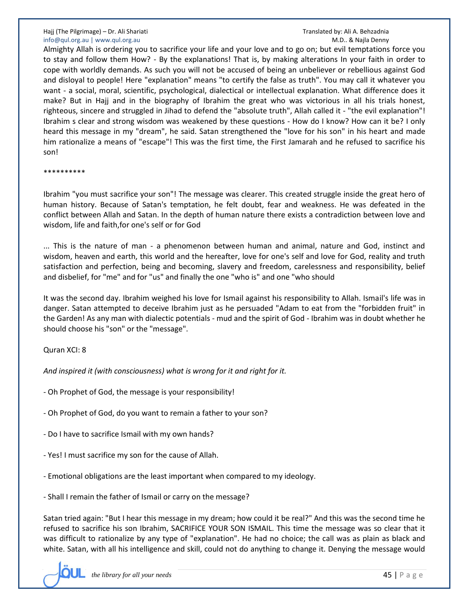Almighty Allah is ordering you to sacrifice your life and your love and to go on; but evil temptations force you to stay and follow them How? - By the explanations! That is, by making alterations In your faith in order to cope with worldly demands. As such you will not be accused of being an unbeliever or rebellious against God and disloyal to people! Here "explanation" means "to certify the false as truth". You may call it whatever you want - a social, moral, scientific, psychological, dialectical or intellectual explanation. What difference does it make? But in Hajj and in the biography of Ibrahim the great who was victorious in all his trials honest, righteous, sincere and struggled in Jihad to defend the "absolute truth", Allah called it - "the evil explanation"! Ibrahim s clear and strong wisdom was weakened by these questions - How do I know? How can it be? I only heard this message in my "dream", he said. Satan strengthened the "love for his son" in his heart and made him rationalize a means of "escape"! This was the first time, the First Jamarah and he refused to sacrifice his son!

\*\*\*\*\*\*\*\*\*\*

Ibrahim "you must sacrifice your son"! The message was clearer. This created struggle inside the great hero of human history. Because of Satan's temptation, he felt doubt, fear and weakness. He was defeated in the conflict between Allah and Satan. In the depth of human nature there exists a contradiction between love and wisdom, life and faith,for one's self or for God

... This is the nature of man - a phenomenon between human and animal, nature and God, instinct and wisdom, heaven and earth, this world and the hereafter, love for one's self and love for God, reality and truth satisfaction and perfection, being and becoming, slavery and freedom, carelessness and responsibility, belief and disbelief, for "me" and for "us" and finally the one "who is" and one "who should

It was the second day. Ibrahim weighed his love for Ismail against his responsibility to Allah. Ismail's life was in danger. Satan attempted to deceive Ibrahim just as he persuaded "Adam to eat from the "forbidden fruit" in the Garden! As any man with dialectic potentials - mud and the spirit of God - Ibrahim was in doubt whether he should choose his "son" or the "message".

# Quran XCI: 8

*And inspired it (with consciousness) what is wrong for it and right for it.*

- Oh Prophet of God, the message is your responsibility!

- Oh Prophet of God, do you want to remain a father to your son?
- Do I have to sacrifice Ismail with my own hands?
- Yes! I must sacrifice my son for the cause of Allah.
- Emotional obligations are the least important when compared to my ideology.
- Shall I remain the father of Ismail or carry on the message?

Satan tried again: "But I hear this message in my dream; how could it be real?" And this was the second time he refused to sacrifice his son Ibrahim, SACRIFICE YOUR SON ISMAIL. This time the message was so clear that it was difficult to rationalize by any type of "explanation". He had no choice; the call was as plain as black and white. Satan, with all his intelligence and skill, could not do anything to change it. Denying the message would

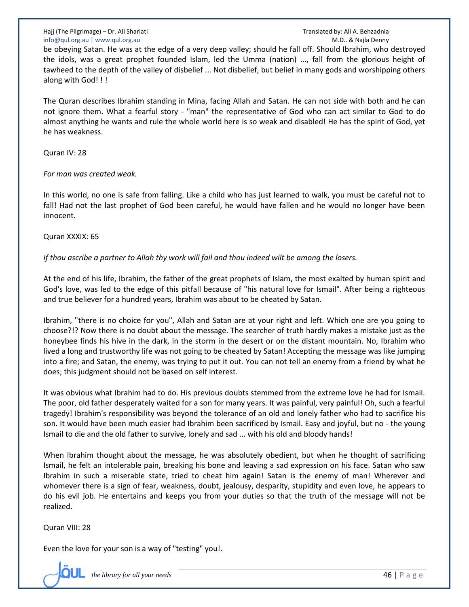be obeying Satan. He was at the edge of a very deep valley; should he fall off. Should Ibrahim, who destroyed the idols, was a great prophet founded Islam, led the Umma (nation) ..., fall from the glorious height of tawheed to the depth of the valley of disbelief ... Not disbelief, but belief in many gods and worshipping others along with God! ! !

The Quran describes Ibrahim standing in Mina, facing Allah and Satan. He can not side with both and he can not ignore them. What a fearful story - "man" the representative of God who can act similar to God to do almost anything he wants and rule the whole world here is so weak and disabled! He has the spirit of God, yet he has weakness.

## Quran IV: 28

## *For man was created weak.*

In this world, no one is safe from falling. Like a child who has just learned to walk, you must be careful not to fall! Had not the last prophet of God been careful, he would have fallen and he would no longer have been innocent.

## Quran XXXIX: 65

# *If thou ascribe a partner to Allah thy work will fail and thou indeed wilt be among the losers.*

At the end of his life, Ibrahim, the father of the great prophets of Islam, the most exalted by human spirit and God's love, was led to the edge of this pitfall because of "his natural love for Ismail". After being a righteous and true believer for a hundred years, Ibrahim was about to be cheated by Satan.

Ibrahim, "there is no choice for you", Allah and Satan are at your right and left. Which one are you going to choose?!? Now there is no doubt about the message. The searcher of truth hardly makes a mistake just as the honeybee finds his hive in the dark, in the storm in the desert or on the distant mountain. No, Ibrahim who lived a long and trustworthy life was not going to be cheated by Satan! Accepting the message was like jumping into a fire; and Satan, the enemy, was trying to put it out. You can not tell an enemy from a friend by what he does; this judgment should not be based on self interest.

It was obvious what Ibrahim had to do. His previous doubts stemmed from the extreme love he had for Ismail. The poor, old father desperately waited for a son for many years. It was painful, very painful! Oh, such a fearful tragedy! Ibrahim's responsibility was beyond the tolerance of an old and lonely father who had to sacrifice his son. It would have been much easier had Ibrahim been sacrificed by Ismail. Easy and joyful, but no - the young Ismail to die and the old father to survive, lonely and sad ... with his old and bloody hands!

When Ibrahim thought about the message, he was absolutely obedient, but when he thought of sacrificing Ismail, he felt an intolerable pain, breaking his bone and leaving a sad expression on his face. Satan who saw Ibrahim in such a miserable state, tried to cheat him again! Satan is the enemy of man! Wherever and whomever there is a sign of fear, weakness, doubt, jealousy, desparity, stupidity and even love, he appears to do his evil job. He entertains and keeps you from your duties so that the truth of the message will not be realized.

Quran VIII: 28

Even the love for your son is a way of "testing" you!.

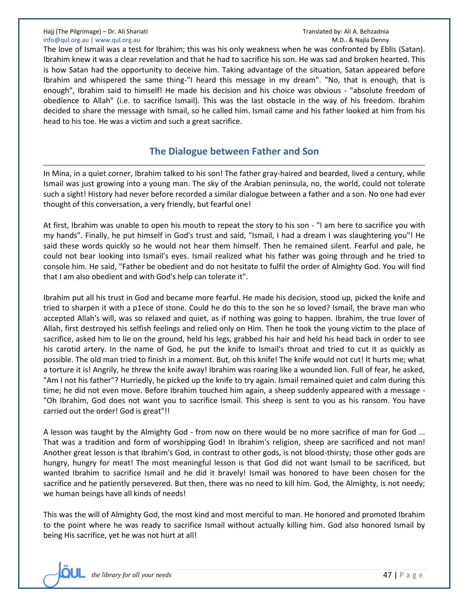Hajj (The Pilgrimage) – Dr. Ali Shariati Translated by: Ali A. Behzadnia info@qul.org.au | www.qul.org.au  $\blacksquare$ 

The love of Ismail was a test for Ibrahim; this was his only weakness when he was confronted by Eblis (Satan). Ibrahim knew it was a clear revelation and that he had to sacrifice his son. He was sad and broken hearted. This is how Satan had the opportunity to deceive him. Taking advantage of the situation, Satan appeared before Ibrahim and whispered the same thing-"I heard this message in my dream". "No, that is enough, that is enough", Ibrahim said to himself! He made his decision and his choice was obvious - "absolute freedom of obedience to Allah" (i.e. to sacrifice Ismail). This was the last obstacle in the way of his freedom. Ibrahim decided to share the message with Ismail, so he called him. Ismail came and his father looked at him from his head to his toe. He was a victim and such a great sacrifice.

# **The Dialogue between Father and Son**

In Mina, in a quiet corner, Ibrahim talked to his son! The father gray-haired and bearded, lived a century, while Ismail was just growing into a young man. The sky of the Arabian peninsula, no, the world, could not tolerate such a sight! History had never before recorded a similar dialogue between a father and a son. No one had ever thought of this conversation, a very friendly, but fearful one!

At first, Ibrahim was unable to open his mouth to repeat the story to his son - "I am here to sacrifice you with my hands". Finally, he put himself in God's trust and said, "Ismail, I had a dream I was slaughtering you"! He said these words quickly so he would not hear them himself. Then he remained silent. Fearful and pale, he could not bear looking into Ismail's eyes. Ismail realized what his father was going through and he tried to console him. He said, "Father be obedient and do not hesitate to fulfil the order of Almighty God. You will find that I am also obedient and with God's help can tolerate it".

Ibrahim put all his trust in God and became more fearful. He made his decision, stood up, picked the knife and tried to sharpen it with a p1ece of stone. Could he do this to the son he so loved? Ismail, the brave man who accepted Allah's will, was so relaxed and quiet, as if nothing was going to happen. Ibrahim, the true lover of Allah, first destroyed his selfish feelings and relied only on Him. Then he took the young victim to the place of sacrifice, asked him to lie on the ground, held his legs, grabbed his hair and held his head back in order to see his carotid artery. In the name of God, he put the knife to Ismail's throat and tried to cut it as quickly as possible. The old man tried to finish in a moment. But, oh this knife! The knife would not cut! It hurts me; what a torture it is! Angrily, he threw the knife away! Ibrahim was roaring like a wounded lion. Full of fear, he asked, "Am I not his father"? Hurriedly, he picked up the knife to try again. Ismail remained quiet and calm during this time; he did not even move. Before Ibrahim touched him again, a sheep suddenly appeared with a message - "Oh Ibrahim, God does not want you to sacrifice Ismail. This sheep is sent to you as his ransom. You have carried out the order! God is great"!!

A lesson was taught by the Almighty God - from now on there would be no more sacrifice of man for God ... That was a tradition and form of worshipping God! In Ibrahim's religion, sheep are sacrificed and not man! Another great lesson is that Ibrahim's God, in contrast to other gods, is not blood-thirsty; those other gods are hungry, hungry for meat! The most meaningful lesson is that God did not want Ismail to be sacrificed, but wanted Ibrahim to sacrifice Ismail and he did it bravely! Ismail was honored to have been chosen for the sacrifice and he patiently persevered. But then, there was no need to kill him. God, the Almighty, is not needy; we human beings have all kinds of needs!

This was the will of Almighty God, the most kind and most merciful to man. He honored and promoted Ibrahim to the point where he was ready to sacrifice Ismail without actually killing him. God also honored Ismail by being His sacrifice, yet he was not hurt at all!

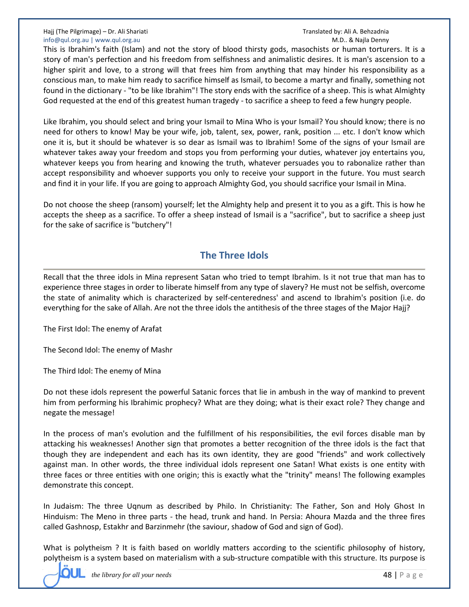This is Ibrahim's faith (Islam) and not the story of blood thirsty gods, masochists or human torturers. It is a story of man's perfection and his freedom from selfishness and animalistic desires. It is man's ascension to a higher spirit and love, to a strong will that frees him from anything that may hinder his responsibility as a conscious man, to make him ready to sacrifice himself as Ismail, to become a martyr and finally, something not found in the dictionary - "to be like Ibrahim"! The story ends with the sacrifice of a sheep. This is what Almighty God requested at the end of this greatest human tragedy - to sacrifice a sheep to feed a few hungry people.

Like Ibrahim, you should select and bring your Ismail to Mina Who is your Ismail? You should know; there is no need for others to know! May be your wife, job, talent, sex, power, rank, position ... etc. I don't know which one it is, but it should be whatever is so dear as Ismail was to Ibrahim! Some of the signs of your Ismail are whatever takes away your freedom and stops you from performing your duties, whatever joy entertains you, whatever keeps you from hearing and knowing the truth, whatever persuades you to rabonalize rather than accept responsibility and whoever supports you only to receive your support in the future. You must search and find it in your life. If you are going to approach Almighty God, you should sacrifice your Ismail in Mina.

Do not choose the sheep (ransom) yourself; let the Almighty help and present it to you as a gift. This is how he accepts the sheep as a sacrifice. To offer a sheep instead of Ismail is a "sacrifice", but to sacrifice a sheep just for the sake of sacrifice is "butchery"!

# **The Three Idols**

Recall that the three idols in Mina represent Satan who tried to tempt Ibrahim. Is it not true that man has to experience three stages in order to liberate himself from any type of slavery? He must not be selfish, overcome the state of animality which is characterized by self-centeredness' and ascend to Ibrahim's position (i.e. do everything for the sake of Allah. Are not the three idols the antithesis of the three stages of the Major Hajj?

The First Idol: The enemy of Arafat

The Second Idol: The enemy of Mashr

The Third Idol: The enemy of Mina

Do not these idols represent the powerful Satanic forces that lie in ambush in the way of mankind to prevent him from performing his Ibrahimic prophecy? What are they doing; what is their exact role? They change and negate the message!

In the process of man's evolution and the fulfillment of his responsibilities, the evil forces disable man by attacking his weaknesses! Another sign that promotes a better recognition of the three idols is the fact that though they are independent and each has its own identity, they are good "friends" and work collectively against man. In other words, the three individual idols represent one Satan! What exists is one entity with three faces or three entities with one origin; this is exactly what the "trinity" means! The following examples demonstrate this concept.

In Judaism: The three Uqnum as described by Philo. In Christianity: The Father, Son and Holy Ghost In Hinduism: The Meno in three parts - the head, trunk and hand. In Persia: Ahoura Mazda and the three fires called Gashnosp, Estakhr and Barzinmehr (the saviour, shadow of God and sign of God).

What is polytheism ? It is faith based on worldly matters according to the scientific philosophy of history, polytheism is a system based on materialism with a sub-structure compatible with this structure. Its purpose is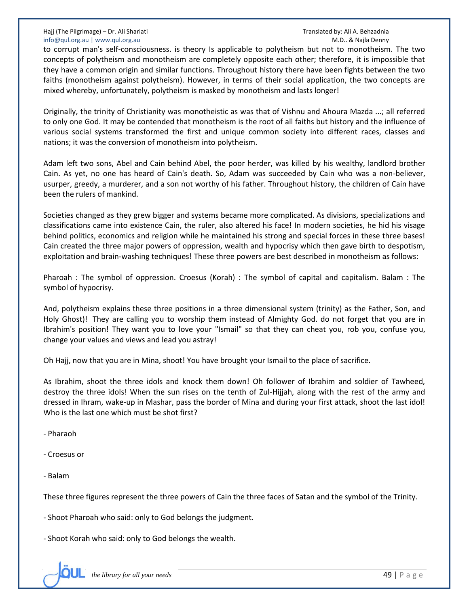to corrupt man's self-consciousness. is theory Is applicable to polytheism but not to monotheism. The two concepts of polytheism and monotheism are completely opposite each other; therefore, it is impossible that they have a common origin and similar functions. Throughout history there have been fights between the two faiths (monotheism against polytheism). However, in terms of their social application, the two concepts are mixed whereby, unfortunately, polytheism is masked by monotheism and lasts longer!

Originally, the trinity of Christianity was monotheistic as was that of Vishnu and Ahoura Mazda ...; all referred to only one God. It may be contended that monotheism is the root of all faiths but history and the influence of various social systems transformed the first and unique common society into different races, classes and nations; it was the conversion of monotheism into polytheism.

Adam left two sons, Abel and Cain behind Abel, the poor herder, was killed by his wealthy, landlord brother Cain. As yet, no one has heard of Cain's death. So, Adam was succeeded by Cain who was a non-believer, usurper, greedy, a murderer, and a son not worthy of his father. Throughout history, the children of Cain have been the rulers of mankind.

Societies changed as they grew bigger and systems became more complicated. As divisions, specializations and classifications came into existence Cain, the ruler, also altered his face! In modern societies, he hid his visage behind politics, economics and religion while he maintained his strong and special forces in these three bases! Cain created the three major powers of oppression, wealth and hypocrisy which then gave birth to despotism, exploitation and brain-washing techniques! These three powers are best described in monotheism as follows:

Pharoah : The symbol of oppression. Croesus (Korah) : The symbol of capital and capitalism. Balam : The symbol of hypocrisy.

And, polytheism explains these three positions in a three dimensional system (trinity) as the Father, Son, and Holy Ghost)! They are calling you to worship them instead of Almighty God. do not forget that you are in Ibrahim's position! They want you to love your "Ismail" so that they can cheat you, rob you, confuse you, change your values and views and lead you astray!

Oh Hajj, now that you are in Mina, shoot! You have brought your Ismail to the place of sacrifice.

As Ibrahim, shoot the three idols and knock them down! Oh follower of Ibrahim and soldier of Tawheed, destroy the three idols! When the sun rises on the tenth of Zul-Hijjah, along with the rest of the army and dressed in Ihram, wake-up in Mashar, pass the border of Mina and during your first attack, shoot the last idol! Who is the last one which must be shot first?

- Pharaoh
- Croesus or
- Balam

These three figures represent the three powers of Cain the three faces of Satan and the symbol of the Trinity.

- Shoot Pharoah who said: only to God belongs the judgment.

- Shoot Korah who said: only to God belongs the wealth.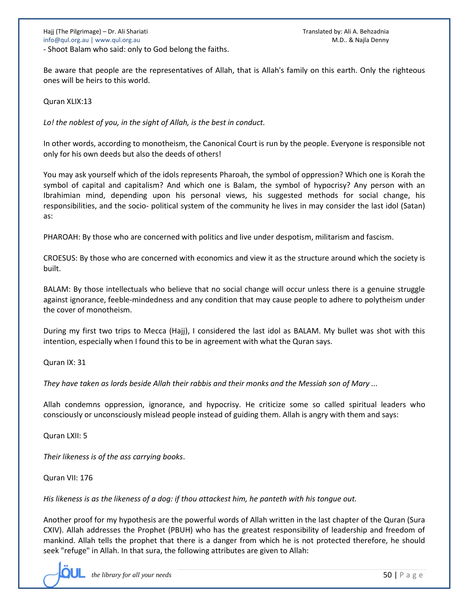Be aware that people are the representatives of Allah, that is Allah's family on this earth. Only the righteous ones will be heirs to this world.

Quran XLIX:13

*Lo! the noblest of you, in the sight of Allah, is the best in conduct.*

In other words, according to monotheism, the Canonical Court is run by the people. Everyone is responsible not only for his own deeds but also the deeds of others!

You may ask yourself which of the idols represents Pharoah, the symbol of oppression? Which one is Korah the symbol of capital and capitalism? And which one is Balam, the symbol of hypocrisy? Any person with an Ibrahimian mind, depending upon his personal views, his suggested methods for social change, his responsibilities, and the socio- political system of the community he lives in may consider the last idol (Satan) as:

PHAROAH: By those who are concerned with politics and live under despotism, militarism and fascism.

CROESUS: By those who are concerned with economics and view it as the structure around which the society is built.

BALAM: By those intellectuals who believe that no social change will occur unless there is a genuine struggle against ignorance, feeble-mindedness and any condition that may cause people to adhere to polytheism under the cover of monotheism.

During my first two trips to Mecca (Hajj), I considered the last idol as BALAM. My bullet was shot with this intention, especially when I found this to be in agreement with what the Quran says.

Quran IX: 31

*They have taken as lords beside Allah their rabbis and their monks and the Messiah son of Mary ...*

Allah condemns oppression, ignorance, and hypocrisy. He criticize some so called spiritual leaders who consciously or unconsciously mislead people instead of guiding them. Allah is angry with them and says:

Quran LXII: 5

*Their likeness is of the ass carrying books*.

Quran VII: 176

*His likeness is as the likeness of a dog: if thou attackest him, he panteth with his tongue out.*

Another proof for my hypothesis are the powerful words of Allah written in the last chapter of the Quran (Sura CXIV). Allah addresses the Prophet (PBUH) who has the greatest responsibility of leadership and freedom of mankind. Allah tells the prophet that there is a danger from which he is not protected therefore, he should seek "refuge" in Allah. In that sura, the following attributes are given to Allah:

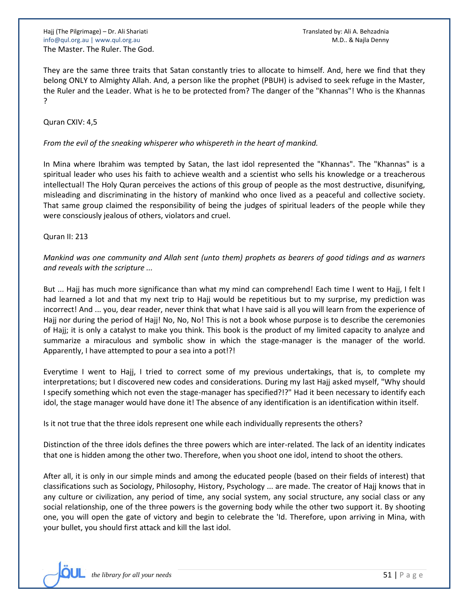Hajj (The Pilgrimage) – Dr. Ali Shariati Translated by: Ali A. Behzadnia info@qul.org.au | www.qul.org.au  $\blacksquare$ The Master. The Ruler. The God.

They are the same three traits that Satan constantly tries to allocate to himself. And, here we find that they belong ONLY to Almighty Allah. And, a person like the prophet (PBUH) is advised to seek refuge in the Master, the Ruler and the Leader. What is he to be protected from? The danger of the "Khannas"! Who is the Khannas ?

# Quran CXIV: 4,5

# *From the evil of the sneaking whisperer who whispereth in the heart of mankind.*

In Mina where Ibrahim was tempted by Satan, the last idol represented the "Khannas". The "Khannas" is a spiritual leader who uses his faith to achieve wealth and a scientist who sells his knowledge or a treacherous intellectual! The Holy Quran perceives the actions of this group of people as the most destructive, disunifying, misleading and discriminating in the history of mankind who once lived as a peaceful and collective society. That same group claimed the responsibility of being the judges of spiritual leaders of the people while they were consciously jealous of others, violators and cruel.

### Quran II: 213

*Mankind was one community and Allah sent (unto them) prophets as bearers of good tidings and as warners and reveals with the scripture ...*

But ... Hajj has much more significance than what my mind can comprehend! Each time I went to Hajj, I felt I had learned a lot and that my next trip to Hajj would be repetitious but to my surprise, my prediction was incorrect! And ... you, dear reader, never think that what I have said is all you will learn from the experience of Hajj nor during the period of Hajj! No, No, No! This is not a book whose purpose is to describe the ceremonies of Hajj; it is only a catalyst to make you think. This book is the product of my limited capacity to analyze and summarize a miraculous and symbolic show in which the stage-manager is the manager of the world. Apparently, I have attempted to pour a sea into a pot!?!

Everytime I went to Hajj, I tried to correct some of my previous undertakings, that is, to complete my interpretations; but I discovered new codes and considerations. During my last Hajj asked myself, "Why should I specify something which not even the stage-manager has specified?!?" Had it been necessary to identify each idol, the stage manager would have done it! The absence of any identification is an identification within itself.

Is it not true that the three idols represent one while each individually represents the others?

Distinction of the three idols defines the three powers which are inter-related. The lack of an identity indicates that one is hidden among the other two. Therefore, when you shoot one idol, intend to shoot the others.

After all, it is only in our simple minds and among the educated people (based on their fields of interest) that classifications such as Sociology, Philosophy, History, Psychology ... are made. The creator of Hajj knows that in any culture or civilization, any period of time, any social system, any social structure, any social class or any social relationship, one of the three powers is the governing body while the other two support it. By shooting one, you will open the gate of victory and begin to celebrate the 'Id. Therefore, upon arriving in Mina, with your bullet, you should first attack and kill the last idol.

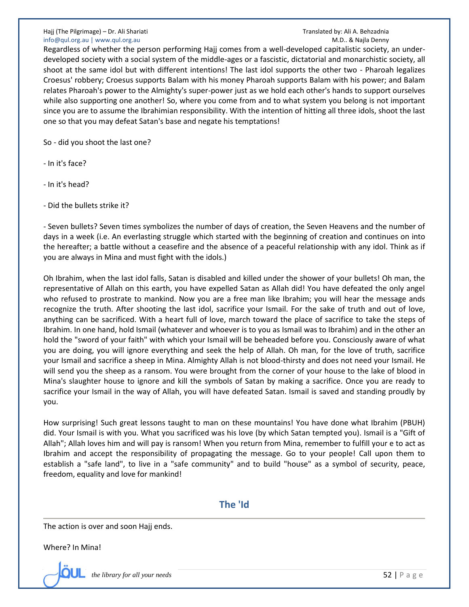Regardless of whether the person performing Hajj comes from a well-developed capitalistic society, an underdeveloped society with a social system of the middle-ages or a fascistic, dictatorial and monarchistic society, all shoot at the same idol but with different intentions! The last idol supports the other two - Pharoah legalizes Croesus' robbery; Croesus supports Balam with his money Pharoah supports Balam with his power; and Balam relates Pharoah's power to the Almighty's super-power just as we hold each other's hands to support ourselves while also supporting one another! So, where you come from and to what system you belong is not important since you are to assume the Ibrahimian responsibility. With the intention of hitting all three idols, shoot the last one so that you may defeat Satan's base and negate his temptations!

So - did you shoot the last one?

- In it's face?

- In it's head?

- Did the bullets strike it?

- Seven bullets? Seven times symbolizes the number of days of creation, the Seven Heavens and the number of days in a week (i.e. An everlasting struggle which started with the beginning of creation and continues on into the hereafter; a battle without a ceasefire and the absence of a peaceful relationship with any idol. Think as if you are always in Mina and must fight with the idols.)

Oh Ibrahim, when the last idol falls, Satan is disabled and killed under the shower of your bullets! Oh man, the representative of Allah on this earth, you have expelled Satan as Allah did! You have defeated the only angel who refused to prostrate to mankind. Now you are a free man like Ibrahim; you will hear the message ands recognize the truth. After shooting the last idol, sacrifice your Ismail. For the sake of truth and out of love, anything can be sacrificed. With a heart full of love, march toward the place of sacrifice to take the steps of Ibrahim. In one hand, hold Ismail (whatever and whoever is to you as Ismail was to Ibrahim) and in the other an hold the "sword of your faith" with which your Ismail will be beheaded before you. Consciously aware of what you are doing, you will ignore everything and seek the help of Allah. Oh man, for the love of truth, sacrifice your Ismail and sacrifice a sheep in Mina. Almighty Allah is not blood-thirsty and does not need your Ismail. He will send you the sheep as a ransom. You were brought from the corner of your house to the lake of blood in Mina's slaughter house to ignore and kill the symbols of Satan by making a sacrifice. Once you are ready to sacrifice your Ismail in the way of Allah, you will have defeated Satan. Ismail is saved and standing proudly by you.

How surprising! Such great lessons taught to man on these mountains! You have done what Ibrahim (PBUH) did. Your Ismail is with you. What you sacrificed was his love (by which Satan tempted you). Ismail is a "Gift of Allah"; Allah loves him and will pay is ransom! When you return from Mina, remember to fulfill your e to act as Ibrahim and accept the responsibility of propagating the message. Go to your people! Call upon them to establish a "safe land", to live in a "safe community" and to build "house" as a symbol of security, peace, freedom, equality and love for mankind!

# **The 'Id**

The action is over and soon Hajj ends.

Where? In Mina!



*the library for all your needs* 52 | P a g e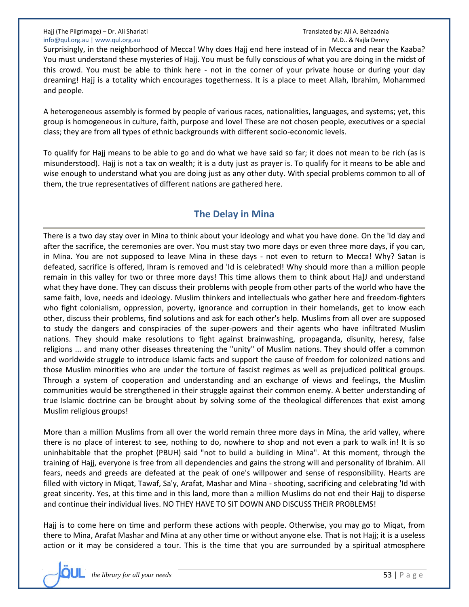Hajj (The Pilgrimage) – Dr. Ali Shariati Translated by: Ali A. Behzadnia info@qul.org.au | www.qul.org.au  $\blacksquare$ 

Surprisingly, in the neighborhood of Mecca! Why does Hajj end here instead of in Mecca and near the Kaaba? You must understand these mysteries of Hajj. You must be fully conscious of what you are doing in the midst of this crowd. You must be able to think here - not in the corner of your private house or during your day dreaming! Hajj is a totality which encourages togetherness. It is a place to meet Allah, Ibrahim, Mohammed and people.

A heterogeneous assembly is formed by people of various races, nationalities, languages, and systems; yet, this group is homogeneous in culture, faith, purpose and love! These are not chosen people, executives or a special class; they are from all types of ethnic backgrounds with different socio-economic levels.

To qualify for Hajj means to be able to go and do what we have said so far; it does not mean to be rich (as is misunderstood). Hajj is not a tax on wealth; it is a duty just as prayer is. To qualify for it means to be able and wise enough to understand what you are doing just as any other duty. With special problems common to all of them, the true representatives of different nations are gathered here.

# **The Delay in Mina**

There is a two day stay over in Mina to think about your ideology and what you have done. On the 'Id day and after the sacrifice, the ceremonies are over. You must stay two more days or even three more days, if you can, in Mina. You are not supposed to leave Mina in these days - not even to return to Mecca! Why? Satan is defeated, sacrifice is offered, Ihram is removed and 'Id is celebrated! Why should more than a million people remain in this valley for two or three more days! This time allows them to think about Ha]J and understand what they have done. They can discuss their problems with people from other parts of the world who have the same faith, love, needs and ideology. Muslim thinkers and intellectuals who gather here and freedom-fighters who fight colonialism, oppression, poverty, ignorance and corruption in their homelands, get to know each other, discuss their problems, find solutions and ask for each other's help. Muslims from all over are supposed to study the dangers and conspiracies of the super-powers and their agents who have infiltrated Muslim nations. They should make resolutions to fight against brainwashing, propaganda, disunity, heresy, false religions ... and many other diseases threatening the "unity" of Muslim nations. They should offer a common and worldwide struggle to introduce Islamic facts and support the cause of freedom for colonized nations and those Muslim minorities who are under the torture of fascist regimes as well as prejudiced political groups. Through a system of cooperation and understanding and an exchange of views and feelings, the Muslim communities would be strengthened in their struggle against their common enemy. A better understanding of true Islamic doctrine can be brought about by solving some of the theological differences that exist among Muslim religious groups!

More than a million Muslims from all over the world remain three more days in Mina, the arid valley, where there is no place of interest to see, nothing to do, nowhere to shop and not even a park to walk in! It is so uninhabitable that the prophet (PBUH) said "not to build a building in Mina". At this moment, through the training of Hajj, everyone is free from all dependencies and gains the strong will and personality of Ibrahim. All fears, needs and greeds are defeated at the peak of one's willpower and sense of responsibility. Hearts are filled with victory in Miqat, Tawaf, Sa'y, Arafat, Mashar and Mina - shooting, sacrificing and celebrating 'Id with great sincerity. Yes, at this time and in this land, more than a million Muslims do not end their Hajj to disperse and continue their individual lives. NO THEY HAVE TO SIT DOWN AND DISCUSS THEIR PROBLEMS!

Hajj is to come here on time and perform these actions with people. Otherwise, you may go to Miqat, from there to Mina, Arafat Mashar and Mina at any other time or without anyone else. That is not Hajj; it is a useless action or it may be considered a tour. This is the time that you are surrounded by a spiritual atmosphere

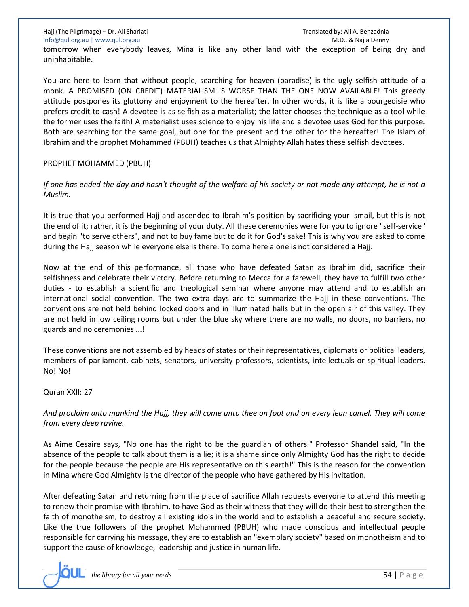Hajj (The Pilgrimage) – Dr. Ali Shariati Translated by: Ali A. Behzadnia

# info@qul.org.au | www.qul.org.au M.D.. & Najla Denny

tomorrow when everybody leaves, Mina is like any other land with the exception of being dry and uninhabitable.

You are here to learn that without people, searching for heaven (paradise) is the ugly selfish attitude of a monk. A PROMISED (ON CREDIT) MATERIALISM IS WORSE THAN THE ONE NOW AVAILABLE! This greedy attitude postpones its gluttony and enjoyment to the hereafter. In other words, it is like a bourgeoisie who prefers credit to cash! A devotee is as selfish as a materialist; the latter chooses the technique as a tool while the former uses the faith! A materialist uses science to enjoy his life and a devotee uses God for this purpose. Both are searching for the same goal, but one for the present and the other for the hereafter! The Islam of Ibrahim and the prophet Mohammed (PBUH) teaches us that Almighty Allah hates these selfish devotees.

# PROPHET MOHAMMED (PBUH)

*If one has ended the day and hasn't thought of the welfare of his society or not made any attempt, he is not a Muslim.*

It is true that you performed Hajj and ascended to Ibrahim's position by sacrificing your Ismail, but this is not the end of it; rather, it is the beginning of your duty. All these ceremonies were for you to ignore "self-service" and begin "to serve others", and not to buy fame but to do it for God's sake! This is why you are asked to come during the Hajj season while everyone else is there. To come here alone is not considered a Hajj.

Now at the end of this performance, all those who have defeated Satan as Ibrahim did, sacrifice their selfishness and celebrate their victory. Before returning to Mecca for a farewell, they have to fulfill two other duties - to establish a scientific and theological seminar where anyone may attend and to establish an international social convention. The two extra days are to summarize the Hajj in these conventions. The conventions are not held behind locked doors and in illuminated halls but in the open air of this valley. They are not held in low ceiling rooms but under the blue sky where there are no walls, no doors, no barriers, no guards and no ceremonies ...!

These conventions are not assembled by heads of states or their representatives, diplomats or political leaders, members of parliament, cabinets, senators, university professors, scientists, intellectuals or spiritual leaders. No! No!

# Quran XXII: 27

*And proclaim unto mankind the Hajj, they will come unto thee on foot and on every lean camel. They will come from every deep ravine.*

As Aime Cesaire says, "No one has the right to be the guardian of others." Professor Shandel said, "In the absence of the people to talk about them is a lie; it is a shame since only Almighty God has the right to decide for the people because the people are His representative on this earth!" This is the reason for the convention in Mina where God Almighty is the director of the people who have gathered by His invitation.

After defeating Satan and returning from the place of sacrifice Allah requests everyone to attend this meeting to renew their promise with Ibrahim, to have God as their witness that they will do their best to strengthen the faith of monotheism, to destroy all existing idols in the world and to establish a peaceful and secure society. Like the true followers of the prophet Mohammed (PBUH) who made conscious and intellectual people responsible for carrying his message, they are to establish an "exemplary society" based on monotheism and to support the cause of knowledge, leadership and justice in human life.

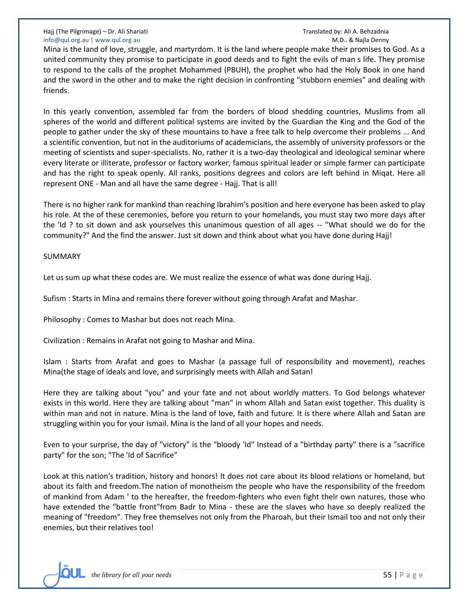Mina is the land of love, struggle, and martyrdom. It is the land where people make their promises to God. As a united community they promise to participate in good deeds and to fight the evils of man s life. They promise to respond to the calls of the prophet Mohammed (PBUH), the prophet who had the Holy Book in one hand and the sword in the other and to make the right decision in confronting "stubborn enemies" and dealing with friends.

In this yearly convention, assembled far from the borders of blood shedding countries, Muslims from all spheres of the world and different political systems are invited by the Guardian the King and the God of the people to gather under the sky of these mountains to have a free talk to help overcome their problems ... And a scientific convention, but not in the auditoriums of academicians, the assembly of university professors or the meeting of scientists and super-specialists. No, rather it is a two-day theological and ideological seminar where every literate or illiterate, professor or factory worker, famous spiritual leader or simple farmer can participate and has the right to speak openly. All ranks, positions degrees and colors are left behind in Miqat. Here all represent ONE - Man and all have the same degree - Hajj. That is all!

There is no higher rank for mankind than reaching Ibrahim's position and here everyone has been asked to play his role. At the of these ceremonies, before you return to your homelands, you must stay two more days after the 'Id ? to sit down and ask yourselves this unanimous question of all ages -- "What should we do for the community?" And the find the answer. Just sit down and think about what you have done during Hajj!

### SUMMARY

Let us sum up what these codes are. We must realize the essence of what was done during Hajj.

Sufism : Starts in Mina and remains there forever without going through Arafat and Mashar.

Philosophy : Comes to Mashar but does not reach Mina.

Civilization : Remains in Arafat not going to Mashar and Mina.

Islam : Starts from Arafat and goes to Mashar (a passage full of responsibility and movement), reaches Mina(the stage of ideals and love, and surprisingly meets with Allah and Satan!

Here they are talking about "you" and your fate and not about worldly matters. To God belongs whatever exists in this world. Here they are talking about "man" in whom Allah and Satan exist together. This duality is within man and not in nature. Mina is the land of love, faith and future. It is there where Allah and Satan are struggling within you for your Ismail. Mina is the land of all your hopes and needs.

Even to your surprise, the day of "victory" is the "bloody 'Id" Instead of a "birthday party" there is a "sacrifice party" for the son; "The 'Id of Sacrifice"

Look at this nation's tradition, history and honors! It does not care about its blood relations or homeland, but about its faith and freedom.The nation of monotheism the people who have the responsibility of the freedom of mankind from Adam ' to the hereafter, the freedom-fighters who even fight thelr own natures, those who have extended the "battle front"from Badr to Mina - these are the slaves who have so deeply realized the meaning of "freedom". They free themselves not only from the Pharoah, but their Ismail too and not only their enemies, but their relatives too!

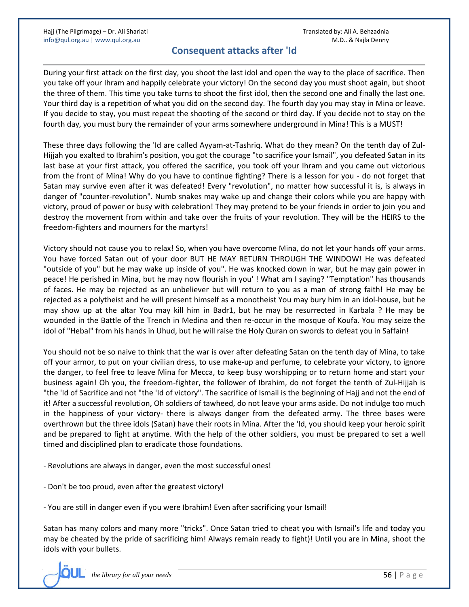# **Consequent attacks after 'Id**

During your first attack on the first day, you shoot the last idol and open the way to the place of sacrifice. Then you take off your Ihram and happily celebrate your victory! On the second day you must shoot again, but shoot the three of them. This time you take turns to shoot the first idol, then the second one and finally the last one. Your third day is a repetition of what you did on the second day. The fourth day you may stay in Mina or leave. If you decide to stay, you must repeat the shooting of the second or third day. If you decide not to stay on the fourth day, you must bury the remainder of your arms somewhere underground in Mina! This is a MUST!

These three days following the 'Id are called Ayyam-at-Tashriq. What do they mean? On the tenth day of Zul-Hijjah you exalted to Ibrahim's position, you got the courage "to sacrifice your Ismail", you defeated Satan in its last base at your first attack, you offered the sacrifice, you took off your Ihram and you came out victorious from the front of Mina! Why do you have to continue fighting? There is a lesson for you - do not forget that Satan may survive even after it was defeated! Every "revolution", no matter how successful it is, is always in danger of "counter-revolution". Numb snakes may wake up and change their colors while you are happy with victory, proud of power or busy with celebration! They may pretend to be your friends in order to join you and destroy the movement from within and take over the fruits of your revolution. They will be the HEIRS to the freedom-fighters and mourners for the martyrs!

Victory should not cause you to relax! So, when you have overcome Mina, do not let your hands off your arms. You have forced Satan out of your door BUT HE MAY RETURN THROUGH THE WINDOW! He was defeated "outside of you" but he may wake up inside of you". He was knocked down in war, but he may gain power in peace! He perished in Mina, but he may now flourish in you' ! What am I saying? "Temptation" has thousands of faces. He may be rejected as an unbeliever but will return to you as a man of strong faith! He may be rejected as a polytheist and he will present himself as a monotheist You may bury him in an idol-house, but he may show up at the altar You may kill him in Badr1, but he may be resurrected in Karbala ? He may be wounded in the Battle of the Trench in Medina and then re-occur in the mosque of Koufa. You may seize the idol of "Hebal" from his hands in Uhud, but he will raise the Holy Quran on swords to defeat you in Saffain!

You should not be so naive to think that the war is over after defeating Satan on the tenth day of Mina, to take off your armor, to put on your civilian dress, to use make-up and perfume, to celebrate your victory, to ignore the danger, to feel free to leave Mina for Mecca, to keep busy worshipping or to return home and start your business again! Oh you, the freedom-fighter, the follower of Ibrahim, do not forget the tenth of Zul-Hijjah is "the 'Id of Sacrifice and not "the 'Id of victory". The sacrifice of Ismail is the beginning of Hajj and not the end of it! After a successful revolution, Oh soldiers of tawheed, do not leave your arms aside. Do not indulge too much in the happiness of your victory- there is always danger from the defeated army. The three bases were overthrown but the three idols (Satan) have their roots in Mina. After the 'Id, you should keep your heroic spirit and be prepared to fight at anytime. With the help of the other soldiers, you must be prepared to set a well timed and disciplined plan to eradicate those foundations.

- Revolutions are always in danger, even the most successful ones!
- Don't be too proud, even after the greatest victory!
- You are still in danger even if you were Ibrahim! Even after sacrificing your Ismail!

Satan has many colors and many more "tricks". Once Satan tried to cheat you with Ismail's life and today you may be cheated by the pride of sacrificing him! Always remain ready to fight)! Until you are in Mina, shoot the idols with your bullets.

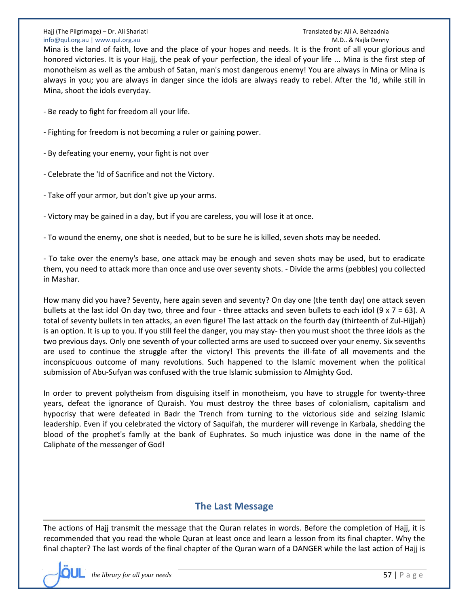Mina is the land of faith, love and the place of your hopes and needs. It is the front of all your glorious and honored victories. It is your Hajj, the peak of your perfection, the ideal of your life ... Mina is the first step of monotheism as well as the ambush of Satan, man's most dangerous enemy! You are always in Mina or Mina is always in you; you are always in danger since the idols are always ready to rebel. After the 'Id, while still in Mina, shoot the idols everyday.

- Be ready to fight for freedom all your life.
- Fighting for freedom is not becoming a ruler or gaining power.
- By defeating your enemy, your fight is not over
- Celebrate the 'Id of Sacrifice and not the Victory.
- Take off your armor, but don't give up your arms.
- Victory may be gained in a day, but if you are careless, you will lose it at once.

- To wound the enemy, one shot is needed, but to be sure he is killed, seven shots may be needed.

- To take over the enemy's base, one attack may be enough and seven shots may be used, but to eradicate them, you need to attack more than once and use over seventy shots. - Divide the arms (pebbles) you collected in Mashar.

How many did you have? Seventy, here again seven and seventy? On day one (the tenth day) one attack seven bullets at the last idol On day two, three and four - three attacks and seven bullets to each idol (9 x 7 = 63). A total of seventy bullets in ten attacks, an even figure! The last attack on the fourth day (thirteenth of Zul-Hijjah) is an option. It is up to you. If you still feel the danger, you may stay- then you must shoot the three idols as the two previous days. Only one seventh of your collected arms are used to succeed over your enemy. Six sevenths are used to continue the struggle after the victory! This prevents the ill-fate of all movements and the inconspicuous outcome of many revolutions. Such happened to the Islamic movement when the political submission of Abu-Sufyan was confused with the true Islamic submission to Almighty God.

In order to prevent polytheism from disguising itself in monotheism, you have to struggle for twenty-three years, defeat the ignorance of Quraish. You must destroy the three bases of colonialism, capitalism and hypocrisy that were defeated in Badr the Trench from turning to the victorious side and seizing Islamic leadership. Even if you celebrated the victory of Saquifah, the murderer will revenge in Karbala, shedding the blood of the prophet's famlly at the bank of Euphrates. So much injustice was done in the name of the Caliphate of the messenger of God!

# **The Last Message**

The actions of Hajj transmit the message that the Quran relates in words. Before the completion of Hajj, it is recommended that you read the whole Quran at least once and learn a lesson from its final chapter. Why the final chapter? The last words of the final chapter of the Quran warn of a DANGER while the last action of Hajj is

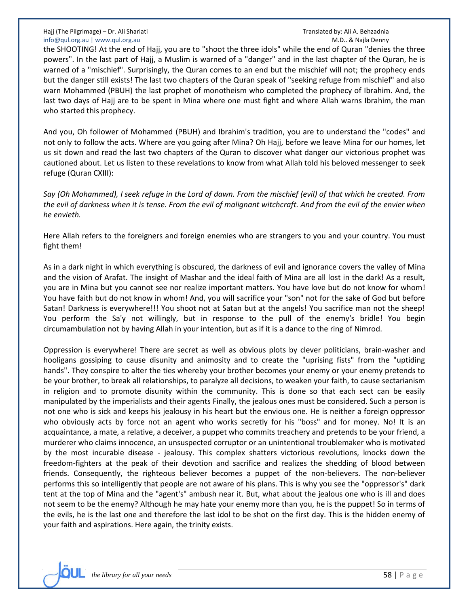the SHOOTING! At the end of Hajj, you are to "shoot the three idols" while the end of Quran "denies the three powers". In the last part of Hajj, a Muslim is warned of a "danger" and in the last chapter of the Quran, he is warned of a "mischief". Surprisingly, the Quran comes to an end but the mischief will not; the prophecy ends but the danger still exists! The last two chapters of the Quran speak of "seeking refuge from mischief" and also warn Mohammed (PBUH) the last prophet of monotheism who completed the prophecy of Ibrahim. And, the last two days of Hajj are to be spent in Mina where one must fight and where Allah warns Ibrahim, the man who started this prophecy.

And you, Oh follower of Mohammed (PBUH) and Ibrahim's tradition, you are to understand the "codes" and not only to follow the acts. Where are you going after Mina? Oh Hajj, before we leave Mina for our homes, let us sit down and read the last two chapters of the Quran to discover what danger our victorious prophet was cautioned about. Let us listen to these revelations to know from what Allah told his beloved messenger to seek refuge (Quran CXIII):

*Say (Oh Mohammed), I seek refuge in the Lord of dawn. From the mischief (evil) of that which he created. From the evil of darkness when it is tense. From the evil of malignant witchcraft. And from the evil of the envier when he envieth.*

Here Allah refers to the foreigners and foreign enemies who are strangers to you and your country. You must fight them!

As in a dark night in which everything is obscured, the darkness of evil and ignorance covers the valley of Mina and the vision of Arafat. The insight of Mashar and the ideal faith of Mina are all lost in the dark! As a result, you are in Mina but you cannot see nor realize important matters. You have love but do not know for whom! You have faith but do not know in whom! And, you will sacrifice your "son" not for the sake of God but before Satan! Darkness is everywhere!!! You shoot not at Satan but at the angels! You sacrifice man not the sheep! You perform the Sa'y not willingly, but in response to the pull of the enemy's bridle! You begin circumambulation not by having Allah in your intention, but as if it is a dance to the ring of Nimrod.

Oppression is everywhere! There are secret as well as obvious plots by clever politicians, brain-washer and hooligans gossiping to cause disunity and animosity and to create the "uprising fists" from the "uptiding hands". They conspire to alter the ties whereby your brother becomes your enemy or your enemy pretends to be your brother, to break all relationships, to paralyze all decisions, to weaken your faith, to cause sectarianism in religion and to promote disunity within the community. This is done so that each sect can be easily manipulated by the imperialists and their agents Finally, the jealous ones must be considered. Such a person is not one who is sick and keeps his jealousy in his heart but the envious one. He is neither a foreign oppressor who obviously acts by force not an agent who works secretly for his "boss" and for money. No! It is an acquaintance, a mate, a relative, a deceiver, a puppet who commits treachery and pretends to be your friend, a murderer who claims innocence, an unsuspected corruptor or an unintentional troublemaker who is motivated by the most incurable disease - jealousy. This complex shatters victorious revolutions, knocks down the freedom-fighters at the peak of their devotion and sacrifice and realizes the shedding of blood between friends. Consequently, the righteous believer becomes a puppet of the non-believers. The non-believer performs this so intelligently that people are not aware of his plans. This is why you see the "oppressor's" dark tent at the top of Mina and the "agent's" ambush near it. But, what about the jealous one who is ill and does not seem to be the enemy? Although he may hate your enemy more than you, he is the puppet! So in terms of the evils, he is the last one and therefore the last idol to be shot on the first day. This is the hidden enemy of your faith and aspirations. Here again, the trinity exists.

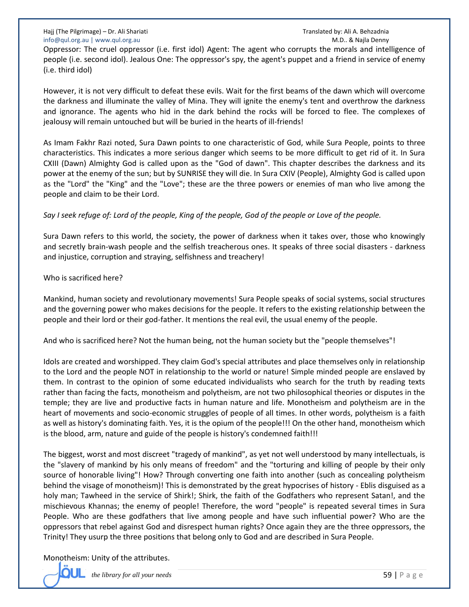Oppressor: The cruel oppressor (i.e. first idol) Agent: The agent who corrupts the morals and intelligence of people (i.e. second idol). Jealous One: The oppressor's spy, the agent's puppet and a friend in service of enemy (i.e. third idol)

However, it is not very difficult to defeat these evils. Wait for the first beams of the dawn which will overcome the darkness and illuminate the valley of Mina. They will ignite the enemy's tent and overthrow the darkness and ignorance. The agents who hid in the dark behind the rocks will be forced to flee. The complexes of jealousy will remain untouched but will be buried in the hearts of ill-friends!

As Imam Fakhr Razi noted, Sura Dawn points to one characteristic of God, while Sura People, points to three characteristics. This indicates a more serious danger which seems to be more difficult to get rid of it. In Sura CXIII (Dawn) Almighty God is called upon as the "God of dawn". This chapter describes the darkness and its power at the enemy of the sun; but by SUNRISE they will die. In Sura CXIV (People), Almighty God is called upon as the "Lord" the "King" and the "Love"; these are the three powers or enemies of man who live among the people and claim to be their Lord.

# *Say I seek refuge of: Lord of the people, King of the people, God of the people or Love of the people.*

Sura Dawn refers to this world, the society, the power of darkness when it takes over, those who knowingly and secretly brain-wash people and the selfish treacherous ones. It speaks of three social disasters - darkness and injustice, corruption and straying, selfishness and treachery!

# Who is sacrificed here?

Mankind, human society and revolutionary movements! Sura People speaks of social systems, social structures and the governing power who makes decisions for the people. It refers to the existing relationship between the people and their lord or their god-father. It mentions the real evil, the usual enemy of the people.

And who is sacrificed here? Not the human being, not the human society but the "people themselves"!

Idols are created and worshipped. They claim God's special attributes and place themselves only in relationship to the Lord and the people NOT in relationship to the world or nature! Simple minded people are enslaved by them. In contrast to the opinion of some educated individualists who search for the truth by reading texts rather than facing the facts, monotheism and polytheism, are not two philosophical theories or disputes in the temple; they are live and productive facts in human nature and life. Monotheism and polytheism are in the heart of movements and socio-economic struggles of people of all times. In other words, polytheism is a faith as well as history's dominating faith. Yes, it is the opium of the people!!! On the other hand, monotheism which is the blood, arm, nature and guide of the people is history's condemned faith!!!

The biggest, worst and most discreet "tragedy of mankind", as yet not well understood by many intellectuals, is the "slavery of mankind by his only means of freedom" and the "torturing and killing of people by their only source of honorable living"! How? Through converting one faith into another (such as concealing polytheism behind the visage of monotheism)! This is demonstrated by the great hypocrises of history - Eblis disguised as a holy man; Tawheed in the service of Shirk!; Shirk, the faith of the Godfathers who represent Satan!, and the mischievous Khannas; the enemy of people! Therefore, the word "people" is repeated several times in Sura People. Who are these godfathers that live among people and have such influential power? Who are the oppressors that rebel against God and disrespect human rights? Once again they are the three oppressors, the Trinity! They usurp the three positions that belong only to God and are described in Sura People.

Monotheism: Unity of the attributes.



**QUL** the library for all your needs 59 | P a g e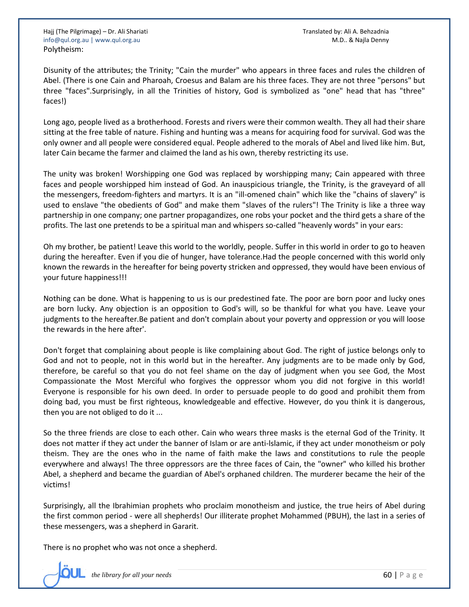Disunity of the attributes; the Trinity; "Cain the murder" who appears in three faces and rules the children of Abel. (There is one Cain and Pharoah, Croesus and Balam are his three faces. They are not three "persons" but three "faces".Surprisingly, in all the Trinities of history, God is symbolized as "one" head that has "three" faces!)

Long ago, people lived as a brotherhood. Forests and rivers were their common wealth. They all had their share sitting at the free table of nature. Fishing and hunting was a means for acquiring food for survival. God was the only owner and all people were considered equal. People adhered to the morals of Abel and lived like him. But, later Cain became the farmer and claimed the land as his own, thereby restricting its use.

The unity was broken! Worshipping one God was replaced by worshipping many; Cain appeared with three faces and people worshipped him instead of God. An inauspicious triangle, the Trinity, is the graveyard of all the messengers, freedom-fighters and martyrs. It is an "ill-omened chain" which like the "chains of slavery" is used to enslave "the obedients of God" and make them "slaves of the rulers"! The Trinity is like a three way partnership in one company; one partner propagandizes, one robs your pocket and the third gets a share of the profits. The last one pretends to be a spiritual man and whispers so-called "heavenly words" in your ears:

Oh my brother, be patient! Leave this world to the worldly, people. Suffer in this world in order to go to heaven during the hereafter. Even if you die of hunger, have tolerance.Had the people concerned with this world only known the rewards in the hereafter for being poverty stricken and oppressed, they would have been envious of your future happiness!!!

Nothing can be done. What is happening to us is our predestined fate. The poor are born poor and lucky ones are born lucky. Any objection is an opposition to God's will, so be thankful for what you have. Leave your judgments to the hereafter.Be patient and don't complain about your poverty and oppression or you will loose the rewards in the here after'.

Don't forget that complaining about people is like complaining about God. The right of justice belongs only to God and not to people, not in this world but in the hereafter. Any judgments are to be made only by God, therefore, be careful so that you do not feel shame on the day of judgment when you see God, the Most Compassionate the Most Merciful who forgives the oppressor whom you did not forgive in this world! Everyone is responsible for his own deed. In order to persuade people to do good and prohibit them from doing bad, you must be first righteous, knowledgeable and effective. However, do you think it is dangerous, then you are not obliged to do it ...

So the three friends are close to each other. Cain who wears three masks is the eternal God of the Trinity. It does not matter if they act under the banner of Islam or are anti-lslamic, if they act under monotheism or poly theism. They are the ones who in the name of faith make the laws and constitutions to rule the people everywhere and always! The three oppressors are the three faces of Cain, the "owner" who killed his brother Abel, a shepherd and became the guardian of Abel's orphaned children. The murderer became the heir of the victims!

Surprisingly, all the Ibrahimian prophets who proclaim monotheism and justice, the true heirs of Abel during the first common period - were all shepherds! Our illiterate prophet Mohammed (PBUH), the last in a series of these messengers, was a shepherd in Gararit.

There is no prophet who was not once a shepherd.

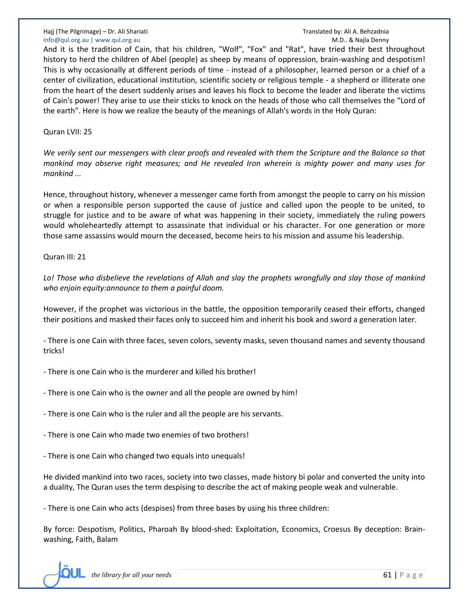And it is the tradition of Cain, that his children, "Wolf", "Fox" and "Rat", have tried their best throughout history to herd the children of Abel (people) as sheep by means of oppression, brain-washing and despotism! This is why occasionally at different periods of time - instead of a philosopher, learned person or a chief of a center of civilization, educational institution, scientific society or religious temple - a shepherd or illiterate one from the heart of the desert suddenly arises and leaves his flock to become the leader and liberate the victims of Cain's power! They arise to use their sticks to knock on the heads of those who call themselves the "Lord of the earth". Here is how we realize the beauty of the meanings of Allah's words in the Holy Quran:

Quran LVII: 25

*We verily sent our messengers with clear proofs and revealed with them the Scripture and the Balance so that mankind may observe right measures; and He revealed Iron wherein is mighty power and many uses for mankind ...*

Hence, throughout history, whenever a messenger came forth from amongst the people to carry on his mission or when a responsible person supported the cause of justice and called upon the people to be united, to struggle for justice and to be aware of what was happening in their society, immediately the ruling powers would wholeheartedly attempt to assassinate that individual or his character. For one generation or more those same assassins would mourn the deceased, become heirs to his mission and assume his leadership.

## Quran III: 21

Lo! Those who disbelieve the revelations of Allah and slay the prophets wrongfully and slay those of mankind *who enjoin equity:announce to them a painful doom.*

However, if the prophet was victorious in the battle, the opposition temporarily ceased their efforts, changed their positions and masked their faces only to succeed him and inherit his book and sword a generation later.

- There is one Cain with three faces, seven colors, seventy masks, seven thousand names and seventy thousand tricks!

- There is one Cain who is the murderer and killed his brother!
- There is one Cain who is the owner and all the people are owned by him!
- There is one Cain who is the ruler and all the people are his servants.
- There is one Cain who made two enemies of two brothers!
- There is one Cain who changed two equals into unequals!

He divided mankind into two races, society into two classes, made history bi polar and converted the unity into a duality, The Quran uses the term despising to describe the act of making people weak and vulnerable.

- There is one Cain who acts (despises) from three bases by using his three children:

By force: Despotism, Politics, Pharoah By blood-shed: Exploitation, Economics, Croesus By deception: Brainwashing, Faith, Balam

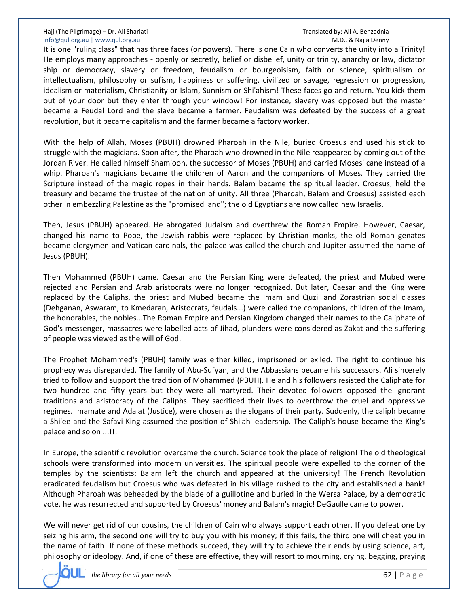It is one "ruling class" that has three faces (or powers). There is one Cain who converts the unity into a Trinity! He employs many approaches - openly or secretly, belief or disbelief, unity or trinity, anarchy or law, dictator ship or democracy, slavery or freedom, feudalism or bourgeoisism, faith or science, spiritualism or intellectualism, philosophy or sufism, happiness or suffering, civilized or savage, regression or progression, idealism or materialism, Christianity or Islam, Sunnism or Shi'ahism! These faces go and return. You kick them out of your door but they enter through your window! For instance, slavery was opposed but the master became a Feudal Lord and the slave became a farmer. Feudalism was defeated by the success of a great revolution, but it became capitalism and the farmer became a factory worker.

With the help of Allah, Moses (PBUH) drowned Pharoah in the Nile, buried Croesus and used his stick to struggle with the magicians. Soon after, the Pharoah who drowned in the Nile reappeared by coming out of the Jordan River. He called himself Sham'oon, the successor of Moses (PBUH) and carried Moses' cane instead of a whip. Pharoah's magicians became the children of Aaron and the companions of Moses. They carried the Scripture instead of the magic ropes in their hands. Balam became the spiritual leader. Croesus, held the treasury and became the trustee of the nation of unity. All three (Pharoah, Balam and Croesus) assisted each other in embezzling Palestine as the "promised land"; the old Egyptians are now called new Israelis.

Then, Jesus (PBUH) appeared. He abrogated Judaism and overthrew the Roman Empire. However, Caesar, changed his name to Pope, the Jewish rabbis were replaced by Christian monks, the old Roman genates became clergymen and Vatican cardinals, the palace was called the church and Jupiter assumed the name of Jesus (PBUH).

Then Mohammed (PBUH) came. Caesar and the Persian King were defeated, the priest and Mubed were rejected and Persian and Arab aristocrats were no longer recognized. But later, Caesar and the King were replaced by the Caliphs, the priest and Mubed became the Imam and Quzil and Zorastrian social classes (Dehganan, Aswaram, to Kmedaran, Aristocrats, feudals...) were called the companions, children of the Imam, the honorables, the nobles...The Roman Empire and Persian Kingdom changed their names to the Caliphate of God's messenger, massacres were labelled acts of Jihad, plunders were considered as Zakat and the suffering of people was viewed as the will of God.

The Prophet Mohammed's (PBUH) family was either killed, imprisoned or exiled. The right to continue his prophecy was disregarded. The family of Abu-Sufyan, and the Abbassians became his successors. Ali sincerely tried to follow and support the tradition of Mohammed (PBUH). He and his followers resisted the Caliphate for two hundred and fifty years but they were all martyred. Their devoted followers opposed the ignorant traditions and aristocracy of the Caliphs. They sacrificed their lives to overthrow the cruel and oppressive regimes. Imamate and Adalat (Justice), were chosen as the slogans of their party. Suddenly, the caliph became a Shi'ee and the Safavi King assumed the position of Shi'ah leadership. The Caliph's house became the King's palace and so on ...!!!

In Europe, the scientific revolution overcame the church. Science took the place of religion! The old theological schools were transformed into modern universities. The spiritual people were expelled to the corner of the temples by the scientists; Balam left the church and appeared at the university! The French Revolution eradicated feudalism but Croesus who was defeated in his village rushed to the city and established a bank! Although Pharoah was beheaded by the blade of a guillotine and buried in the Wersa Palace, by a democratic vote, he was resurrected and supported by Croesus' money and Balam's magic! DeGaulle came to power.

We will never get rid of our cousins, the children of Cain who always support each other. If you defeat one by seizing his arm, the second one will try to buy you with his money; if this fails, the third one will cheat you in the name of faith! If none of these methods succeed, they will try to achieve their ends by using science, art, philosophy or ideology. And, if one of these are effective, they will resort to mourning, crying, begging, praying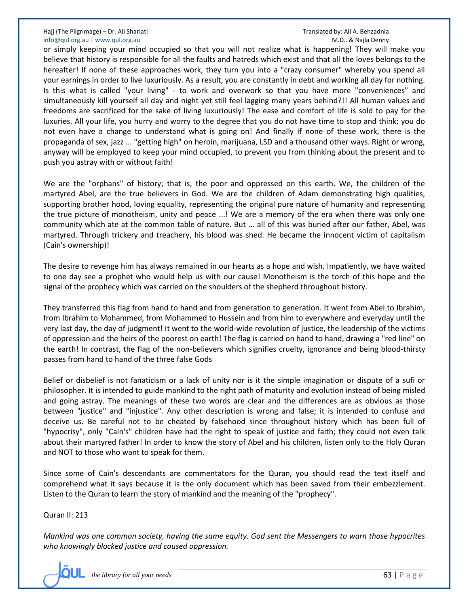or simply keeping your mind occupied so that you will not realize what is happening! They will make you believe that history is responsible for all the faults and hatreds which exist and that all the loves belongs to the hereafter! If none of these approaches work, they turn you into a "crazy consumer" whereby you spend all your earnings in order to live luxuriously. As a result, you are constantly in debt and working all day for nothing. Is this what is called "your living" - to work and overwork so that you have more "conveniences" and simultaneously kill yourself all day and night yet still feel lagging many years behind?!! All human values and freedoms are sacrificed for the sake of living luxuriously! The ease and comfort of life is sold to pay for the luxuries. All your life, you hurry and worry to the degree that you do not have time to stop and think; you do not even have a change to understand what is going on! And finally if none of these work, there is the propaganda of sex, jazz ... "getting high" on heroin, marijuana, LSD and a thousand other ways. Right or wrong, anyway will be employed to keep your mind occupied, to prevent you from thinking about the present and to push you astray with or without faith!

We are the "orphans" of history; that is, the poor and oppressed on this earth. We, the children of the martyred Abel, are the true believers in God. We are the children of Adam demonstrating high qualities, supporting brother hood, loving equality, representing the original pure nature of humanity and representing the true picture of monotheism, unity and peace ...! We are a memory of the era when there was only one community which ate at the common table of nature. But ... all of this was buried after our father, Abel, was martyred. Through trickery and treachery, his blood was shed. He became the innocent victim of capitalism (Cain's ownership)!

The desire to revenge him has always remained in our hearts as a hope and wish. Impatiently, we have waited to one day see a prophet who would help us with our cause! Monotheism is the torch of this hope and the signal of the prophecy which was carried on the shoulders of the shepherd throughout history.

They transferred this flag from hand to hand and from generation to generation. It went from Abel to Ibrahim, from Ibrahim to Mohammed, from Mohammed to Hussein and from him to everywhere and everyday until the very last day, the day of judgment! It went to the world-wide revolution of justice, the leadership of the victims of oppression and the heirs of the poorest on earth! The flag is carried on hand to hand, drawing a "red line" on the earth! In contrast, the flag of the non-believers which signifies cruelty, ignorance and being blood-thirsty passes from hand to hand of the three false Gods

Belief or disbelief is not fanaticism or a lack of unity nor is it the simple imagination or dispute of a sufi or philosopher. It is intended to guide mankind to the right path of maturity and evolution instead of being misled and going astray. The meanings of these two words are clear and the differences are as obvious as those between "justice" and "injustice". Any other description is wrong and false; it is intended to confuse and deceive us. Be careful not to be cheated by falsehood since throughout history which has been full of "hypocrisy", only "Cain's" children have had the right to speak of justice and faith; they could not even talk about their martyred father! In order to know the story of Abel and his children, listen only to the Holy Quran and NOT to those who want to speak for them.

Since some of Cain's descendants are commentators for the Quran, you should read the text itself and comprehend what it says because it is the only document which has been saved from their embezzlement. Listen to the Quran to learn the story of mankind and the meaning of the "prophecy".

Quran II: 213

*Mankind was one common society, having the same equity. God sent the Messengers to warn those hypocrites who knowingly blocked justice and caused oppression.*

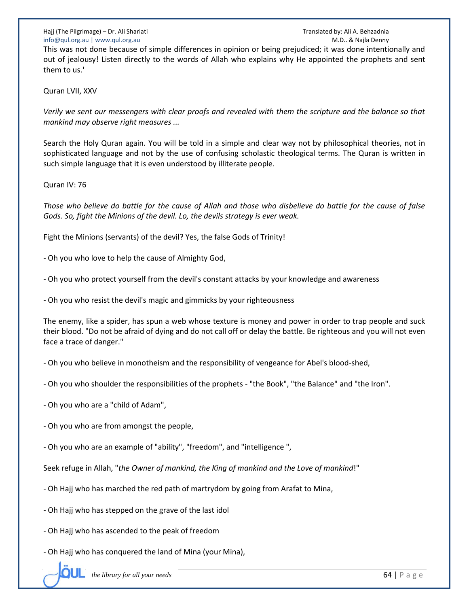This was not done because of simple differences in opinion or being prejudiced; it was done intentionally and out of jealousy! Listen directly to the words of Allah who explains why He appointed the prophets and sent them to us.'

Quran LVII, XXV

*Verily we sent our messengers with clear proofs and revealed with them the scripture and the balance so that mankind may observe right measures ...*

Search the Holy Quran again. You will be told in a simple and clear way not by philosophical theories, not in sophisticated language and not by the use of confusing scholastic theological terms. The Quran is written in such simple language that it is even understood by illiterate people.

Quran IV: 76

*Those who believe do battle for the cause of Allah and those who disbelieve do battle for the cause of false Gods. So, fight the Minions of the devil. Lo, the devils strategy is ever weak.*

Fight the Minions (servants) of the devil? Yes, the false Gods of Trinity!

- Oh you who love to help the cause of Almighty God,
- Oh you who protect yourself from the devil's constant attacks by your knowledge and awareness

- Oh you who resist the devil's magic and gimmicks by your righteousness

The enemy, like a spider, has spun a web whose texture is money and power in order to trap people and suck their blood. "Do not be afraid of dying and do not call off or delay the battle. Be righteous and you will not even face a trace of danger."

- Oh you who believe in monotheism and the responsibility of vengeance for Abel's blood-shed,

- Oh you who shoulder the responsibilities of the prophets - "the Book", "the Balance" and "the Iron".

- Oh you who are a "child of Adam",

- Oh you who are from amongst the people,
- Oh you who are an example of "ability", "freedom", and "intelligence ",

Seek refuge in Allah, "*the Owner of mankind, the King of mankind and the Love of mankind*!"

- Oh Hajj who has marched the red path of martrydom by going from Arafat to Mina,
- Oh Hajj who has stepped on the grave of the last idol
- Oh Hajj who has ascended to the peak of freedom
- Oh Hajj who has conquered the land of Mina (your Mina),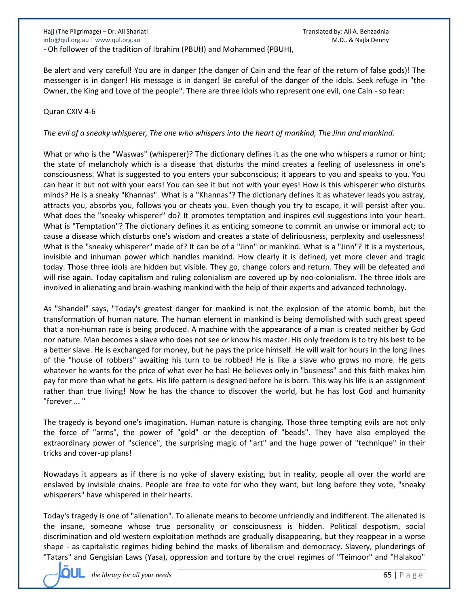Hajj (The Pilgrimage) – Dr. Ali Shariati Translated by: Ali A. Behzadnia info@qul.org.au | www.qul.org.au  $\blacksquare$ - Oh follower of the tradition of Ibrahim (PBUH) and Mohammed (PBUH),

Be alert and very careful! You are in danger (the danger of Cain and the fear of the return of false gods)! The messenger is in danger! His message is in danger! Be careful of the danger of the idols. Seek refuge in "the Owner, the King and Love of the people". There are three idols who represent one evil, one Cain - so fear:

# Quran CXIV 4-6

## *The evil of a sneaky whisperer, The one who whispers into the heart of mankind, The Jinn and mankind.*

What or who is the "Waswas" (whisperer)? The dictionary defines it as the one who whispers a rumor or hint; the state of melancholy which is a disease that disturbs the mind creates a feeling of uselessness in one's consciousness. What is suggested to you enters your subconscious; it appears to you and speaks to you. You can hear it but not with your ears! You can see it but not with your eyes! How is this whisperer who disturbs minds? He is a sneaky "Khannas". What is a "Khannas"? The dictionary defines it as whatever leads you astray, attracts you, absorbs you, follows you or cheats you. Even though you try to escape, it will persist after you. What does the "sneaky whisperer" do? It promotes temptation and inspires evil suggestions into your heart. What is "Temptation"? The dictionary defines it as enticing someone to commit an unwise or immoral act; to cause a disease which disturbs one's wisdom and creates a state of deliriousness, perplexity and uselessness! What is the "sneaky whisperer" made of? It can be of a "Jinn" or mankind. What is a "Jinn"? It is a mysterious, invisible and inhuman power which handles mankind. How clearly it is defined, yet more clever and tragic today. Those three idols are hidden but visible. They go, change colors and return. They will be defeated and will rise again. Today capitalism and ruling colonialism are covered up by neo-colonialism. The three idols are involved in alienating and brain-washing mankind with the help of their experts and advanced technology.

As "Shandel" says, "Today's greatest danger for mankind is not the explosion of the atomic bomb, but the transformation of human nature. The human element in mankind is being demolished with such great speed that a non-human race is being produced. A machine with the appearance of a man is created neither by God nor nature. Man becomes a slave who does not see or know his master. His only freedom is to try his best to be a better slave. He is exchanged for money, but he pays the price himself. He will wait for hours in the long lines of the "house of robbers" awaiting his turn to be robbed! He is like a slave who grows no more. He gets whatever he wants for the price of what ever he has! He believes only in "business" and this faith makes him pay for more than what he gets. His life pattern is designed before he is born. This way his life is an assignment rather than true living! Now he has the chance to discover the world, but he has lost God and humanity "forever ... "

The tragedy is beyond one's imagination. Human nature is changing. Those three tempting evils are not only the force of "arms", the power of "gold" or the deception of "beads". They have also employed the extraordinary power of "science", the surprising magic of "art" and the huge power of "technique" in their tricks and cover-up plans!

Nowadays it appears as if there is no yoke of slavery existing, but in reality, people all over the world are enslaved by invisible chains. People are free to vote for who they want, but long before they vote, "sneaky whisperers" have whispered in their hearts.

Today's tragedy is one of "alienation". To alienate means to become unfriendly and indifferent. The alienated is the insane, someone whose true personality or consciousness is hidden. Political despotism, social discrimination and old western exploitation methods are gradually disappearing, but they reappear in a worse shape - as capitalistic regimes hiding behind the masks of liberalism and democracy. Slavery, plunderings of "Tatars" and Gengisian Laws (Yasa), oppression and torture by the cruel regimes of "Teimoor" and "Halakoo"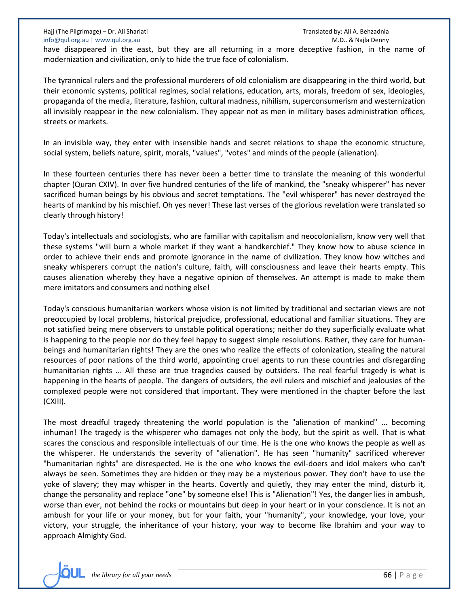# Hajj (The Pilgrimage) – Dr. Ali Shariati Translated by: Ali A. Behzadnia

# info@qul.org.au | www.qul.org.au M.D.. & Najla Denny

have disappeared in the east, but they are all returning in a more deceptive fashion, in the name of modernization and civilization, only to hide the true face of colonialism.

The tyrannical rulers and the professional murderers of old colonialism are disappearing in the third world, but their economic systems, political regimes, social relations, education, arts, morals, freedom of sex, ideologies, propaganda of the media, literature, fashion, cultural madness, nihilism, superconsumerism and westernization all invisibly reappear in the new colonialism. They appear not as men in military bases administration offices, streets or markets.

In an invisible way, they enter with insensible hands and secret relations to shape the economic structure, social system, beliefs nature, spirit, morals, "values", "votes" and minds of the people (alienation).

In these fourteen centuries there has never been a better time to translate the meaning of this wonderful chapter (Quran CXIV). In over five hundred centuries of the life of mankind, the "sneaky whisperer" has never sacrificed human beings by his obvious and secret temptations. The "evil whisperer" has never destroyed the hearts of mankind by his mischief. Oh yes never! These last verses of the glorious revelation were translated so clearly through history!

Today's intellectuals and sociologists, who are familiar with capitalism and neocolonialism, know very well that these systems "will burn a whole market if they want a handkerchief." They know how to abuse science in order to achieve their ends and promote ignorance in the name of civilization. They know how witches and sneaky whisperers corrupt the nation's culture, faith, will consciousness and leave their hearts empty. This causes alienation whereby they have a negative opinion of themselves. An attempt is made to make them mere imitators and consumers and nothing else!

Today's conscious humanitarian workers whose vision is not limited by traditional and sectarian views are not preoccupied by local problems, historical prejudice, professional, educational and familiar situations. They are not satisfied being mere observers to unstable political operations; neither do they superficially evaluate what is happening to the people nor do they feel happy to suggest simple resolutions. Rather, they care for humanbeings and humanitarian rights! They are the ones who realize the effects of colonization, stealing the natural resources of poor nations of the third world, appointing cruel agents to run these countries and disregarding humanitarian rights ... All these are true tragedies caused by outsiders. The real fearful tragedy is what is happening in the hearts of people. The dangers of outsiders, the evil rulers and mischief and jealousies of the complexed people were not considered that important. They were mentioned in the chapter before the last (CXIII).

The most dreadful tragedy threatening the world population is the "alienation of mankind" ... becoming inhuman! The tragedy is the whisperer who damages not only the body, but the spirit as well. That is what scares the conscious and responsible intellectuals of our time. He is the one who knows the people as well as the whisperer. He understands the severity of "alienation". He has seen "humanity" sacrificed wherever "humanitarian rights" are disrespected. He is the one who knows the evil-doers and idol makers who can't always be seen. Sometimes they are hidden or they may be a mysterious power. They don't have to use the yoke of slavery; they may whisper in the hearts. Covertly and quietly, they may enter the mind, disturb it, change the personality and replace "one" by someone else! This is "Alienation"! Yes, the danger lies in ambush, worse than ever, not behind the rocks or mountains but deep in your heart or in your conscience. It is not an ambush for your life or your money, but for your faith, your "humanity", your knowledge, your love, your victory, your struggle, the inheritance of your history, your way to become like Ibrahim and your way to approach Almighty God.

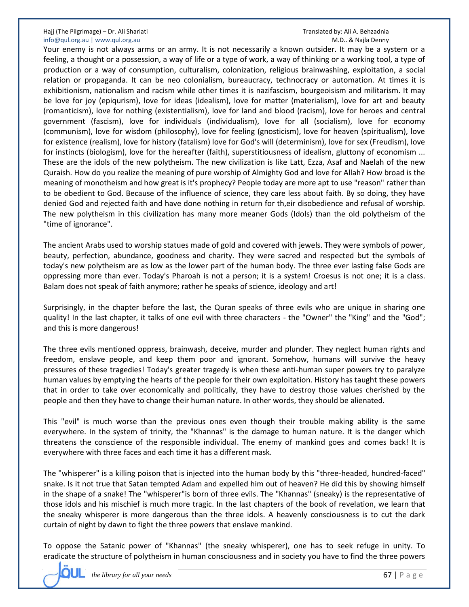Your enemy is not always arms or an army. It is not necessarily a known outsider. It may be a system or a feeling, a thought or a possession, a way of life or a type of work, a way of thinking or a working tool, a type of production or a way of consumption, culturalism, colonization, religious brainwashing, exploitation, a social relation or propaganda. It can be neo colonialism, bureaucracy, technocracy or automation. At times it is exhibitionism, nationalism and racism while other times it is nazifascism, bourgeoisism and militarism. It may be love for joy (epiqurism), love for ideas (idealism), love for matter (materialism), love for art and beauty (romanticism), love for nothing (existentialism), love for land and blood (racism), love for heroes and central government (fascism), love for individuals (individualism), love for all (socialism), love for economy (communism), love for wisdom (philosophy), love for feeling (gnosticism), love for heaven (spiritualism), love for existence (realism), love for history (fatalism) love for God's will (determinism), love for sex (Freudism), love for instincts (biologism), love for the hereafter (faith), superstitiousness of idealism, gluttony of economism ... These are the idols of the new polytheism. The new civilization is like Latt, Ezza, Asaf and Naelah of the new Quraish. How do you realize the meaning of pure worship of Almighty God and love for Allah? How broad is the meaning of monotheism and how great is it's prophecy? People today are more apt to use "reason" rather than to be obedient to God. Because of the influence of science, they care less about faith. By so doing, they have denied God and rejected faith and have done nothing in return for th,eir disobedience and refusal of worship. The new polytheism in this civilization has many more meaner Gods (Idols) than the old polytheism of the "time of ignorance".

The ancient Arabs used to worship statues made of gold and covered with jewels. They were symbols of power, beauty, perfection, abundance, goodness and charity. They were sacred and respected but the symbols of today's new polytheism are as low as the lower part of the human body. The three ever lasting false Gods are oppressing more than ever. Today's Pharoah is not a person; it is a system! Croesus is not one; it is a class. Balam does not speak of faith anymore; rather he speaks of science, ideology and art!

Surprisingly, in the chapter before the last, the Quran speaks of three evils who are unique in sharing one quality! In the last chapter, it talks of one evil with three characters - the "Owner" the "King" and the "God"; and this is more dangerous!

The three evils mentioned oppress, brainwash, deceive, murder and plunder. They neglect human rights and freedom, enslave people, and keep them poor and ignorant. Somehow, humans will survive the heavy pressures of these tragedies! Today's greater tragedy is when these anti-human super powers try to paralyze human values by emptying the hearts of the people for their own exploitation. History has taught these powers that in order to take over economically and politically, they have to destroy those values cherished by the people and then they have to change their human nature. In other words, they should be alienated.

This "evil" is much worse than the previous ones even though their trouble making ability is the same everywhere. In the system of trinity, the "Khannas" is the damage to human nature. It is the danger which threatens the conscience of the responsible individual. The enemy of mankind goes and comes back! It is everywhere with three faces and each time it has a different mask.

The "whisperer" is a killing poison that is injected into the human body by this "three-headed, hundred-faced" snake. Is it not true that Satan tempted Adam and expelled him out of heaven? He did this by showing himself in the shape of a snake! The "whisperer"is born of three evils. The "Khannas" (sneaky) is the representative of those idols and his mischief is much more tragic. In the last chapters of the book of revelation, we learn that the sneaky whisperer is more dangerous than the three idols. A heavenly consciousness is to cut the dark curtain of night by dawn to fight the three powers that enslave mankind.

To oppose the Satanic power of "Khannas" (the sneaky whisperer), one has to seek refuge in unity. To eradicate the structure of polytheism in human consciousness and in society you have to find the three powers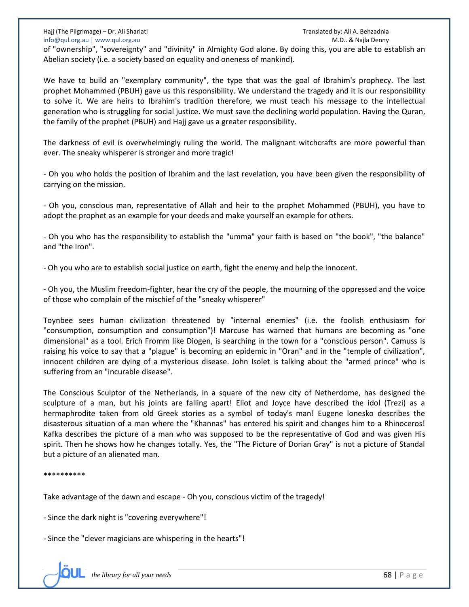of "ownership", "sovereignty" and "divinity" in Almighty God alone. By doing this, you are able to establish an Abelian society (i.e. a society based on equality and oneness of mankind).

We have to build an "exemplary community", the type that was the goal of Ibrahim's prophecy. The last prophet Mohammed (PBUH) gave us this responsibility. We understand the tragedy and it is our responsibility to solve it. We are heirs to Ibrahim's tradition therefore, we must teach his message to the intellectual generation who is struggling for social justice. We must save the declining world population. Having the Quran, the family of the prophet (PBUH) and Hajj gave us a greater responsibility.

The darkness of evil is overwhelmingly ruling the world. The malignant witchcrafts are more powerful than ever. The sneaky whisperer is stronger and more tragic!

- Oh you who holds the position of Ibrahim and the last revelation, you have been given the responsibility of carrying on the mission.

- Oh you, conscious man, representative of Allah and heir to the prophet Mohammed (PBUH), you have to adopt the prophet as an example for your deeds and make yourself an example for others.

- Oh you who has the responsibility to establish the "umma" your faith is based on "the book", "the balance" and "the Iron".

- Oh you who are to establish social justice on earth, fight the enemy and help the innocent.

- Oh you, the Muslim freedom-fighter, hear the cry of the people, the mourning of the oppressed and the voice of those who complain of the mischief of the "sneaky whisperer"

Toynbee sees human civilization threatened by "internal enemies" (i.e. the foolish enthusiasm for "consumption, consumption and consumption")! Marcuse has warned that humans are becoming as "one dimensional" as a tool. Erich Fromm like Diogen, is searching in the town for a "conscious person". Camuss is raising his voice to say that a "plague" is becoming an epidemic in "Oran" and in the "temple of civilization", innocent children are dying of a mysterious disease. John Isolet is talking about the "armed prince" who is suffering from an "incurable disease".

The Conscious Sculptor of the Netherlands, in a square of the new city of Netherdome, has designed the sculpture of a man, but his joints are falling apart! Eliot and Joyce have described the idol (Trezi) as a hermaphrodite taken from old Greek stories as a symbol of today's man! Eugene lonesko describes the disasterous situation of a man where the "Khannas" has entered his spirit and changes him to a Rhinoceros! Kafka describes the picture of a man who was supposed to be the representative of God and was given His spirit. Then he shows how he changes totally. Yes, the "The Picture of Dorian Gray" is not a picture of Standal but a picture of an alienated man.

### \*\*\*\*\*\*\*\*\*\*

Take advantage of the dawn and escape - Oh you, conscious victim of the tragedy!

- Since the dark night is "covering everywhere"!

- Since the "clever magicians are whispering in the hearts"!

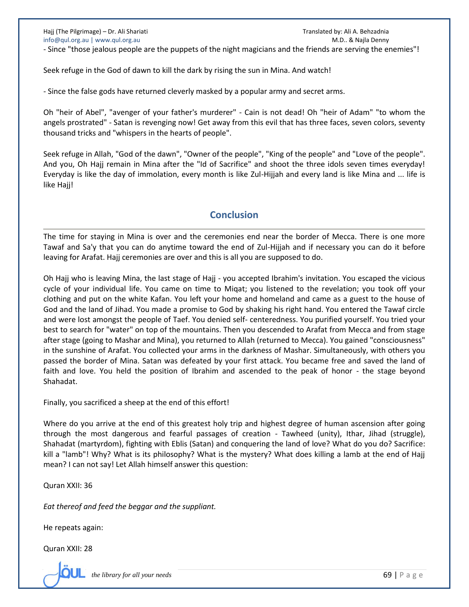Hajj (The Pilgrimage) – Dr. Ali Shariati Translated by: Ali A. Behzadnia

- Since "those jealous people are the puppets of the night magicians and the friends are serving the enemies"!

Seek refuge in the God of dawn to kill the dark by rising the sun in Mina. And watch!

- Since the false gods have returned cleverly masked by a popular army and secret arms.

Oh "heir of Abel", "avenger of your father's murderer" - Cain is not dead! Oh "heir of Adam" "to whom the angels prostrated" - Satan is revenging now! Get away from this evil that has three faces, seven colors, seventy thousand tricks and "whispers in the hearts of people".

Seek refuge in Allah, "God of the dawn", "Owner of the people", "King of the people" and "Love of the people". And you, Oh Hajj remain in Mina after the "Id of Sacrifice" and shoot the three idols seven times everyday! Everyday is like the day of immolation, every month is like Zul-Hijjah and every land is like Mina and ... life is like Hajj!

# **Conclusion**

The time for staying in Mina is over and the ceremonies end near the border of Mecca. There is one more Tawaf and Sa'y that you can do anytime toward the end of Zul-Hijjah and if necessary you can do it before leaving for Arafat. Hajj ceremonies are over and this is all you are supposed to do.

Oh Hajj who is leaving Mina, the last stage of Hajj - you accepted Ibrahim's invitation. You escaped the vicious cycle of your individual life. You came on time to Miqat; you listened to the revelation; you took off your clothing and put on the white Kafan. You left your home and homeland and came as a guest to the house of God and the land of Jihad. You made a promise to God by shaking his right hand. You entered the Tawaf circle and were lost amongst the people of Taef. You denied self- centeredness. You purified yourself. You tried your best to search for "water" on top of the mountains. Then you descended to Arafat from Mecca and from stage after stage (going to Mashar and Mina), you returned to Allah (returned to Mecca). You gained "consciousness" in the sunshine of Arafat. You collected your arms in the darkness of Mashar. Simultaneously, with others you passed the border of Mina. Satan was defeated by your first attack. You became free and saved the land of faith and love. You held the position of Ibrahim and ascended to the peak of honor - the stage beyond Shahadat.

Finally, you sacrificed a sheep at the end of this effort!

Where do you arrive at the end of this greatest holy trip and highest degree of human ascension after going through the most dangerous and fearful passages of creation - Tawheed (unity), Ithar, Jihad (struggle), Shahadat (martyrdom), fighting with Eblis (Satan) and conquering the land of love? What do you do? Sacrifice: kill a "lamb"! Why? What is its philosophy? What is the mystery? What does killing a lamb at the end of Hajj mean? I can not say! Let Allah himself answer this question:

Quran XXII: 36

*Eat thereof and feed the beggar and the suppliant.*

He repeats again:

Quran XXII: 28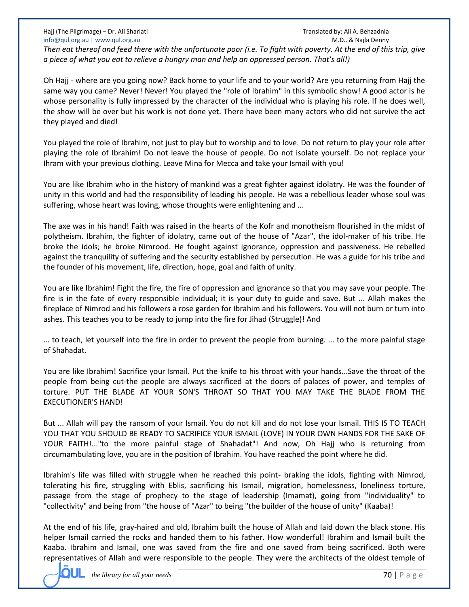# Hajj (The Pilgrimage) – Dr. Ali Shariati Translated by: Ali A. Behzadnia info@qul.org.au | www.qul.org.au M.D.. & Najla Denny *Then eat thereof and feed there with the unfortunate poor (i.e. To fight with poverty. At the end of this trip, give a piece of what you eat to relieve a hungry man and help an oppressed person. That's all!)*

Oh Hajj - where are you going now? Back home to your life and to your world? Are you returning from Hajj the same way you came? Never! Never! You played the "role of Ibrahim" in this symbolic show! A good actor is he whose personality is fully impressed by the character of the individual who is playing his role. If he does well, the show will be over but his work is not done yet. There have been many actors who did not survive the act they played and died!

You played the role of Ibrahim, not just to play but to worship and to love. Do not return to play your role after playing the role of Ibrahim! Do not leave the house of people. Do not isolate yourself. Do not replace your Ihram with your previous clothing. Leave Mina for Mecca and take your Ismail with you!

You are like Ibrahim who in the history of mankind was a great fighter against idolatry. He was the founder of unity in this world and had the responsibility of leading his people. He was a rebellious leader whose soul was suffering, whose heart was loving, whose thoughts were enlightening and ...

The axe was in his hand! Faith was raised in the hearts of the Kofr and monotheism flourished in the midst of polytheism. Ibrahim, the fighter of idolatry, came out of the house of "Azar", the idol-maker of his tribe. He broke the idols; he broke Nimrood. He fought against ignorance, oppression and passiveness. He rebelled against the tranquility of suffering and the security established by persecution. He was a guide for his tribe and the founder of his movement, life, direction, hope, goal and faith of unity.

You are like Ibrahim! Fight the fire, the fire of oppression and ignorance so that you may save your people. The fire is in the fate of every responsible individual; it is your duty to guide and save. But ... Allah makes the fireplace of Nimrod and his followers a rose garden for Ibrahim and his followers. You will not burn or turn into ashes. This teaches you to be ready to jump into the fire for Jihad (Struggle)! And

... to teach, let yourself into the fire in order to prevent the people from burning. ... to the more painful stage of Shahadat.

You are like Ibrahim! Sacrifice your Ismail. Put the knife to his throat with your hands...Save the throat of the people from being cut-the people are always sacrificed at the doors of palaces of power, and temples of torture. PUT THE BLADE AT YOUR SON'S THROAT SO THAT YOU MAY TAKE THE BLADE FROM THE EXECUTIONER'S HAND!

But ... Allah will pay the ransom of your Ismail. You do not kill and do not lose your Ismail. THIS IS TO TEACH YOU THAT YOU SHOULD BE READY TO SACRIFICE YOUR ISMAIL (LOVE) IN YOUR OWN HANDS FOR THE SAKE OF YOUR FAITH!..."to the more painful stage of Shahadat"! And now, Oh Hajj who is returning from circumambulating love, you are in the position of Ibrahim. You have reached the point where he did.

Ibrahim's life was filled with struggle when he reached this point- braking the idols, fighting with Nimrod, tolerating his fire, struggling with Eblis, sacrificing his Ismail, migration, homelessness, loneliness torture, passage from the stage of prophecy to the stage of leadership (Imamat), going from "individuality" to "collectivity" and being from "the house of "Azar" to being "the builder of the house of unity" (Kaaba)!

At the end of his life, gray-haired and old, Ibrahim built the house of Allah and laid down the black stone. His helper Ismail carried the rocks and handed them to his father. How wonderful! Ibrahim and Ismail built the Kaaba. Ibrahim and Ismail, one was saved from the fire and one saved from being sacrificed. Both were representatives of Allah and were responsible to the people. They were the architects of the oldest temple of

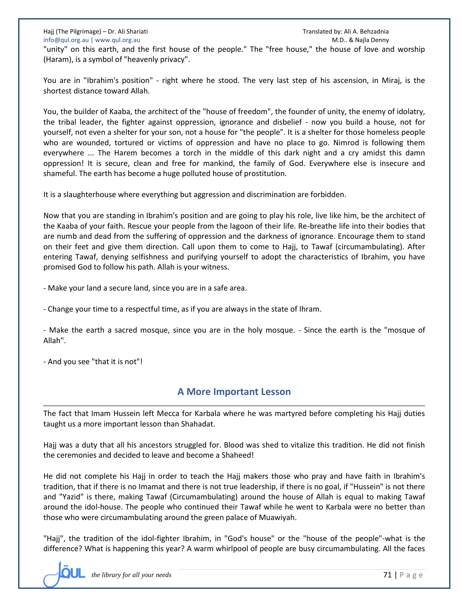"unity" on this earth, and the first house of the people." The "free house," the house of love and worship (Haram), is a symbol of "heavenly privacy".

You are in "Ibrahim's position" - right where he stood. The very last step of his ascension, in Miraj, is the shortest distance toward Allah.

You, the builder of Kaaba, the architect of the "house of freedom", the founder of unity, the enemy of idolatry, the tribal leader, the fighter against oppression, ignorance and disbelief - now you build a house, not for yourself, not even a shelter for your son, not a house for "the people". It is a shelter for those homeless people who are wounded, tortured or victims of oppression and have no place to go. Nimrod is following them everywhere ... The Harem becomes a torch in the middle of this dark night and a cry amidst this damn oppression! It is secure, clean and free for mankind, the family of God. Everywhere else is insecure and shameful. The earth has become a huge polluted house of prostitution.

It is a slaughterhouse where everything but aggression and discrimination are forbidden.

Now that you are standing in Ibrahim's position and are going to play his role, live like him, be the architect of the Kaaba of your faith. Rescue your people from the lagoon of their life. Re-breathe life into their bodies that are numb and dead from the suffering of oppression and the darkness of ignorance. Encourage them to stand on their feet and give them direction. Call upon them to come to Hajj, to Tawaf (circumambulating). After entering Tawaf, denying selfishness and purifying yourself to adopt the characteristics of Ibrahim, you have promised God to follow his path. Allah is your witness.

- Make your land a secure land, since you are in a safe area.

- Change your time to a respectful time, as if you are always in the state of Ihram.

- Make the earth a sacred mosque, since you are in the holy mosque. - Since the earth is the "mosque of Allah".

- And you see "that it is not"!

# **A More Important Lesson**

The fact that Imam Hussein left Mecca for Karbala where he was martyred before completing his Hajj duties taught us a more important lesson than Shahadat.

Hajj was a duty that all his ancestors struggled for. Blood was shed to vitalize this tradition. He did not finish the ceremonies and decided to leave and become a Shaheed!

He did not complete his Hajj in order to teach the Hajj makers those who pray and have faith in Ibrahim's tradition, that if there is no Imamat and there is not true leadership, if there is no goal, if "Hussein" is not there and "Yazid" is there, making Tawaf (Circumambulating) around the house of Allah is equal to making Tawaf around the idol-house. The people who continued their Tawaf while he went to Karbala were no better than those who were circumambulating around the green palace of Muawiyah.

"Hajj", the tradition of the idol-fighter Ibrahim, in "God's house" or the "house of the people"-what is the difference? What is happening this year? A warm whirlpool of people are busy circumambulating. All the faces

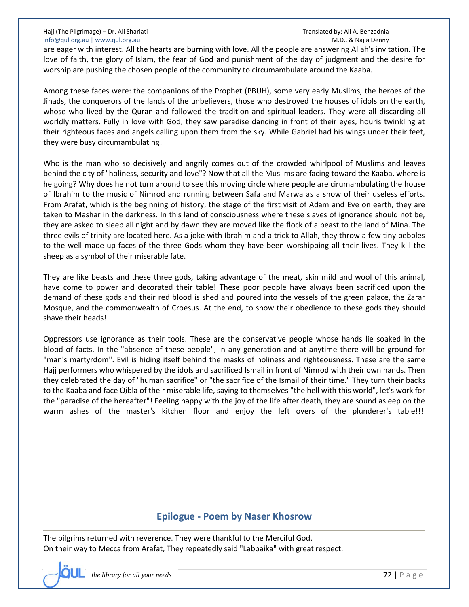are eager with interest. All the hearts are burning with love. All the people are answering Allah's invitation. The love of faith, the glory of Islam, the fear of God and punishment of the day of judgment and the desire for worship are pushing the chosen people of the community to circumambulate around the Kaaba.

Among these faces were: the companions of the Prophet (PBUH), some very early Muslims, the heroes of the Jihads, the conquerors of the lands of the unbelievers, those who destroyed the houses of idols on the earth, whose who lived by the Quran and followed the tradition and spiritual leaders. They were all discarding all worldly matters. Fully in love with God, they saw paradise dancing in front of their eyes, houris twinkling at their righteous faces and angels calling upon them from the sky. While Gabriel had his wings under their feet, they were busy circumambulating!

Who is the man who so decisively and angrily comes out of the crowded whirlpool of Muslims and leaves behind the city of "holiness, security and love"? Now that all the Muslims are facing toward the Kaaba, where is he going? Why does he not turn around to see this moving circle where people are cirumambulating the house of Ibrahim to the music of Nimrod and running between Safa and Marwa as a show of their useless efforts. From Arafat, which is the beginning of history, the stage of the first visit of Adam and Eve on earth, they are taken to Mashar in the darkness. In this land of consciousness where these slaves of ignorance should not be, they are asked to sleep all night and by dawn they are moved like the flock of a beast to the land of Mina. The three evils of trinity are located here. As a joke with Ibrahim and a trick to Allah, they throw a few tiny pebbles to the well made-up faces of the three Gods whom they have been worshipping all their lives. They kill the sheep as a symbol of their miserable fate.

They are like beasts and these three gods, taking advantage of the meat, skin mild and wool of this animal, have come to power and decorated their table! These poor people have always been sacrificed upon the demand of these gods and their red blood is shed and poured into the vessels of the green palace, the Zarar Mosque, and the commonwealth of Croesus. At the end, to show their obedience to these gods they should shave their heads!

Oppressors use ignorance as their tools. These are the conservative people whose hands lie soaked in the blood of facts. In the "absence of these people", in any generation and at anytime there will be ground for "man's martyrdom". Evil is hiding itself behind the masks of holiness and righteousness. These are the same Hajj performers who whispered by the idols and sacrificed Ismail in front of Nimrod with their own hands. Then they celebrated the day of "human sacrifice" or "the sacrifice of the Ismail of their time." They turn their backs to the Kaaba and face Qibla of their miserable life, saying to themselves "the hell with this world", let's work for the "paradise of the hereafter"! Feeling happy with the joy of the life after death, they are sound asleep on the warm ashes of the master's kitchen floor and enjoy the left overs of the plunderer's table!!!

# **Epilogue - Poem by Naser Khosrow**

The pilgrims returned with reverence. They were thankful to the Merciful God. On their way to Mecca from Arafat, They repeatedly said "Labbaika" with great respect.